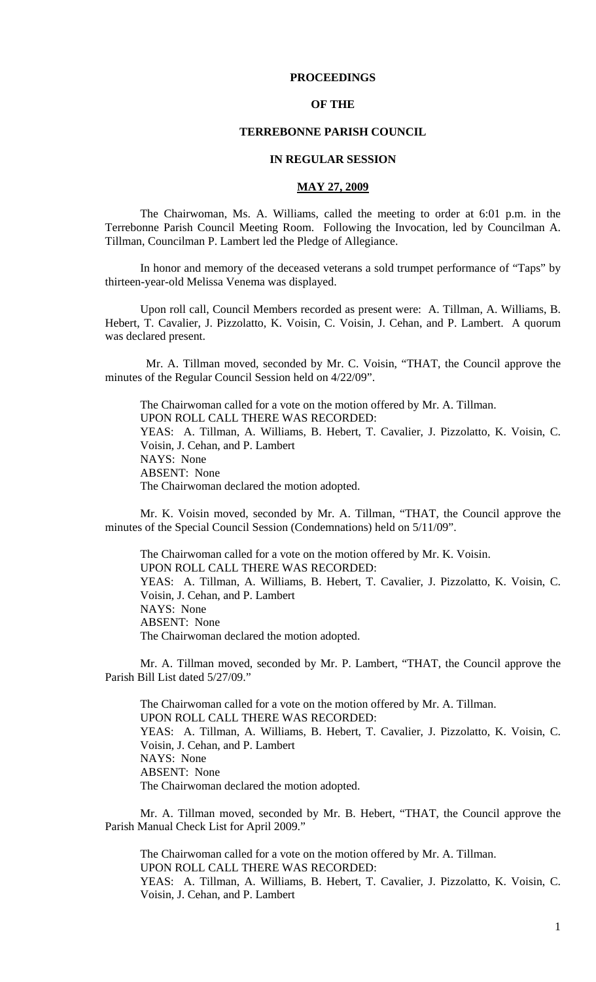### **PROCEEDINGS**

#### **OF THE**

### **TERREBONNE PARISH COUNCIL**

#### **IN REGULAR SESSION**

#### **MAY 27, 2009**

 The Chairwoman, Ms. A. Williams, called the meeting to order at 6:01 p.m. in the Terrebonne Parish Council Meeting Room. Following the Invocation, led by Councilman A. Tillman, Councilman P. Lambert led the Pledge of Allegiance.

 In honor and memory of the deceased veterans a sold trumpet performance of "Taps" by thirteen-year-old Melissa Venema was displayed.

Upon roll call, Council Members recorded as present were: A. Tillman, A. Williams, B. Hebert, T. Cavalier, J. Pizzolatto, K. Voisin, C. Voisin, J. Cehan, and P. Lambert. A quorum was declared present.

 Mr. A. Tillman moved, seconded by Mr. C. Voisin, "THAT, the Council approve the minutes of the Regular Council Session held on 4/22/09".

The Chairwoman called for a vote on the motion offered by Mr. A. Tillman. UPON ROLL CALL THERE WAS RECORDED: YEAS: A. Tillman, A. Williams, B. Hebert, T. Cavalier, J. Pizzolatto, K. Voisin, C. Voisin, J. Cehan, and P. Lambert NAYS: None ABSENT: None The Chairwoman declared the motion adopted.

 Mr. K. Voisin moved, seconded by Mr. A. Tillman, "THAT, the Council approve the minutes of the Special Council Session (Condemnations) held on 5/11/09".

 The Chairwoman called for a vote on the motion offered by Mr. K. Voisin. UPON ROLL CALL THERE WAS RECORDED: YEAS: A. Tillman, A. Williams, B. Hebert, T. Cavalier, J. Pizzolatto, K. Voisin, C. Voisin, J. Cehan, and P. Lambert NAYS: None ABSENT: None The Chairwoman declared the motion adopted.

Mr. A. Tillman moved, seconded by Mr. P. Lambert, "THAT, the Council approve the Parish Bill List dated 5/27/09."

The Chairwoman called for a vote on the motion offered by Mr. A. Tillman. UPON ROLL CALL THERE WAS RECORDED: YEAS: A. Tillman, A. Williams, B. Hebert, T. Cavalier, J. Pizzolatto, K. Voisin, C. Voisin, J. Cehan, and P. Lambert NAYS: None ABSENT: None The Chairwoman declared the motion adopted.

Mr. A. Tillman moved, seconded by Mr. B. Hebert, "THAT, the Council approve the Parish Manual Check List for April 2009."

The Chairwoman called for a vote on the motion offered by Mr. A. Tillman. UPON ROLL CALL THERE WAS RECORDED: YEAS: A. Tillman, A. Williams, B. Hebert, T. Cavalier, J. Pizzolatto, K. Voisin, C. Voisin, J. Cehan, and P. Lambert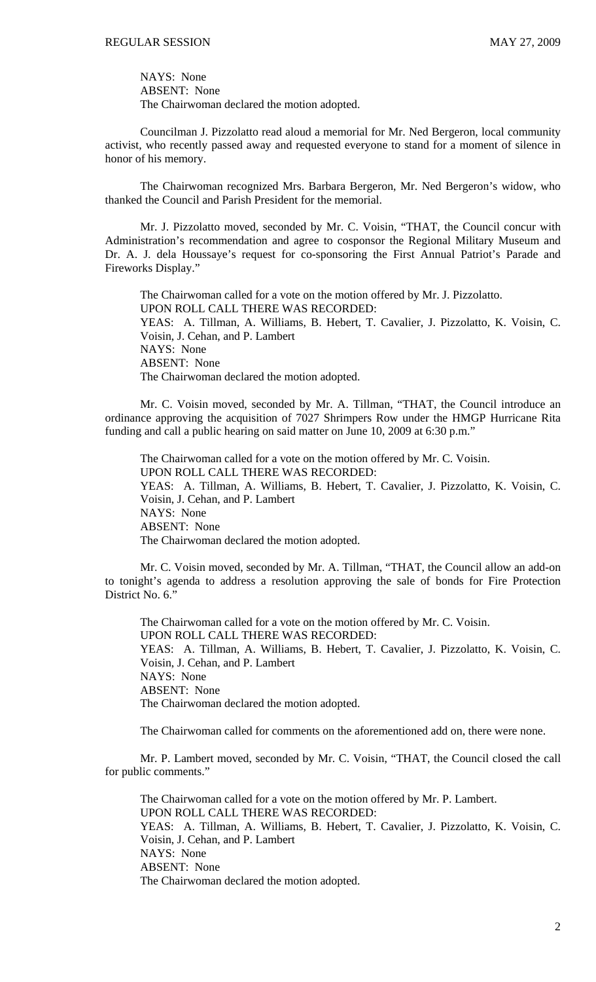NAYS: None ABSENT: None The Chairwoman declared the motion adopted.

Councilman J. Pizzolatto read aloud a memorial for Mr. Ned Bergeron, local community activist, who recently passed away and requested everyone to stand for a moment of silence in honor of his memory.

The Chairwoman recognized Mrs. Barbara Bergeron, Mr. Ned Bergeron's widow, who thanked the Council and Parish President for the memorial.

Mr. J. Pizzolatto moved, seconded by Mr. C. Voisin, "THAT, the Council concur with Administration's recommendation and agree to cosponsor the Regional Military Museum and Dr. A. J. dela Houssaye's request for co-sponsoring the First Annual Patriot's Parade and Fireworks Display."

The Chairwoman called for a vote on the motion offered by Mr. J. Pizzolatto. UPON ROLL CALL THERE WAS RECORDED: YEAS: A. Tillman, A. Williams, B. Hebert, T. Cavalier, J. Pizzolatto, K. Voisin, C. Voisin, J. Cehan, and P. Lambert NAYS: None ABSENT: None The Chairwoman declared the motion adopted.

Mr. C. Voisin moved, seconded by Mr. A. Tillman, "THAT, the Council introduce an ordinance approving the acquisition of 7027 Shrimpers Row under the HMGP Hurricane Rita funding and call a public hearing on said matter on June 10, 2009 at 6:30 p.m."

The Chairwoman called for a vote on the motion offered by Mr. C. Voisin. UPON ROLL CALL THERE WAS RECORDED: YEAS: A. Tillman, A. Williams, B. Hebert, T. Cavalier, J. Pizzolatto, K. Voisin, C. Voisin, J. Cehan, and P. Lambert NAYS: None ABSENT: None The Chairwoman declared the motion adopted.

 Mr. C. Voisin moved, seconded by Mr. A. Tillman, "THAT, the Council allow an add-on to tonight's agenda to address a resolution approving the sale of bonds for Fire Protection District No. 6."

 The Chairwoman called for a vote on the motion offered by Mr. C. Voisin. UPON ROLL CALL THERE WAS RECORDED: YEAS: A. Tillman, A. Williams, B. Hebert, T. Cavalier, J. Pizzolatto, K. Voisin, C. Voisin, J. Cehan, and P. Lambert NAYS: None ABSENT: None The Chairwoman declared the motion adopted.

The Chairwoman called for comments on the aforementioned add on, there were none.

 Mr. P. Lambert moved, seconded by Mr. C. Voisin, "THAT, the Council closed the call for public comments."

 The Chairwoman called for a vote on the motion offered by Mr. P. Lambert. UPON ROLL CALL THERE WAS RECORDED: YEAS: A. Tillman, A. Williams, B. Hebert, T. Cavalier, J. Pizzolatto, K. Voisin, C. Voisin, J. Cehan, and P. Lambert NAYS: None ABSENT: None The Chairwoman declared the motion adopted.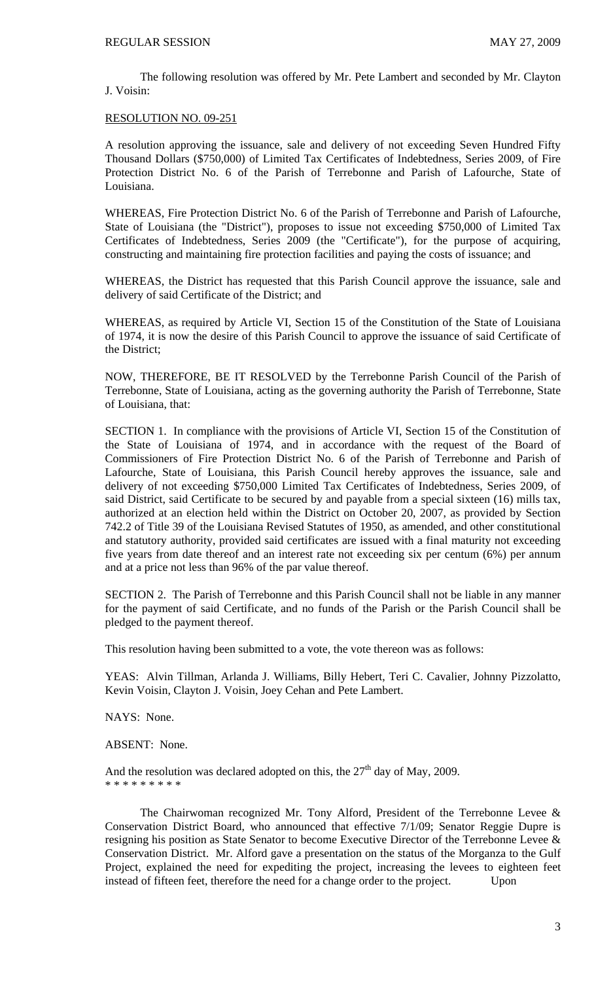The following resolution was offered by Mr. Pete Lambert and seconded by Mr. Clayton J. Voisin:

### RESOLUTION NO. 09-251

A resolution approving the issuance, sale and delivery of not exceeding Seven Hundred Fifty Thousand Dollars (\$750,000) of Limited Tax Certificates of Indebtedness, Series 2009, of Fire Protection District No. 6 of the Parish of Terrebonne and Parish of Lafourche, State of Louisiana.

WHEREAS, Fire Protection District No. 6 of the Parish of Terrebonne and Parish of Lafourche, State of Louisiana (the "District"), proposes to issue not exceeding \$750,000 of Limited Tax Certificates of Indebtedness, Series 2009 (the "Certificate"), for the purpose of acquiring, constructing and maintaining fire protection facilities and paying the costs of issuance; and

WHEREAS, the District has requested that this Parish Council approve the issuance, sale and delivery of said Certificate of the District; and

WHEREAS, as required by Article VI, Section 15 of the Constitution of the State of Louisiana of 1974, it is now the desire of this Parish Council to approve the issuance of said Certificate of the District;

NOW, THEREFORE, BE IT RESOLVED by the Terrebonne Parish Council of the Parish of Terrebonne, State of Louisiana, acting as the governing authority the Parish of Terrebonne, State of Louisiana, that:

SECTION 1. In compliance with the provisions of Article VI, Section 15 of the Constitution of the State of Louisiana of 1974, and in accordance with the request of the Board of Commissioners of Fire Protection District No. 6 of the Parish of Terrebonne and Parish of Lafourche, State of Louisiana, this Parish Council hereby approves the issuance, sale and delivery of not exceeding \$750,000 Limited Tax Certificates of Indebtedness, Series 2009, of said District, said Certificate to be secured by and payable from a special sixteen (16) mills tax, authorized at an election held within the District on October 20, 2007, as provided by Section 742.2 of Title 39 of the Louisiana Revised Statutes of 1950, as amended, and other constitutional and statutory authority, provided said certificates are issued with a final maturity not exceeding five years from date thereof and an interest rate not exceeding six per centum (6%) per annum and at a price not less than 96% of the par value thereof.

SECTION 2. The Parish of Terrebonne and this Parish Council shall not be liable in any manner for the payment of said Certificate, and no funds of the Parish or the Parish Council shall be pledged to the payment thereof.

This resolution having been submitted to a vote, the vote thereon was as follows:

YEAS: Alvin Tillman, Arlanda J. Williams, Billy Hebert, Teri C. Cavalier, Johnny Pizzolatto, Kevin Voisin, Clayton J. Voisin, Joey Cehan and Pete Lambert.

NAYS: None.

ABSENT: None.

And the resolution was declared adopted on this, the  $27<sup>th</sup>$  day of May, 2009. \* \* \* \* \* \* \* \* \*

 The Chairwoman recognized Mr. Tony Alford, President of the Terrebonne Levee & Conservation District Board, who announced that effective 7/1/09; Senator Reggie Dupre is resigning his position as State Senator to become Executive Director of the Terrebonne Levee & Conservation District. Mr. Alford gave a presentation on the status of the Morganza to the Gulf Project, explained the need for expediting the project, increasing the levees to eighteen feet instead of fifteen feet, therefore the need for a change order to the project. Upon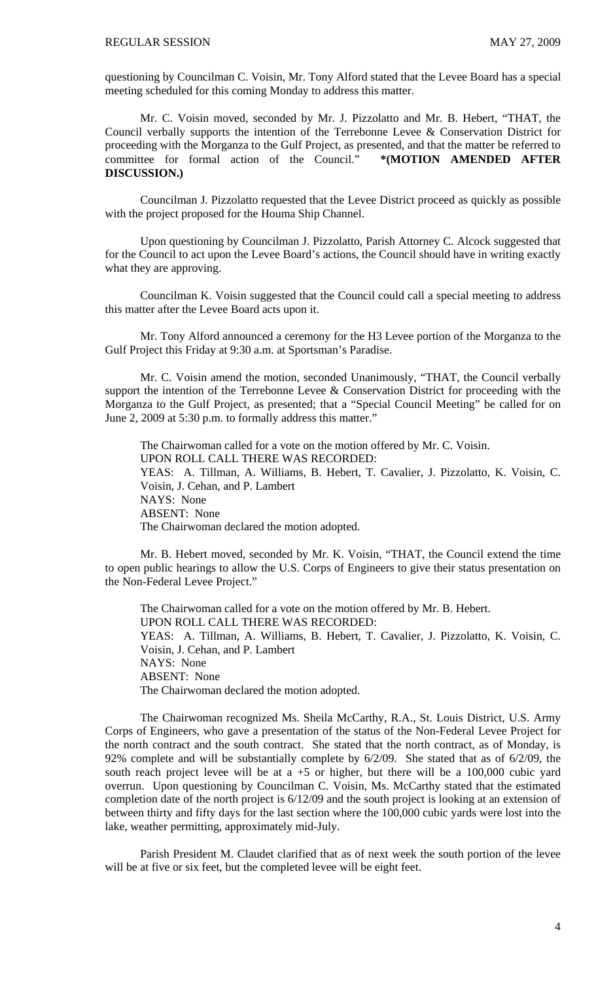questioning by Councilman C. Voisin, Mr. Tony Alford stated that the Levee Board has a special meeting scheduled for this coming Monday to address this matter.

 Mr. C. Voisin moved, seconded by Mr. J. Pizzolatto and Mr. B. Hebert, "THAT, the Council verbally supports the intention of the Terrebonne Levee & Conservation District for proceeding with the Morganza to the Gulf Project, as presented, and that the matter be referred to committee for formal action of the Council." **\*(MOTION AMENDED AFTER DISCUSSION.)** 

 Councilman J. Pizzolatto requested that the Levee District proceed as quickly as possible with the project proposed for the Houma Ship Channel.

 Upon questioning by Councilman J. Pizzolatto, Parish Attorney C. Alcock suggested that for the Council to act upon the Levee Board's actions, the Council should have in writing exactly what they are approving.

 Councilman K. Voisin suggested that the Council could call a special meeting to address this matter after the Levee Board acts upon it.

 Mr. Tony Alford announced a ceremony for the H3 Levee portion of the Morganza to the Gulf Project this Friday at 9:30 a.m. at Sportsman's Paradise.

 Mr. C. Voisin amend the motion, seconded Unanimously, "THAT, the Council verbally support the intention of the Terrebonne Levee & Conservation District for proceeding with the Morganza to the Gulf Project, as presented; that a "Special Council Meeting" be called for on June 2, 2009 at 5:30 p.m. to formally address this matter."

 The Chairwoman called for a vote on the motion offered by Mr. C. Voisin. UPON ROLL CALL THERE WAS RECORDED: YEAS: A. Tillman, A. Williams, B. Hebert, T. Cavalier, J. Pizzolatto, K. Voisin, C. Voisin, J. Cehan, and P. Lambert NAYS: None ABSENT: None The Chairwoman declared the motion adopted.

 Mr. B. Hebert moved, seconded by Mr. K. Voisin, "THAT, the Council extend the time to open public hearings to allow the U.S. Corps of Engineers to give their status presentation on the Non-Federal Levee Project."

 The Chairwoman called for a vote on the motion offered by Mr. B. Hebert. UPON ROLL CALL THERE WAS RECORDED: YEAS: A. Tillman, A. Williams, B. Hebert, T. Cavalier, J. Pizzolatto, K. Voisin, C. Voisin, J. Cehan, and P. Lambert NAYS: None ABSENT: None The Chairwoman declared the motion adopted.

 The Chairwoman recognized Ms. Sheila McCarthy, R.A., St. Louis District, U.S. Army Corps of Engineers, who gave a presentation of the status of the Non-Federal Levee Project for the north contract and the south contract. She stated that the north contract, as of Monday, is 92% complete and will be substantially complete by 6/2/09. She stated that as of 6/2/09, the south reach project levee will be at  $a + 5$  or higher, but there will be a 100,000 cubic yard overrun. Upon questioning by Councilman C. Voisin, Ms. McCarthy stated that the estimated completion date of the north project is 6/12/09 and the south project is looking at an extension of between thirty and fifty days for the last section where the 100,000 cubic yards were lost into the lake, weather permitting, approximately mid-July.

 Parish President M. Claudet clarified that as of next week the south portion of the levee will be at five or six feet, but the completed levee will be eight feet.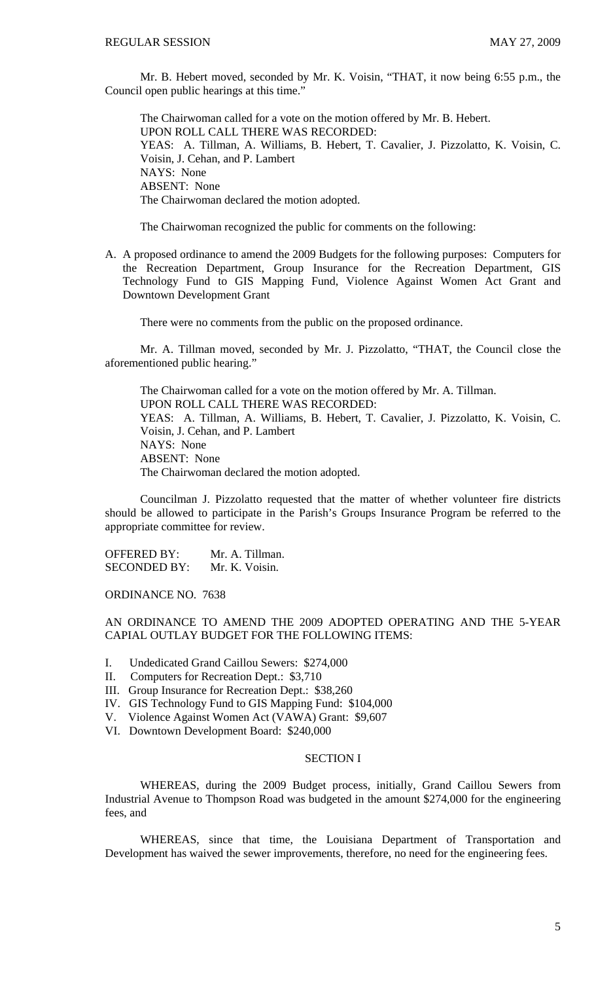Mr. B. Hebert moved, seconded by Mr. K. Voisin, "THAT, it now being 6:55 p.m., the Council open public hearings at this time."

 The Chairwoman called for a vote on the motion offered by Mr. B. Hebert. UPON ROLL CALL THERE WAS RECORDED: YEAS: A. Tillman, A. Williams, B. Hebert, T. Cavalier, J. Pizzolatto, K. Voisin, C. Voisin, J. Cehan, and P. Lambert NAYS: None ABSENT: None The Chairwoman declared the motion adopted.

The Chairwoman recognized the public for comments on the following:

A. A proposed ordinance to amend the 2009 Budgets for the following purposes: Computers for the Recreation Department, Group Insurance for the Recreation Department, GIS Technology Fund to GIS Mapping Fund, Violence Against Women Act Grant and Downtown Development Grant

There were no comments from the public on the proposed ordinance.

 Mr. A. Tillman moved, seconded by Mr. J. Pizzolatto, "THAT, the Council close the aforementioned public hearing."

 The Chairwoman called for a vote on the motion offered by Mr. A. Tillman. UPON ROLL CALL THERE WAS RECORDED: YEAS: A. Tillman, A. Williams, B. Hebert, T. Cavalier, J. Pizzolatto, K. Voisin, C. Voisin, J. Cehan, and P. Lambert NAYS: None ABSENT: None The Chairwoman declared the motion adopted.

 Councilman J. Pizzolatto requested that the matter of whether volunteer fire districts should be allowed to participate in the Parish's Groups Insurance Program be referred to the appropriate committee for review.

OFFERED BY: Mr. A. Tillman. SECONDED BY: Mr. K. Voisin.

ORDINANCE NO. 7638

AN ORDINANCE TO AMEND THE 2009 ADOPTED OPERATING AND THE 5-YEAR CAPIAL OUTLAY BUDGET FOR THE FOLLOWING ITEMS:

- I. Undedicated Grand Caillou Sewers: \$274,000
- II. Computers for Recreation Dept.: \$3,710
- III. Group Insurance for Recreation Dept.: \$38,260
- IV. GIS Technology Fund to GIS Mapping Fund: \$104,000
- V. Violence Against Women Act (VAWA) Grant: \$9,607
- VI. Downtown Development Board: \$240,000

#### SECTION I

 WHEREAS, during the 2009 Budget process, initially, Grand Caillou Sewers from Industrial Avenue to Thompson Road was budgeted in the amount \$274,000 for the engineering fees, and

 WHEREAS, since that time, the Louisiana Department of Transportation and Development has waived the sewer improvements, therefore, no need for the engineering fees.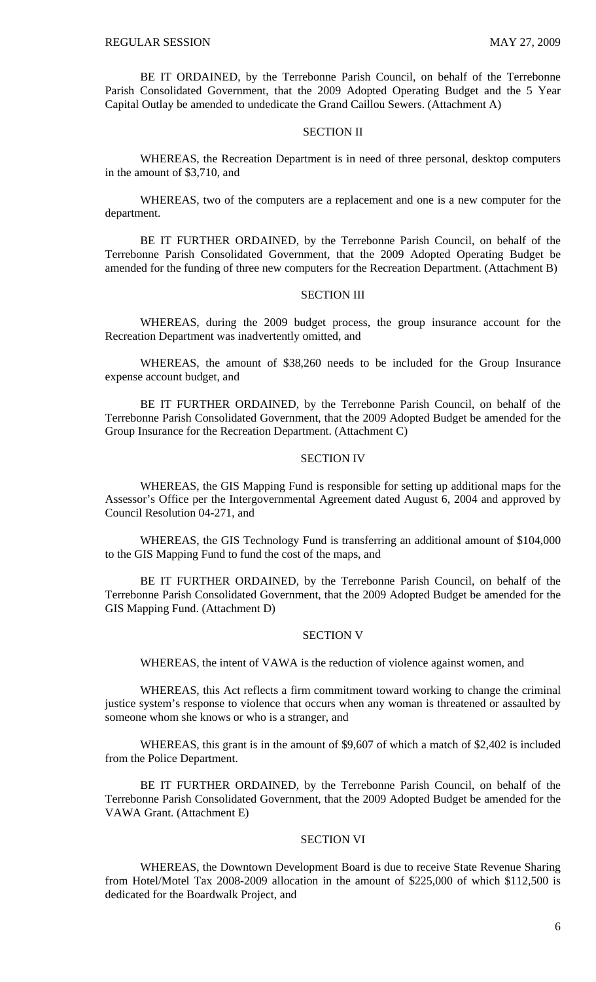BE IT ORDAINED, by the Terrebonne Parish Council, on behalf of the Terrebonne Parish Consolidated Government, that the 2009 Adopted Operating Budget and the 5 Year Capital Outlay be amended to undedicate the Grand Caillou Sewers. (Attachment A)

### SECTION II

 WHEREAS, the Recreation Department is in need of three personal, desktop computers in the amount of \$3,710, and

 WHEREAS, two of the computers are a replacement and one is a new computer for the department.

 BE IT FURTHER ORDAINED, by the Terrebonne Parish Council, on behalf of the Terrebonne Parish Consolidated Government, that the 2009 Adopted Operating Budget be amended for the funding of three new computers for the Recreation Department. (Attachment B)

#### SECTION III

 WHEREAS, during the 2009 budget process, the group insurance account for the Recreation Department was inadvertently omitted, and

 WHEREAS, the amount of \$38,260 needs to be included for the Group Insurance expense account budget, and

 BE IT FURTHER ORDAINED, by the Terrebonne Parish Council, on behalf of the Terrebonne Parish Consolidated Government, that the 2009 Adopted Budget be amended for the Group Insurance for the Recreation Department. (Attachment C)

#### SECTION IV

 WHEREAS, the GIS Mapping Fund is responsible for setting up additional maps for the Assessor's Office per the Intergovernmental Agreement dated August 6, 2004 and approved by Council Resolution 04-271, and

WHEREAS, the GIS Technology Fund is transferring an additional amount of \$104,000 to the GIS Mapping Fund to fund the cost of the maps, and

BE IT FURTHER ORDAINED, by the Terrebonne Parish Council, on behalf of the Terrebonne Parish Consolidated Government, that the 2009 Adopted Budget be amended for the GIS Mapping Fund. (Attachment D)

### SECTION V

WHEREAS, the intent of VAWA is the reduction of violence against women, and

WHEREAS, this Act reflects a firm commitment toward working to change the criminal justice system's response to violence that occurs when any woman is threatened or assaulted by someone whom she knows or who is a stranger, and

WHEREAS, this grant is in the amount of \$9,607 of which a match of \$2,402 is included from the Police Department.

BE IT FURTHER ORDAINED, by the Terrebonne Parish Council, on behalf of the Terrebonne Parish Consolidated Government, that the 2009 Adopted Budget be amended for the VAWA Grant. (Attachment E)

#### SECTION VI

 WHEREAS, the Downtown Development Board is due to receive State Revenue Sharing from Hotel/Motel Tax 2008-2009 allocation in the amount of \$225,000 of which \$112,500 is dedicated for the Boardwalk Project, and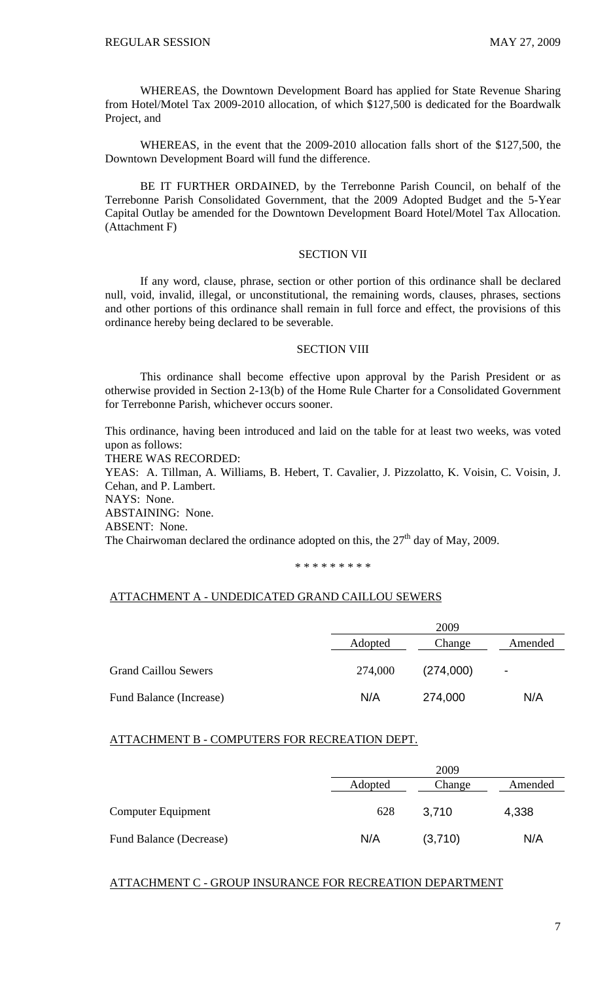WHEREAS, the Downtown Development Board has applied for State Revenue Sharing from Hotel/Motel Tax 2009-2010 allocation, of which \$127,500 is dedicated for the Boardwalk Project, and

WHEREAS, in the event that the 2009-2010 allocation falls short of the \$127,500, the Downtown Development Board will fund the difference.

BE IT FURTHER ORDAINED, by the Terrebonne Parish Council, on behalf of the Terrebonne Parish Consolidated Government, that the 2009 Adopted Budget and the 5-Year Capital Outlay be amended for the Downtown Development Board Hotel/Motel Tax Allocation. (Attachment F)

### SECTION VII

 If any word, clause, phrase, section or other portion of this ordinance shall be declared null, void, invalid, illegal, or unconstitutional, the remaining words, clauses, phrases, sections and other portions of this ordinance shall remain in full force and effect, the provisions of this ordinance hereby being declared to be severable.

### SECTION VIII

 This ordinance shall become effective upon approval by the Parish President or as otherwise provided in Section 2-13(b) of the Home Rule Charter for a Consolidated Government for Terrebonne Parish, whichever occurs sooner.

This ordinance, having been introduced and laid on the table for at least two weeks, was voted upon as follows:

THERE WAS RECORDED:

YEAS: A. Tillman, A. Williams, B. Hebert, T. Cavalier, J. Pizzolatto, K. Voisin, C. Voisin, J. Cehan, and P. Lambert. NAYS: None. ABSTAINING: None.

ABSENT: None.

The Chairwoman declared the ordinance adopted on this, the  $27<sup>th</sup>$  day of May, 2009.

\* \* \* \* \* \* \* \* \*

### ATTACHMENT A - UNDEDICATED GRAND CAILLOU SEWERS

|                             | 2009    |           |                |
|-----------------------------|---------|-----------|----------------|
|                             | Adopted | Change    | Amended        |
| <b>Grand Caillou Sewers</b> | 274,000 | (274,000) | $\blacksquare$ |
| Fund Balance (Increase)     | N/A     | 274,000   | N/A            |

#### ATTACHMENT B - COMPUTERS FOR RECREATION DEPT.

|                         | 2009<br>Adopted<br>Amended<br>Change |         |       |
|-------------------------|--------------------------------------|---------|-------|
|                         |                                      |         |       |
| Computer Equipment      | 628                                  | 3,710   | 4,338 |
| Fund Balance (Decrease) | N/A                                  | (3,710) | N/A   |

### ATTACHMENT C - GROUP INSURANCE FOR RECREATION DEPARTMENT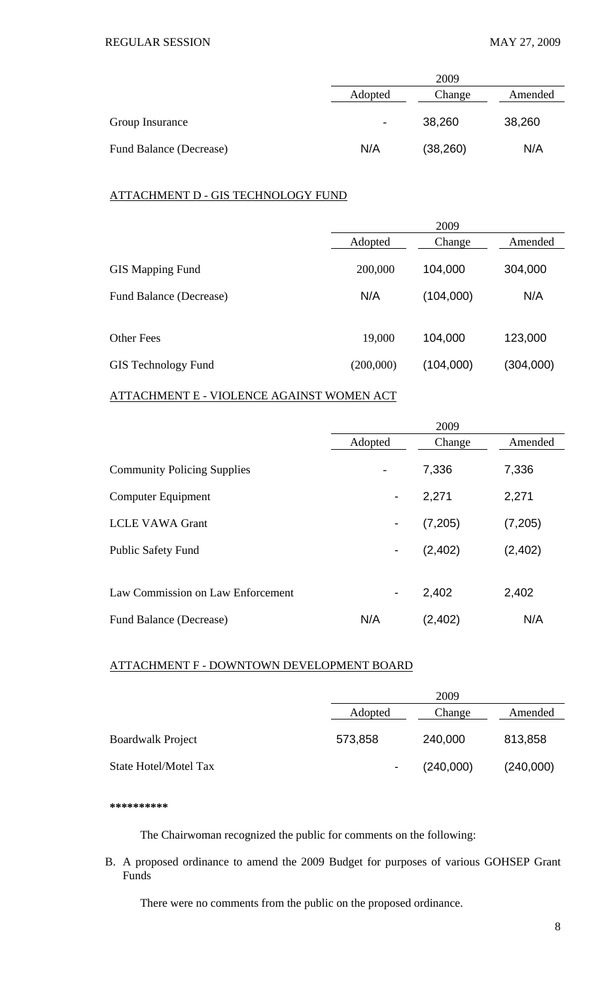|                                | 2009                         |           |        |
|--------------------------------|------------------------------|-----------|--------|
|                                | Adopted<br>Change<br>Amended |           |        |
| Group Insurance                | $\overline{\phantom{a}}$     | 38,260    | 38,260 |
| <b>Fund Balance (Decrease)</b> | N/A                          | (38, 260) | N/A    |

## ATTACHMENT D - GIS TECHNOLOGY FUND

|                            | 2009      |           |           |
|----------------------------|-----------|-----------|-----------|
|                            | Adopted   | Change    | Amended   |
| <b>GIS Mapping Fund</b>    | 200,000   | 104,000   | 304,000   |
| Fund Balance (Decrease)    | N/A       | (104,000) | N/A       |
|                            |           |           |           |
| <b>Other Fees</b>          | 19,000    | 104,000   | 123,000   |
| <b>GIS</b> Technology Fund | (200,000) | (104,000) | (304,000) |

# ATTACHMENT E - VIOLENCE AGAINST WOMEN ACT

|                                    |                          | 2009     |          |
|------------------------------------|--------------------------|----------|----------|
|                                    | Adopted                  | Change   | Amended  |
| <b>Community Policing Supplies</b> | $\overline{\phantom{a}}$ | 7,336    | 7,336    |
| <b>Computer Equipment</b>          | $\blacksquare$           | 2,271    | 2,271    |
| <b>LCLE VAWA Grant</b>             |                          | (7,205)  | (7,205)  |
| <b>Public Safety Fund</b>          | ۰                        | (2,402)  | (2, 402) |
|                                    |                          |          |          |
| Law Commission on Law Enforcement  | $\blacksquare$           | 2,402    | 2,402    |
| Fund Balance (Decrease)            | N/A                      | (2, 402) | N/A      |

## ATTACHMENT F - DOWNTOWN DEVELOPMENT BOARD

|                              |         | 2009      |           |  |
|------------------------------|---------|-----------|-----------|--|
|                              | Adopted | Change    | Amended   |  |
| <b>Boardwalk Project</b>     | 573,858 | 240,000   | 813,858   |  |
| <b>State Hotel/Motel Tax</b> |         | (240,000) | (240,000) |  |

**\*\*\*\*\*\*\*\*\*\*** 

The Chairwoman recognized the public for comments on the following:

B. A proposed ordinance to amend the 2009 Budget for purposes of various GOHSEP Grant Funds

There were no comments from the public on the proposed ordinance.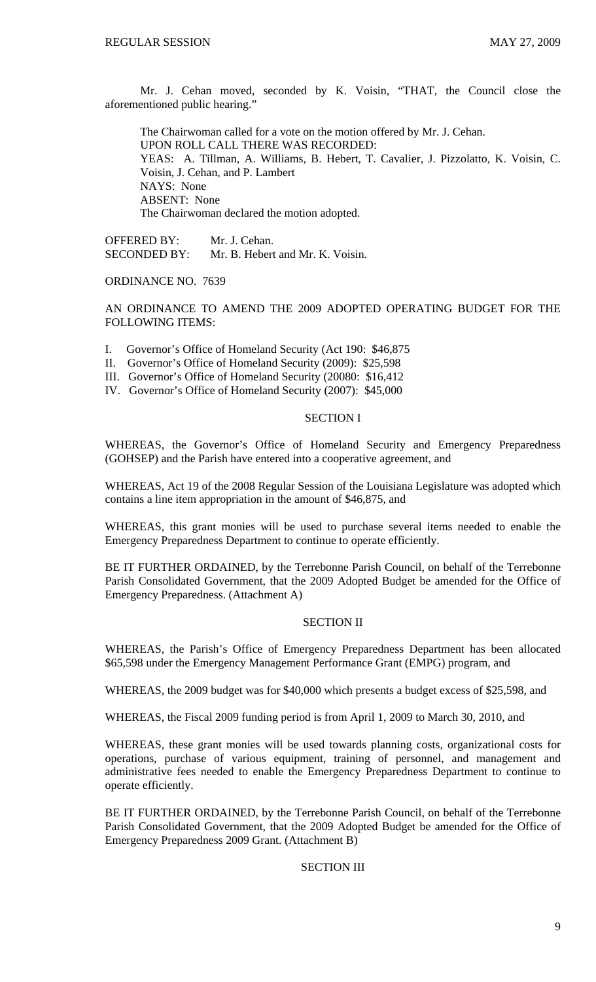Mr. J. Cehan moved, seconded by K. Voisin, "THAT, the Council close the aforementioned public hearing."

 The Chairwoman called for a vote on the motion offered by Mr. J. Cehan. UPON ROLL CALL THERE WAS RECORDED: YEAS: A. Tillman, A. Williams, B. Hebert, T. Cavalier, J. Pizzolatto, K. Voisin, C. Voisin, J. Cehan, and P. Lambert NAYS: None ABSENT: None The Chairwoman declared the motion adopted.

OFFERED BY: Mr. J. Cehan. SECONDED BY: Mr. B. Hebert and Mr. K. Voisin.

ORDINANCE NO. 7639

AN ORDINANCE TO AMEND THE 2009 ADOPTED OPERATING BUDGET FOR THE FOLLOWING ITEMS:

- I. Governor's Office of Homeland Security (Act 190: \$46,875
- II. Governor's Office of Homeland Security (2009): \$25,598
- III. Governor's Office of Homeland Security (20080: \$16,412
- IV. Governor's Office of Homeland Security (2007): \$45,000

#### SECTION I

WHEREAS, the Governor's Office of Homeland Security and Emergency Preparedness (GOHSEP) and the Parish have entered into a cooperative agreement, and

WHEREAS, Act 19 of the 2008 Regular Session of the Louisiana Legislature was adopted which contains a line item appropriation in the amount of \$46,875, and

WHEREAS, this grant monies will be used to purchase several items needed to enable the Emergency Preparedness Department to continue to operate efficiently.

BE IT FURTHER ORDAINED, by the Terrebonne Parish Council, on behalf of the Terrebonne Parish Consolidated Government, that the 2009 Adopted Budget be amended for the Office of Emergency Preparedness. (Attachment A)

### SECTION II

WHEREAS, the Parish's Office of Emergency Preparedness Department has been allocated \$65,598 under the Emergency Management Performance Grant (EMPG) program, and

WHEREAS, the 2009 budget was for \$40,000 which presents a budget excess of \$25,598, and

WHEREAS, the Fiscal 2009 funding period is from April 1, 2009 to March 30, 2010, and

WHEREAS, these grant monies will be used towards planning costs, organizational costs for operations, purchase of various equipment, training of personnel, and management and administrative fees needed to enable the Emergency Preparedness Department to continue to operate efficiently.

BE IT FURTHER ORDAINED, by the Terrebonne Parish Council, on behalf of the Terrebonne Parish Consolidated Government, that the 2009 Adopted Budget be amended for the Office of Emergency Preparedness 2009 Grant. (Attachment B)

### SECTION III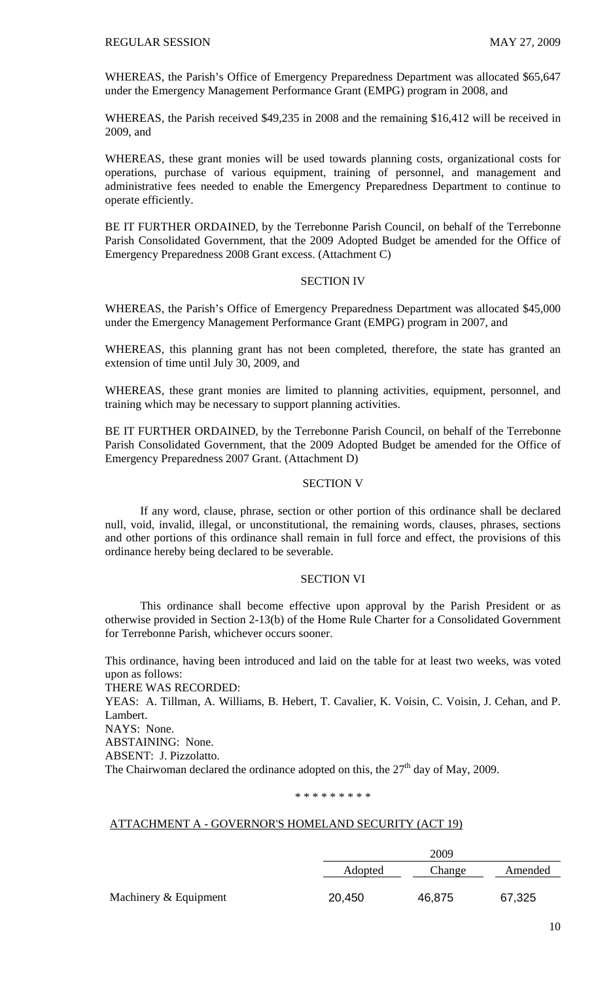WHEREAS, the Parish's Office of Emergency Preparedness Department was allocated \$65,647 under the Emergency Management Performance Grant (EMPG) program in 2008, and

WHEREAS, the Parish received \$49,235 in 2008 and the remaining \$16,412 will be received in 2009, and

WHEREAS, these grant monies will be used towards planning costs, organizational costs for operations, purchase of various equipment, training of personnel, and management and administrative fees needed to enable the Emergency Preparedness Department to continue to operate efficiently.

BE IT FURTHER ORDAINED, by the Terrebonne Parish Council, on behalf of the Terrebonne Parish Consolidated Government, that the 2009 Adopted Budget be amended for the Office of Emergency Preparedness 2008 Grant excess. (Attachment C)

### SECTION IV

WHEREAS, the Parish's Office of Emergency Preparedness Department was allocated \$45,000 under the Emergency Management Performance Grant (EMPG) program in 2007, and

WHEREAS, this planning grant has not been completed, therefore, the state has granted an extension of time until July 30, 2009, and

WHEREAS, these grant monies are limited to planning activities, equipment, personnel, and training which may be necessary to support planning activities.

BE IT FURTHER ORDAINED, by the Terrebonne Parish Council, on behalf of the Terrebonne Parish Consolidated Government, that the 2009 Adopted Budget be amended for the Office of Emergency Preparedness 2007 Grant. (Attachment D)

#### SECTION V

 If any word, clause, phrase, section or other portion of this ordinance shall be declared null, void, invalid, illegal, or unconstitutional, the remaining words, clauses, phrases, sections and other portions of this ordinance shall remain in full force and effect, the provisions of this ordinance hereby being declared to be severable.

#### SECTION VI

 This ordinance shall become effective upon approval by the Parish President or as otherwise provided in Section 2-13(b) of the Home Rule Charter for a Consolidated Government for Terrebonne Parish, whichever occurs sooner.

This ordinance, having been introduced and laid on the table for at least two weeks, was voted upon as follows:

THERE WAS RECORDED:

YEAS: A. Tillman, A. Williams, B. Hebert, T. Cavalier, K. Voisin, C. Voisin, J. Cehan, and P. Lambert.

NAYS: None.

ABSTAINING: None.

ABSENT: J. Pizzolatto.

The Chairwoman declared the ordinance adopted on this, the  $27<sup>th</sup>$  day of May, 2009.

### \* \* \* \* \* \* \* \* \*

### ATTACHMENT A - GOVERNOR'S HOMELAND SECURITY (ACT 19)

|                       |         | 2009   |         |
|-----------------------|---------|--------|---------|
|                       | Adopted | Change | Amended |
| Machinery & Equipment | 20,450  | 46,875 | 67,325  |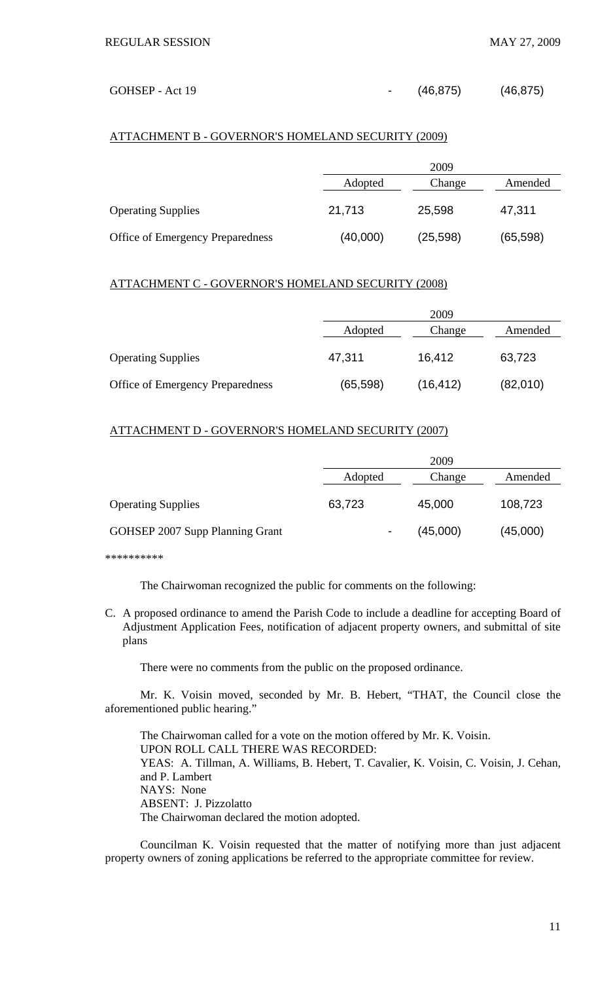#### GOHSEP - Act 19 (46,875) (46,875)

### ATTACHMENT B - GOVERNOR'S HOMELAND SECURITY (2009)

|                                         |          | 2009      |           |  |
|-----------------------------------------|----------|-----------|-----------|--|
|                                         | Adopted  | Change    | Amended   |  |
| <b>Operating Supplies</b>               | 21,713   | 25,598    | 47,311    |  |
| <b>Office of Emergency Preparedness</b> | (40,000) | (25, 598) | (65, 598) |  |

### ATTACHMENT C - GOVERNOR'S HOMELAND SECURITY (2008)

|                                  | 2009      |           |          |
|----------------------------------|-----------|-----------|----------|
|                                  | Adopted   | Change    | Amended  |
| <b>Operating Supplies</b>        | 47,311    | 16,412    | 63,723   |
| Office of Emergency Preparedness | (65, 598) | (16, 412) | (82,010) |

### ATTACHMENT D - GOVERNOR'S HOMELAND SECURITY (2007)

|                                 |                | 2009     |          |
|---------------------------------|----------------|----------|----------|
|                                 | Adopted        | Change   | Amended  |
| <b>Operating Supplies</b>       | 63,723         | 45,000   | 108,723  |
| GOHSEP 2007 Supp Planning Grant | $\blacksquare$ | (45,000) | (45,000) |

\*\*\*\*\*\*\*\*\*\*

The Chairwoman recognized the public for comments on the following:

C. A proposed ordinance to amend the Parish Code to include a deadline for accepting Board of Adjustment Application Fees, notification of adjacent property owners, and submittal of site plans

There were no comments from the public on the proposed ordinance.

 Mr. K. Voisin moved, seconded by Mr. B. Hebert, "THAT, the Council close the aforementioned public hearing."

 The Chairwoman called for a vote on the motion offered by Mr. K. Voisin. UPON ROLL CALL THERE WAS RECORDED: YEAS: A. Tillman, A. Williams, B. Hebert, T. Cavalier, K. Voisin, C. Voisin, J. Cehan, and P. Lambert NAYS: None ABSENT: J. Pizzolatto The Chairwoman declared the motion adopted.

 Councilman K. Voisin requested that the matter of notifying more than just adjacent property owners of zoning applications be referred to the appropriate committee for review.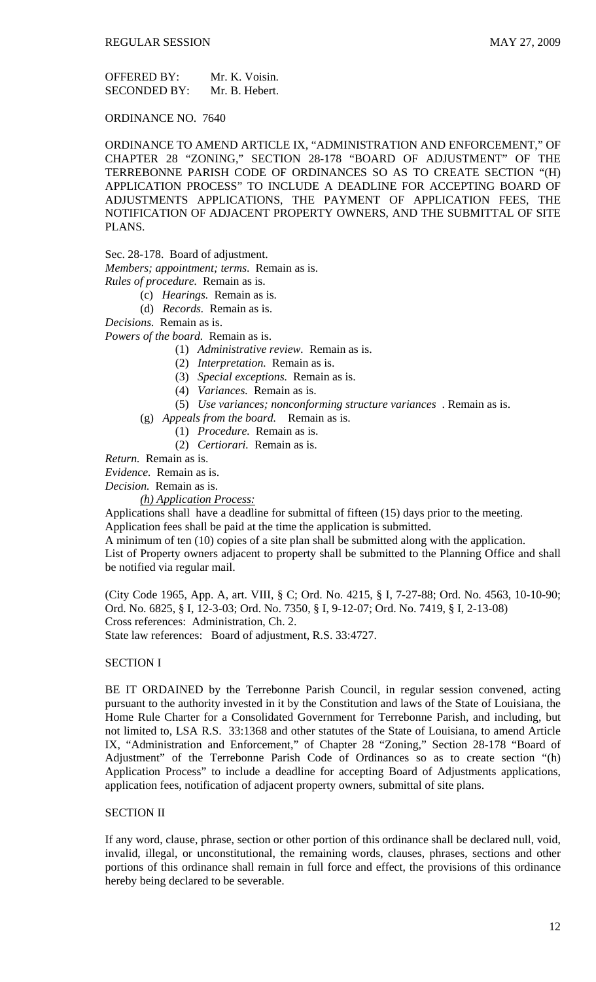OFFERED BY: Mr. K. Voisin.<br>SECONDED BY: Mr. B. Hebert. SECONDED BY:

ORDINANCE NO. 7640

ORDINANCE TO AMEND ARTICLE IX, "ADMINISTRATION AND ENFORCEMENT," OF CHAPTER 28 "ZONING," SECTION 28-178 "BOARD OF ADJUSTMENT" OF THE TERREBONNE PARISH CODE OF ORDINANCES SO AS TO CREATE SECTION "(H) APPLICATION PROCESS" TO INCLUDE A DEADLINE FOR ACCEPTING BOARD OF ADJUSTMENTS APPLICATIONS, THE PAYMENT OF APPLICATION FEES, THE NOTIFICATION OF ADJACENT PROPERTY OWNERS, AND THE SUBMITTAL OF SITE PLANS.

Sec. 28-178. Board of adjustment.

*Members; appointment; terms*. Remain as is.

*Rules of procedure.* Remain as is.

(c) *Hearings.* Remain as is.

(d) *Records.* Remain as is.

*Decisions.* Remain as is.

*Powers of the board.* Remain as is.

- (1) *Administrative review.* Remain as is.
- (2) *Interpretation.* Remain as is.
- (3) *Special exceptions.* Remain as is.
- (4) *Variances.* Remain as is.
- (5) *Use variances; nonconforming structure variances* . Remain as is.
- (g) *Appeals from the board.* Remain as is.
	- (1) *Procedure.* Remain as is.
	- (2) *Certiorari.* Remain as is.

*Return.* Remain as is.

*Evidence.* Remain as is.

*Decision.* Remain as is.

#### *(h) Application Process:*

Applications shall have a deadline for submittal of fifteen (15) days prior to the meeting. Application fees shall be paid at the time the application is submitted.

A minimum of ten (10) copies of a site plan shall be submitted along with the application. List of Property owners adjacent to property shall be submitted to the Planning Office and shall be notified via regular mail.

(City Code 1965, App. A, art. VIII, § C; Ord. No. 4215, § I, 7-27-88; Ord. No. 4563, 10-10-90; Ord. No. 6825, § I, 12-3-03; Ord. No. 7350, § I, 9-12-07; Ord. No. 7419, § I, 2-13-08) Cross references: Administration, Ch. 2.

State law references: Board of adjustment, R.S. 33:4727.

### SECTION I

BE IT ORDAINED by the Terrebonne Parish Council, in regular session convened, acting pursuant to the authority invested in it by the Constitution and laws of the State of Louisiana, the Home Rule Charter for a Consolidated Government for Terrebonne Parish, and including, but not limited to, LSA R.S. 33:1368 and other statutes of the State of Louisiana, to amend Article IX, "Administration and Enforcement," of Chapter 28 "Zoning," Section 28-178 "Board of Adjustment" of the Terrebonne Parish Code of Ordinances so as to create section "(h) Application Process" to include a deadline for accepting Board of Adjustments applications, application fees, notification of adjacent property owners, submittal of site plans.

#### SECTION II

If any word, clause, phrase, section or other portion of this ordinance shall be declared null, void, invalid, illegal, or unconstitutional, the remaining words, clauses, phrases, sections and other portions of this ordinance shall remain in full force and effect, the provisions of this ordinance hereby being declared to be severable.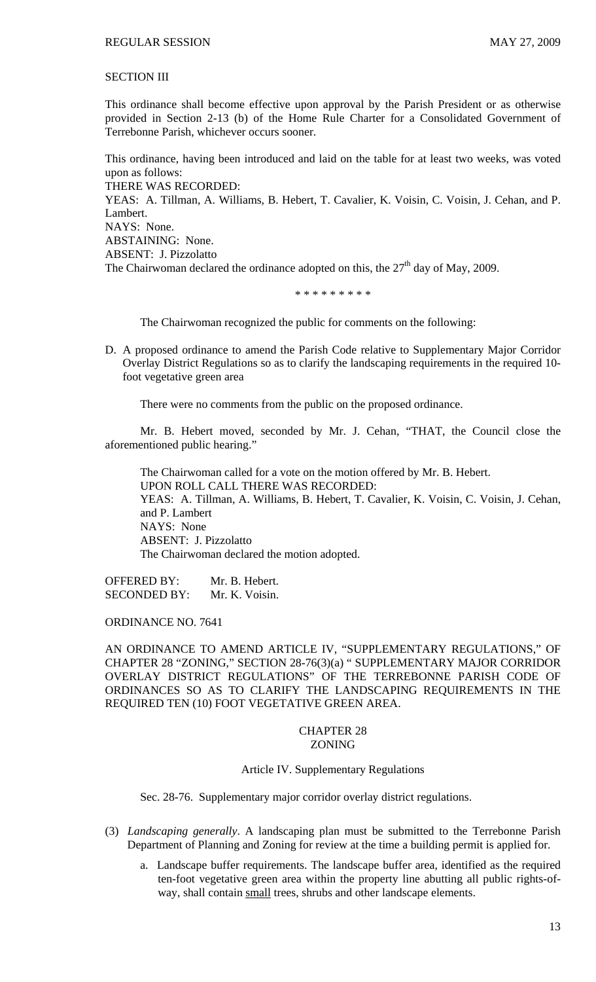### SECTION III

This ordinance shall become effective upon approval by the Parish President or as otherwise provided in Section 2-13 (b) of the Home Rule Charter for a Consolidated Government of Terrebonne Parish, whichever occurs sooner.

This ordinance, having been introduced and laid on the table for at least two weeks, was voted upon as follows: THERE WAS RECORDED: YEAS: A. Tillman, A. Williams, B. Hebert, T. Cavalier, K. Voisin, C. Voisin, J. Cehan, and P. Lambert. NAYS: None. ABSTAINING: None. ABSENT: J. Pizzolatto The Chairwoman declared the ordinance adopted on this, the  $27<sup>th</sup>$  day of May, 2009.

\* \* \* \* \* \* \* \* \*

The Chairwoman recognized the public for comments on the following:

D. A proposed ordinance to amend the Parish Code relative to Supplementary Major Corridor Overlay District Regulations so as to clarify the landscaping requirements in the required 10 foot vegetative green area

There were no comments from the public on the proposed ordinance.

 Mr. B. Hebert moved, seconded by Mr. J. Cehan, "THAT, the Council close the aforementioned public hearing."

 The Chairwoman called for a vote on the motion offered by Mr. B. Hebert. UPON ROLL CALL THERE WAS RECORDED: YEAS: A. Tillman, A. Williams, B. Hebert, T. Cavalier, K. Voisin, C. Voisin, J. Cehan, and P. Lambert NAYS: None ABSENT: J. Pizzolatto The Chairwoman declared the motion adopted.

OFFERED BY: Mr. B. Hebert. SECONDED BY: Mr. K. Voisin.

ORDINANCE NO. 7641

AN ORDINANCE TO AMEND ARTICLE IV, "SUPPLEMENTARY REGULATIONS," OF CHAPTER 28 "ZONING," SECTION 28-76(3)(a) " SUPPLEMENTARY MAJOR CORRIDOR OVERLAY DISTRICT REGULATIONS" OF THE TERREBONNE PARISH CODE OF ORDINANCES SO AS TO CLARIFY THE LANDSCAPING REQUIREMENTS IN THE REQUIRED TEN (10) FOOT VEGETATIVE GREEN AREA.

#### CHAPTER 28 ZONING

Article IV. Supplementary Regulations

Sec. 28-76. Supplementary major corridor overlay district regulations.

- (3) *Landscaping generally*. A landscaping plan must be submitted to the Terrebonne Parish Department of Planning and Zoning for review at the time a building permit is applied for.
	- a. Landscape buffer requirements. The landscape buffer area, identified as the required ten-foot vegetative green area within the property line abutting all public rights-ofway, shall contain small trees, shrubs and other landscape elements.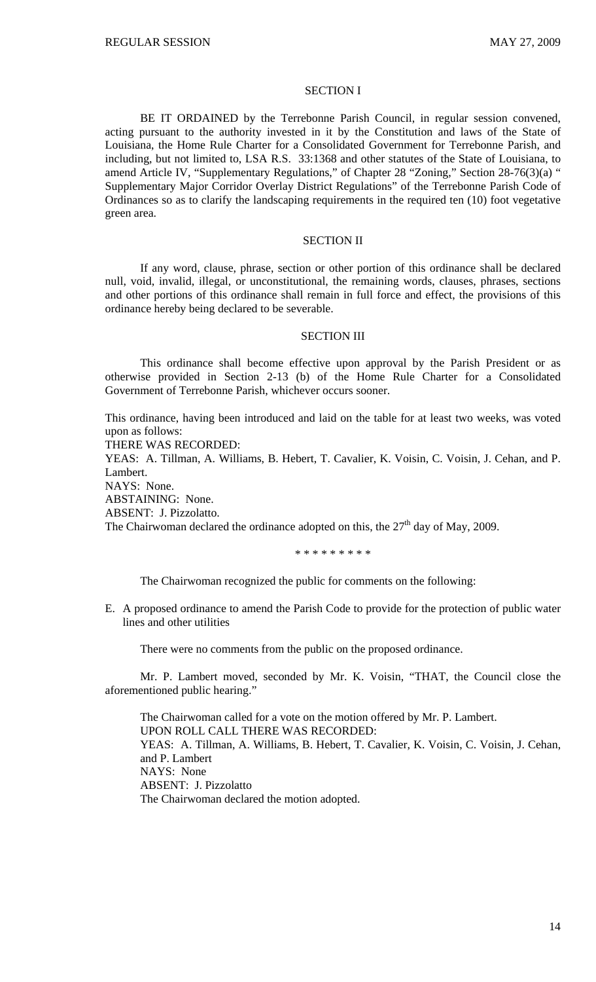#### SECTION I

BE IT ORDAINED by the Terrebonne Parish Council, in regular session convened, acting pursuant to the authority invested in it by the Constitution and laws of the State of Louisiana, the Home Rule Charter for a Consolidated Government for Terrebonne Parish, and including, but not limited to, LSA R.S. 33:1368 and other statutes of the State of Louisiana, to amend Article IV, "Supplementary Regulations," of Chapter 28 "Zoning," Section 28-76(3)(a) " Supplementary Major Corridor Overlay District Regulations" of the Terrebonne Parish Code of Ordinances so as to clarify the landscaping requirements in the required ten (10) foot vegetative green area.

### SECTION II

If any word, clause, phrase, section or other portion of this ordinance shall be declared null, void, invalid, illegal, or unconstitutional, the remaining words, clauses, phrases, sections and other portions of this ordinance shall remain in full force and effect, the provisions of this ordinance hereby being declared to be severable.

#### SECTION III

This ordinance shall become effective upon approval by the Parish President or as otherwise provided in Section 2-13 (b) of the Home Rule Charter for a Consolidated Government of Terrebonne Parish, whichever occurs sooner.

This ordinance, having been introduced and laid on the table for at least two weeks, was voted upon as follows:

THERE WAS RECORDED:

YEAS: A. Tillman, A. Williams, B. Hebert, T. Cavalier, K. Voisin, C. Voisin, J. Cehan, and P. Lambert.

NAYS: None.

ABSTAINING: None.

ABSENT: J. Pizzolatto.

The Chairwoman declared the ordinance adopted on this, the  $27<sup>th</sup>$  day of May, 2009.

\* \* \* \* \* \* \* \* \*

The Chairwoman recognized the public for comments on the following:

E. A proposed ordinance to amend the Parish Code to provide for the protection of public water lines and other utilities

There were no comments from the public on the proposed ordinance.

 Mr. P. Lambert moved, seconded by Mr. K. Voisin, "THAT, the Council close the aforementioned public hearing."

 The Chairwoman called for a vote on the motion offered by Mr. P. Lambert. UPON ROLL CALL THERE WAS RECORDED: YEAS: A. Tillman, A. Williams, B. Hebert, T. Cavalier, K. Voisin, C. Voisin, J. Cehan, and P. Lambert NAYS: None ABSENT: J. Pizzolatto The Chairwoman declared the motion adopted.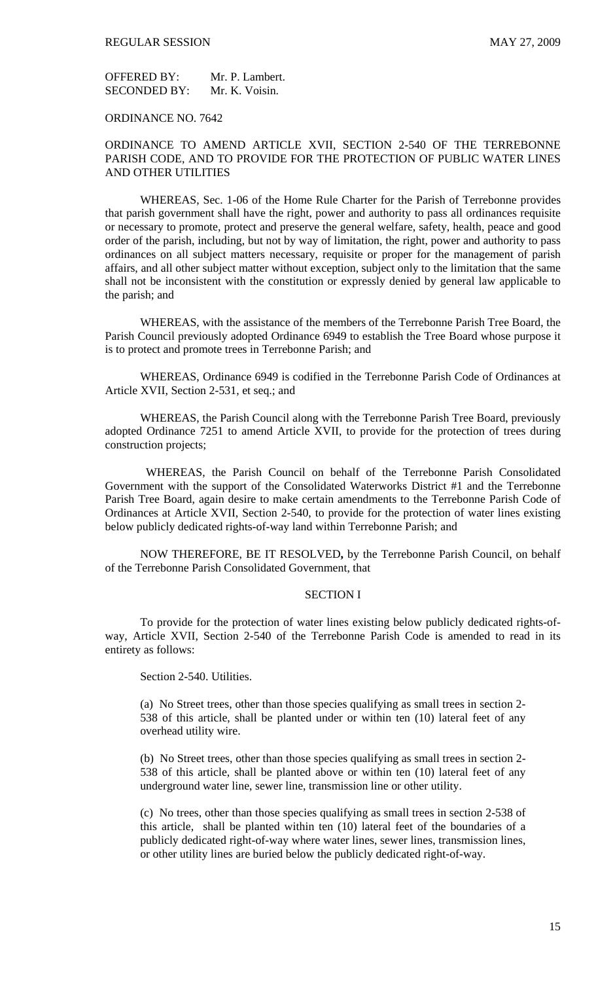OFFERED BY: Mr. P. Lambert. SECONDED BY: Mr. K. Voisin.

ORDINANCE NO. 7642

### ORDINANCE TO AMEND ARTICLE XVII, SECTION 2-540 OF THE TERREBONNE PARISH CODE, AND TO PROVIDE FOR THE PROTECTION OF PUBLIC WATER LINES AND OTHER UTILITIES

WHEREAS, Sec. 1-06 of the Home Rule Charter for the Parish of Terrebonne provides that parish government shall have the right, power and authority to pass all ordinances requisite or necessary to promote, protect and preserve the general welfare, safety, health, peace and good order of the parish, including, but not by way of limitation, the right, power and authority to pass ordinances on all subject matters necessary, requisite or proper for the management of parish affairs, and all other subject matter without exception, subject only to the limitation that the same shall not be inconsistent with the constitution or expressly denied by general law applicable to the parish; and

WHEREAS, with the assistance of the members of the Terrebonne Parish Tree Board, the Parish Council previously adopted Ordinance 6949 to establish the Tree Board whose purpose it is to protect and promote trees in Terrebonne Parish; and

WHEREAS, Ordinance 6949 is codified in the Terrebonne Parish Code of Ordinances at Article XVII, Section 2-531, et seq.; and

WHEREAS, the Parish Council along with the Terrebonne Parish Tree Board, previously adopted Ordinance 7251 to amend Article XVII, to provide for the protection of trees during construction projects;

 WHEREAS, the Parish Council on behalf of the Terrebonne Parish Consolidated Government with the support of the Consolidated Waterworks District #1 and the Terrebonne Parish Tree Board, again desire to make certain amendments to the Terrebonne Parish Code of Ordinances at Article XVII, Section 2-540, to provide for the protection of water lines existing below publicly dedicated rights-of-way land within Terrebonne Parish; and

NOW THEREFORE, BE IT RESOLVED**,** by the Terrebonne Parish Council, on behalf of the Terrebonne Parish Consolidated Government, that

### SECTION I

To provide for the protection of water lines existing below publicly dedicated rights-ofway, Article XVII, Section 2-540 of the Terrebonne Parish Code is amended to read in its entirety as follows:

Section 2-540. Utilities.

(a) No Street trees, other than those species qualifying as small trees in section 2- 538 of this article, shall be planted under or within ten (10) lateral feet of any overhead utility wire.

(b) No Street trees, other than those species qualifying as small trees in section 2- 538 of this article, shall be planted above or within ten (10) lateral feet of any underground water line, sewer line, transmission line or other utility.

(c) No trees, other than those species qualifying as small trees in section 2-538 of this article, shall be planted within ten (10) lateral feet of the boundaries of a publicly dedicated right-of-way where water lines, sewer lines, transmission lines, or other utility lines are buried below the publicly dedicated right-of-way.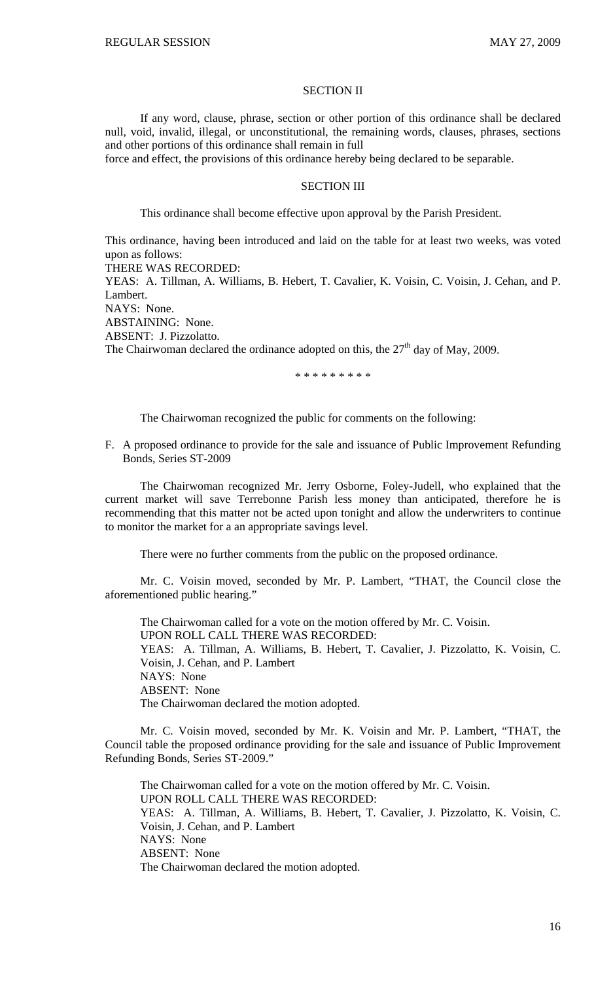#### SECTION II

 If any word, clause, phrase, section or other portion of this ordinance shall be declared null, void, invalid, illegal, or unconstitutional, the remaining words, clauses, phrases, sections and other portions of this ordinance shall remain in full

force and effect, the provisions of this ordinance hereby being declared to be separable.

### SECTION III

This ordinance shall become effective upon approval by the Parish President.

This ordinance, having been introduced and laid on the table for at least two weeks, was voted upon as follows:

THERE WAS RECORDED:

YEAS: A. Tillman, A. Williams, B. Hebert, T. Cavalier, K. Voisin, C. Voisin, J. Cehan, and P. Lambert.

NAYS: None.

ABSTAINING: None.

ABSENT: J. Pizzolatto.

The Chairwoman declared the ordinance adopted on this, the  $27<sup>th</sup>$  day of May, 2009.

\* \* \* \* \* \* \* \* \*

The Chairwoman recognized the public for comments on the following:

F. A proposed ordinance to provide for the sale and issuance of Public Improvement Refunding Bonds, Series ST-2009

 The Chairwoman recognized Mr. Jerry Osborne, Foley-Judell, who explained that the current market will save Terrebonne Parish less money than anticipated, therefore he is recommending that this matter not be acted upon tonight and allow the underwriters to continue to monitor the market for a an appropriate savings level.

There were no further comments from the public on the proposed ordinance.

 Mr. C. Voisin moved, seconded by Mr. P. Lambert, "THAT, the Council close the aforementioned public hearing."

 The Chairwoman called for a vote on the motion offered by Mr. C. Voisin. UPON ROLL CALL THERE WAS RECORDED: YEAS: A. Tillman, A. Williams, B. Hebert, T. Cavalier, J. Pizzolatto, K. Voisin, C. Voisin, J. Cehan, and P. Lambert NAYS: None ABSENT: None The Chairwoman declared the motion adopted.

 Mr. C. Voisin moved, seconded by Mr. K. Voisin and Mr. P. Lambert, "THAT, the Council table the proposed ordinance providing for the sale and issuance of Public Improvement Refunding Bonds, Series ST-2009."

 The Chairwoman called for a vote on the motion offered by Mr. C. Voisin. UPON ROLL CALL THERE WAS RECORDED: YEAS: A. Tillman, A. Williams, B. Hebert, T. Cavalier, J. Pizzolatto, K. Voisin, C. Voisin, J. Cehan, and P. Lambert NAYS: None ABSENT: None The Chairwoman declared the motion adopted.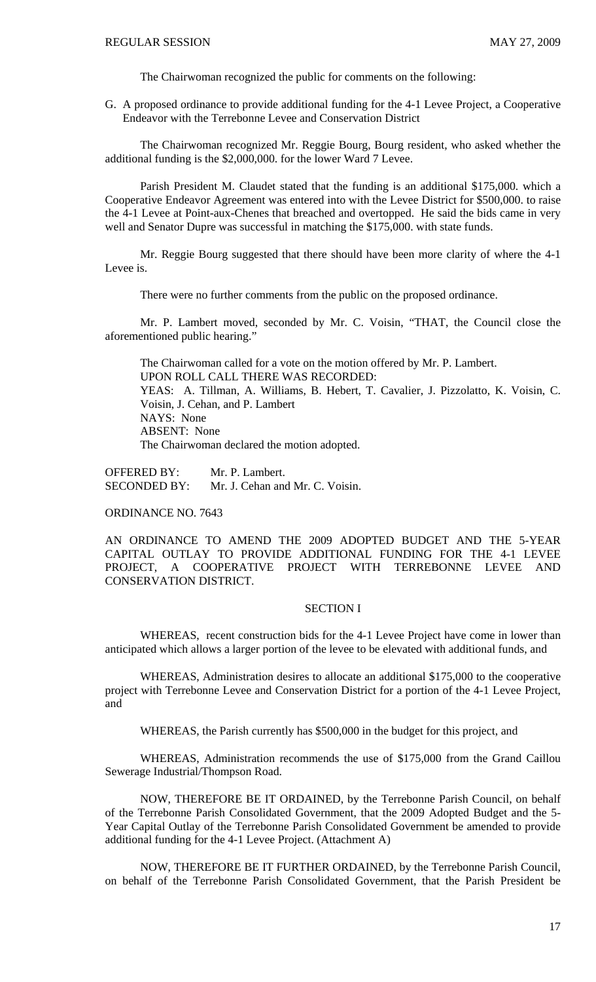The Chairwoman recognized the public for comments on the following:

G. A proposed ordinance to provide additional funding for the 4-1 Levee Project, a Cooperative Endeavor with the Terrebonne Levee and Conservation District

 The Chairwoman recognized Mr. Reggie Bourg, Bourg resident, who asked whether the additional funding is the \$2,000,000. for the lower Ward 7 Levee.

 Parish President M. Claudet stated that the funding is an additional \$175,000. which a Cooperative Endeavor Agreement was entered into with the Levee District for \$500,000. to raise the 4-1 Levee at Point-aux-Chenes that breached and overtopped. He said the bids came in very well and Senator Dupre was successful in matching the \$175,000. with state funds.

 Mr. Reggie Bourg suggested that there should have been more clarity of where the 4-1 Levee is.

There were no further comments from the public on the proposed ordinance.

 Mr. P. Lambert moved, seconded by Mr. C. Voisin, "THAT, the Council close the aforementioned public hearing."

 The Chairwoman called for a vote on the motion offered by Mr. P. Lambert. UPON ROLL CALL THERE WAS RECORDED: YEAS: A. Tillman, A. Williams, B. Hebert, T. Cavalier, J. Pizzolatto, K. Voisin, C. Voisin, J. Cehan, and P. Lambert NAYS: None ABSENT: None The Chairwoman declared the motion adopted.

OFFERED BY: Mr. P. Lambert. SECONDED BY: Mr. J. Cehan and Mr. C. Voisin.

ORDINANCE NO. 7643

AN ORDINANCE TO AMEND THE 2009 ADOPTED BUDGET AND THE 5-YEAR CAPITAL OUTLAY TO PROVIDE ADDITIONAL FUNDING FOR THE 4-1 LEVEE PROJECT, A COOPERATIVE PROJECT WITH TERREBONNE LEVEE AND CONSERVATION DISTRICT.

#### SECTION I

 WHEREAS, recent construction bids for the 4-1 Levee Project have come in lower than anticipated which allows a larger portion of the levee to be elevated with additional funds, and

WHEREAS, Administration desires to allocate an additional \$175,000 to the cooperative project with Terrebonne Levee and Conservation District for a portion of the 4-1 Levee Project, and

WHEREAS, the Parish currently has \$500,000 in the budget for this project, and

WHEREAS, Administration recommends the use of \$175,000 from the Grand Caillou Sewerage Industrial/Thompson Road.

 NOW, THEREFORE BE IT ORDAINED, by the Terrebonne Parish Council, on behalf of the Terrebonne Parish Consolidated Government, that the 2009 Adopted Budget and the 5- Year Capital Outlay of the Terrebonne Parish Consolidated Government be amended to provide additional funding for the 4-1 Levee Project. (Attachment A)

NOW, THEREFORE BE IT FURTHER ORDAINED, by the Terrebonne Parish Council, on behalf of the Terrebonne Parish Consolidated Government, that the Parish President be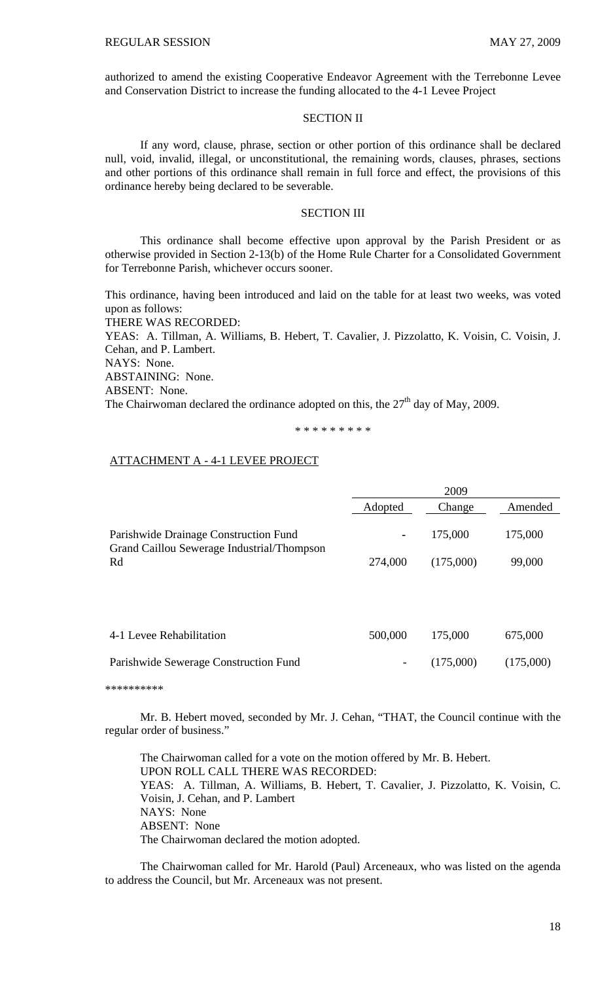authorized to amend the existing Cooperative Endeavor Agreement with the Terrebonne Levee and Conservation District to increase the funding allocated to the 4-1 Levee Project

### SECTION II

 If any word, clause, phrase, section or other portion of this ordinance shall be declared null, void, invalid, illegal, or unconstitutional, the remaining words, clauses, phrases, sections and other portions of this ordinance shall remain in full force and effect, the provisions of this ordinance hereby being declared to be severable.

#### SECTION III

 This ordinance shall become effective upon approval by the Parish President or as otherwise provided in Section 2-13(b) of the Home Rule Charter for a Consolidated Government for Terrebonne Parish, whichever occurs sooner.

This ordinance, having been introduced and laid on the table for at least two weeks, was voted upon as follows:

THERE WAS RECORDED:

YEAS: A. Tillman, A. Williams, B. Hebert, T. Cavalier, J. Pizzolatto, K. Voisin, C. Voisin, J. Cehan, and P. Lambert.

NAYS: None.

ABSTAINING: None.

ABSENT: None.

The Chairwoman declared the ordinance adopted on this, the  $27<sup>th</sup>$  day of May, 2009.

\* \* \* \* \* \* \* \* \*

### ATTACHMENT A - 4-1 LEVEE PROJECT

|                                                                                     | 2009           |           |           |
|-------------------------------------------------------------------------------------|----------------|-----------|-----------|
|                                                                                     | Adopted        | Change    | Amended   |
| Parishwide Drainage Construction Fund<br>Grand Caillou Sewerage Industrial/Thompson | $\blacksquare$ | 175,000   | 175,000   |
| Rd                                                                                  | 274,000        | (175,000) | 99,000    |
|                                                                                     |                |           |           |
| 4-1 Levee Rehabilitation                                                            | 500,000        | 175,000   | 675,000   |
| Parishwide Sewerage Construction Fund                                               | -              | (175,000) | (175,000) |
|                                                                                     |                |           |           |

\*\*\*\*\*\*\*\*\*\*

 Mr. B. Hebert moved, seconded by Mr. J. Cehan, "THAT, the Council continue with the regular order of business."

 The Chairwoman called for a vote on the motion offered by Mr. B. Hebert. UPON ROLL CALL THERE WAS RECORDED: YEAS: A. Tillman, A. Williams, B. Hebert, T. Cavalier, J. Pizzolatto, K. Voisin, C. Voisin, J. Cehan, and P. Lambert NAYS: None ABSENT: None The Chairwoman declared the motion adopted.

 The Chairwoman called for Mr. Harold (Paul) Arceneaux, who was listed on the agenda to address the Council, but Mr. Arceneaux was not present.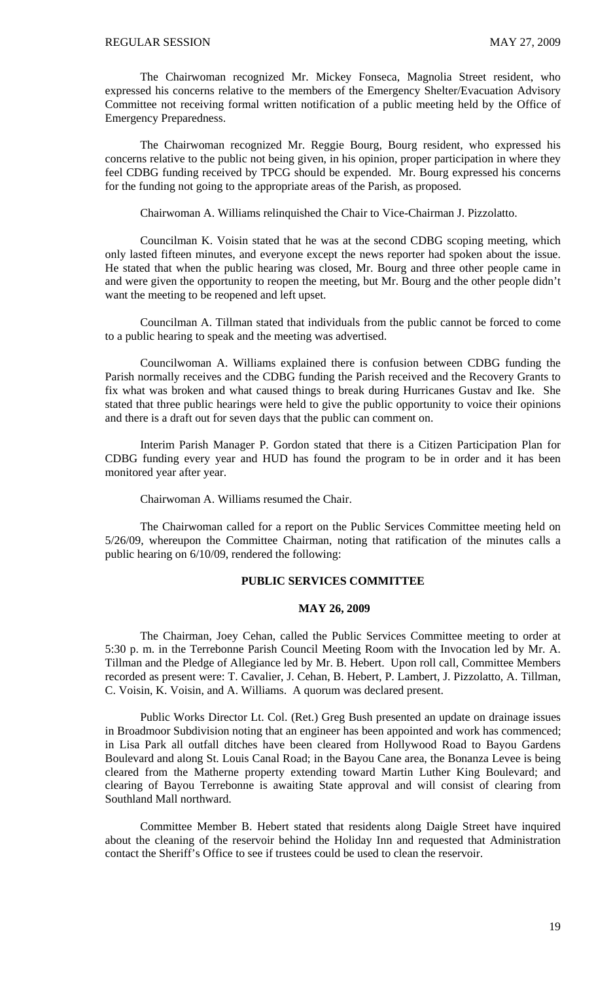The Chairwoman recognized Mr. Mickey Fonseca, Magnolia Street resident, who expressed his concerns relative to the members of the Emergency Shelter/Evacuation Advisory Committee not receiving formal written notification of a public meeting held by the Office of Emergency Preparedness.

 The Chairwoman recognized Mr. Reggie Bourg, Bourg resident, who expressed his concerns relative to the public not being given, in his opinion, proper participation in where they feel CDBG funding received by TPCG should be expended. Mr. Bourg expressed his concerns for the funding not going to the appropriate areas of the Parish, as proposed.

Chairwoman A. Williams relinquished the Chair to Vice-Chairman J. Pizzolatto.

 Councilman K. Voisin stated that he was at the second CDBG scoping meeting, which only lasted fifteen minutes, and everyone except the news reporter had spoken about the issue. He stated that when the public hearing was closed, Mr. Bourg and three other people came in and were given the opportunity to reopen the meeting, but Mr. Bourg and the other people didn't want the meeting to be reopened and left upset.

 Councilman A. Tillman stated that individuals from the public cannot be forced to come to a public hearing to speak and the meeting was advertised.

 Councilwoman A. Williams explained there is confusion between CDBG funding the Parish normally receives and the CDBG funding the Parish received and the Recovery Grants to fix what was broken and what caused things to break during Hurricanes Gustav and Ike. She stated that three public hearings were held to give the public opportunity to voice their opinions and there is a draft out for seven days that the public can comment on.

 Interim Parish Manager P. Gordon stated that there is a Citizen Participation Plan for CDBG funding every year and HUD has found the program to be in order and it has been monitored year after year.

Chairwoman A. Williams resumed the Chair.

 The Chairwoman called for a report on the Public Services Committee meeting held on 5/26/09, whereupon the Committee Chairman, noting that ratification of the minutes calls a public hearing on 6/10/09, rendered the following:

### **PUBLIC SERVICES COMMITTEE**

### **MAY 26, 2009**

 The Chairman, Joey Cehan, called the Public Services Committee meeting to order at 5:30 p. m. in the Terrebonne Parish Council Meeting Room with the Invocation led by Mr. A. Tillman and the Pledge of Allegiance led by Mr. B. Hebert. Upon roll call, Committee Members recorded as present were: T. Cavalier, J. Cehan, B. Hebert, P. Lambert, J. Pizzolatto, A. Tillman, C. Voisin, K. Voisin, and A. Williams. A quorum was declared present.

 Public Works Director Lt. Col. (Ret.) Greg Bush presented an update on drainage issues in Broadmoor Subdivision noting that an engineer has been appointed and work has commenced; in Lisa Park all outfall ditches have been cleared from Hollywood Road to Bayou Gardens Boulevard and along St. Louis Canal Road; in the Bayou Cane area, the Bonanza Levee is being cleared from the Matherne property extending toward Martin Luther King Boulevard; and clearing of Bayou Terrebonne is awaiting State approval and will consist of clearing from Southland Mall northward.

 Committee Member B. Hebert stated that residents along Daigle Street have inquired about the cleaning of the reservoir behind the Holiday Inn and requested that Administration contact the Sheriff's Office to see if trustees could be used to clean the reservoir.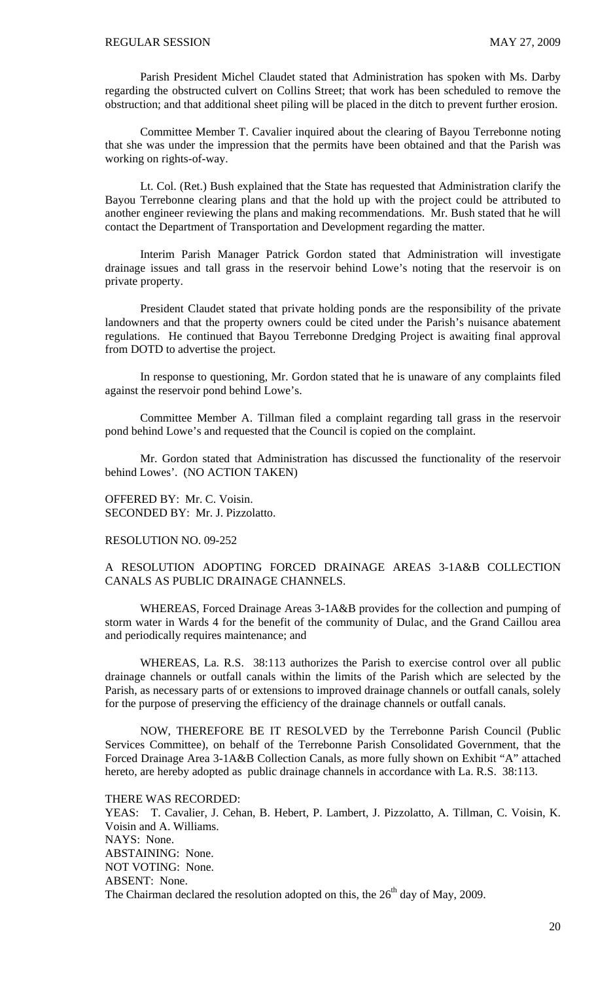Parish President Michel Claudet stated that Administration has spoken with Ms. Darby regarding the obstructed culvert on Collins Street; that work has been scheduled to remove the obstruction; and that additional sheet piling will be placed in the ditch to prevent further erosion.

 Committee Member T. Cavalier inquired about the clearing of Bayou Terrebonne noting that she was under the impression that the permits have been obtained and that the Parish was working on rights-of-way.

 Lt. Col. (Ret.) Bush explained that the State has requested that Administration clarify the Bayou Terrebonne clearing plans and that the hold up with the project could be attributed to another engineer reviewing the plans and making recommendations. Mr. Bush stated that he will contact the Department of Transportation and Development regarding the matter.

 Interim Parish Manager Patrick Gordon stated that Administration will investigate drainage issues and tall grass in the reservoir behind Lowe's noting that the reservoir is on private property.

 President Claudet stated that private holding ponds are the responsibility of the private landowners and that the property owners could be cited under the Parish's nuisance abatement regulations. He continued that Bayou Terrebonne Dredging Project is awaiting final approval from DOTD to advertise the project.

 In response to questioning, Mr. Gordon stated that he is unaware of any complaints filed against the reservoir pond behind Lowe's.

 Committee Member A. Tillman filed a complaint regarding tall grass in the reservoir pond behind Lowe's and requested that the Council is copied on the complaint.

Mr. Gordon stated that Administration has discussed the functionality of the reservoir behind Lowes'. (NO ACTION TAKEN)

OFFERED BY: Mr. C. Voisin. SECONDED BY: Mr. J. Pizzolatto.

### RESOLUTION NO. 09-252

A RESOLUTION ADOPTING FORCED DRAINAGE AREAS 3-1A&B COLLECTION CANALS AS PUBLIC DRAINAGE CHANNELS.

 WHEREAS, Forced Drainage Areas 3-1A&B provides for the collection and pumping of storm water in Wards 4 for the benefit of the community of Dulac, and the Grand Caillou area and periodically requires maintenance; and

 WHEREAS, La. R.S. 38:113 authorizes the Parish to exercise control over all public drainage channels or outfall canals within the limits of the Parish which are selected by the Parish, as necessary parts of or extensions to improved drainage channels or outfall canals, solely for the purpose of preserving the efficiency of the drainage channels or outfall canals.

 NOW, THEREFORE BE IT RESOLVED by the Terrebonne Parish Council (Public Services Committee), on behalf of the Terrebonne Parish Consolidated Government, that the Forced Drainage Area 3-1A&B Collection Canals, as more fully shown on Exhibit "A" attached hereto, are hereby adopted as public drainage channels in accordance with La. R.S. 38:113.

THERE WAS RECORDED:

YEAS: T. Cavalier, J. Cehan, B. Hebert, P. Lambert, J. Pizzolatto, A. Tillman, C. Voisin, K. Voisin and A. Williams. NAYS: None. ABSTAINING: None. NOT VOTING: None. ABSENT: None. The Chairman declared the resolution adopted on this, the  $26<sup>th</sup>$  day of May, 2009.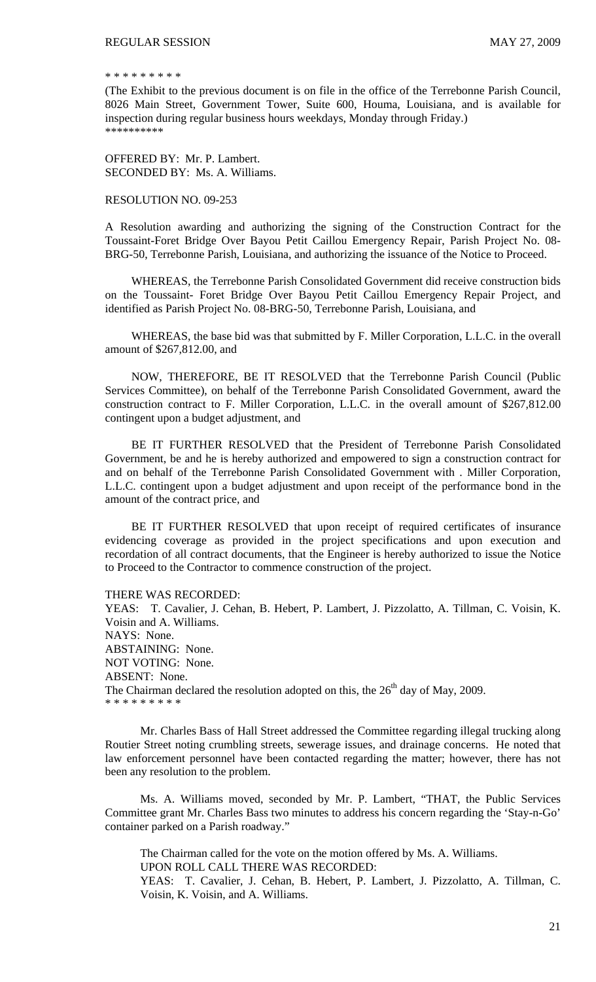#### \* \* \* \* \* \* \* \* \*

(The Exhibit to the previous document is on file in the office of the Terrebonne Parish Council, 8026 Main Street, Government Tower, Suite 600, Houma, Louisiana, and is available for inspection during regular business hours weekdays, Monday through Friday.) \*\*\*\*\*\*\*\*\*\*

OFFERED BY: Mr. P. Lambert. SECONDED BY: Ms. A. Williams.

#### RESOLUTION NO. 09-253

A Resolution awarding and authorizing the signing of the Construction Contract for the Toussaint-Foret Bridge Over Bayou Petit Caillou Emergency Repair, Parish Project No. 08- BRG-50, Terrebonne Parish, Louisiana, and authorizing the issuance of the Notice to Proceed.

 WHEREAS, the Terrebonne Parish Consolidated Government did receive construction bids on the Toussaint- Foret Bridge Over Bayou Petit Caillou Emergency Repair Project, and identified as Parish Project No. 08-BRG-50, Terrebonne Parish, Louisiana, and

 WHEREAS, the base bid was that submitted by F. Miller Corporation, L.L.C. in the overall amount of \$267,812.00, and

 NOW, THEREFORE, BE IT RESOLVED that the Terrebonne Parish Council (Public Services Committee), on behalf of the Terrebonne Parish Consolidated Government, award the construction contract to F. Miller Corporation, L.L.C. in the overall amount of \$267,812.00 contingent upon a budget adjustment, and

 BE IT FURTHER RESOLVED that the President of Terrebonne Parish Consolidated Government, be and he is hereby authorized and empowered to sign a construction contract for and on behalf of the Terrebonne Parish Consolidated Government with . Miller Corporation, L.L.C. contingent upon a budget adjustment and upon receipt of the performance bond in the amount of the contract price, and

 BE IT FURTHER RESOLVED that upon receipt of required certificates of insurance evidencing coverage as provided in the project specifications and upon execution and recordation of all contract documents, that the Engineer is hereby authorized to issue the Notice to Proceed to the Contractor to commence construction of the project.

THERE WAS RECORDED:

YEAS: T. Cavalier, J. Cehan, B. Hebert, P. Lambert, J. Pizzolatto, A. Tillman, C. Voisin, K. Voisin and A. Williams. NAYS: None. ABSTAINING: None. NOT VOTING: None. ABSENT: None. The Chairman declared the resolution adopted on this, the  $26<sup>th</sup>$  day of May, 2009. \* \* \* \* \* \* \* \* \*

 Mr. Charles Bass of Hall Street addressed the Committee regarding illegal trucking along Routier Street noting crumbling streets, sewerage issues, and drainage concerns. He noted that law enforcement personnel have been contacted regarding the matter; however, there has not been any resolution to the problem.

 Ms. A. Williams moved, seconded by Mr. P. Lambert, "THAT, the Public Services Committee grant Mr. Charles Bass two minutes to address his concern regarding the 'Stay-n-Go' container parked on a Parish roadway."

The Chairman called for the vote on the motion offered by Ms. A. Williams. UPON ROLL CALL THERE WAS RECORDED:

YEAS: T. Cavalier, J. Cehan, B. Hebert, P. Lambert, J. Pizzolatto, A. Tillman, C. Voisin, K. Voisin, and A. Williams.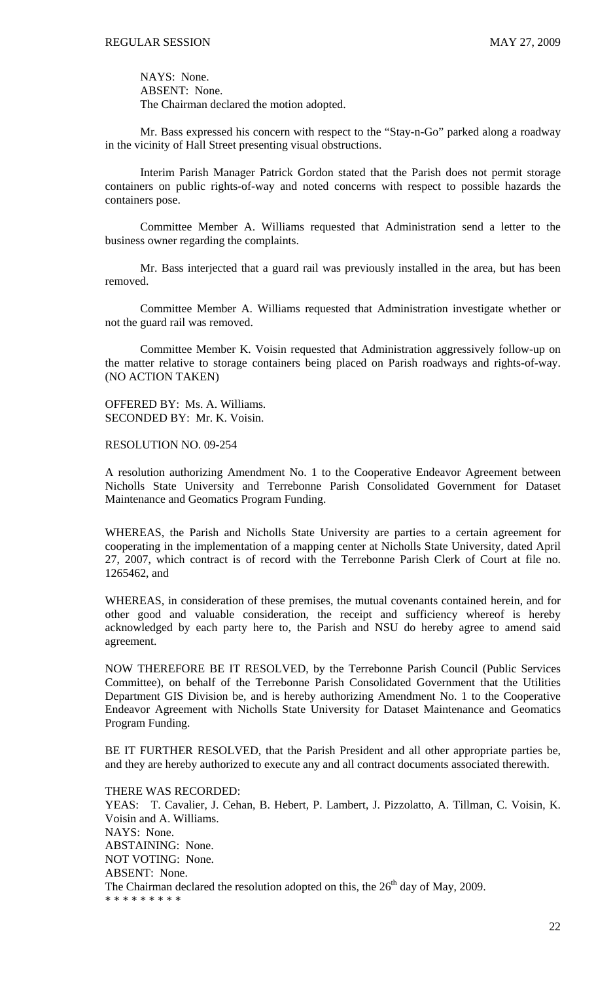NAYS: None. ABSENT: None. The Chairman declared the motion adopted.

 Mr. Bass expressed his concern with respect to the "Stay-n-Go" parked along a roadway in the vicinity of Hall Street presenting visual obstructions.

 Interim Parish Manager Patrick Gordon stated that the Parish does not permit storage containers on public rights-of-way and noted concerns with respect to possible hazards the containers pose.

 Committee Member A. Williams requested that Administration send a letter to the business owner regarding the complaints.

 Mr. Bass interjected that a guard rail was previously installed in the area, but has been removed.

 Committee Member A. Williams requested that Administration investigate whether or not the guard rail was removed.

 Committee Member K. Voisin requested that Administration aggressively follow-up on the matter relative to storage containers being placed on Parish roadways and rights-of-way. (NO ACTION TAKEN)

OFFERED BY: Ms. A. Williams. SECONDED BY: Mr. K. Voisin.

RESOLUTION NO. 09-254

A resolution authorizing Amendment No. 1 to the Cooperative Endeavor Agreement between Nicholls State University and Terrebonne Parish Consolidated Government for Dataset Maintenance and Geomatics Program Funding.

WHEREAS, the Parish and Nicholls State University are parties to a certain agreement for cooperating in the implementation of a mapping center at Nicholls State University, dated April 27, 2007, which contract is of record with the Terrebonne Parish Clerk of Court at file no. 1265462, and

WHEREAS, in consideration of these premises, the mutual covenants contained herein, and for other good and valuable consideration, the receipt and sufficiency whereof is hereby acknowledged by each party here to, the Parish and NSU do hereby agree to amend said agreement.

NOW THEREFORE BE IT RESOLVED, by the Terrebonne Parish Council (Public Services Committee), on behalf of the Terrebonne Parish Consolidated Government that the Utilities Department GIS Division be, and is hereby authorizing Amendment No. 1 to the Cooperative Endeavor Agreement with Nicholls State University for Dataset Maintenance and Geomatics Program Funding.

BE IT FURTHER RESOLVED, that the Parish President and all other appropriate parties be, and they are hereby authorized to execute any and all contract documents associated therewith.

THERE WAS RECORDED:

YEAS: T. Cavalier, J. Cehan, B. Hebert, P. Lambert, J. Pizzolatto, A. Tillman, C. Voisin, K. Voisin and A. Williams. NAYS: None. ABSTAINING: None. NOT VOTING: None. ABSENT: None. The Chairman declared the resolution adopted on this, the  $26<sup>th</sup>$  day of May, 2009. \* \* \* \* \* \* \* \* \*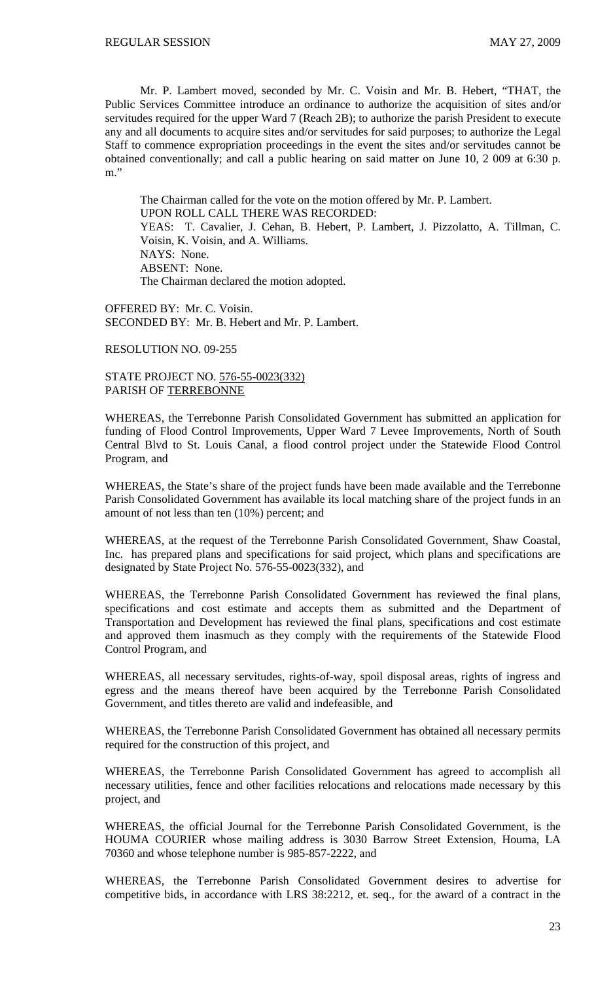Mr. P. Lambert moved, seconded by Mr. C. Voisin and Mr. B. Hebert, "THAT, the Public Services Committee introduce an ordinance to authorize the acquisition of sites and/or servitudes required for the upper Ward 7 (Reach 2B); to authorize the parish President to execute any and all documents to acquire sites and/or servitudes for said purposes; to authorize the Legal Staff to commence expropriation proceedings in the event the sites and/or servitudes cannot be obtained conventionally; and call a public hearing on said matter on June 10, 2 009 at 6:30 p. m."

The Chairman called for the vote on the motion offered by Mr. P. Lambert. UPON ROLL CALL THERE WAS RECORDED: YEAS: T. Cavalier, J. Cehan, B. Hebert, P. Lambert, J. Pizzolatto, A. Tillman, C. Voisin, K. Voisin, and A. Williams. NAYS: None. ABSENT: None. The Chairman declared the motion adopted.

OFFERED BY: Mr. C. Voisin. SECONDED BY: Mr. B. Hebert and Mr. P. Lambert.

### RESOLUTION NO. 09-255

STATE PROJECT NO. 576-55-0023(332) PARISH OF TERREBONNE

WHEREAS, the Terrebonne Parish Consolidated Government has submitted an application for funding of Flood Control Improvements, Upper Ward 7 Levee Improvements, North of South Central Blvd to St. Louis Canal, a flood control project under the Statewide Flood Control Program, and

WHEREAS, the State's share of the project funds have been made available and the Terrebonne Parish Consolidated Government has available its local matching share of the project funds in an amount of not less than ten (10%) percent; and

WHEREAS, at the request of the Terrebonne Parish Consolidated Government, Shaw Coastal, Inc. has prepared plans and specifications for said project, which plans and specifications are designated by State Project No. 576-55-0023(332), and

WHEREAS, the Terrebonne Parish Consolidated Government has reviewed the final plans, specifications and cost estimate and accepts them as submitted and the Department of Transportation and Development has reviewed the final plans, specifications and cost estimate and approved them inasmuch as they comply with the requirements of the Statewide Flood Control Program, and

WHEREAS, all necessary servitudes, rights-of-way, spoil disposal areas, rights of ingress and egress and the means thereof have been acquired by the Terrebonne Parish Consolidated Government, and titles thereto are valid and indefeasible, and

WHEREAS, the Terrebonne Parish Consolidated Government has obtained all necessary permits required for the construction of this project, and

WHEREAS, the Terrebonne Parish Consolidated Government has agreed to accomplish all necessary utilities, fence and other facilities relocations and relocations made necessary by this project, and

WHEREAS, the official Journal for the Terrebonne Parish Consolidated Government, is the HOUMA COURIER whose mailing address is 3030 Barrow Street Extension, Houma, LA 70360 and whose telephone number is 985-857-2222, and

WHEREAS, the Terrebonne Parish Consolidated Government desires to advertise for competitive bids, in accordance with LRS 38:2212, et. seq., for the award of a contract in the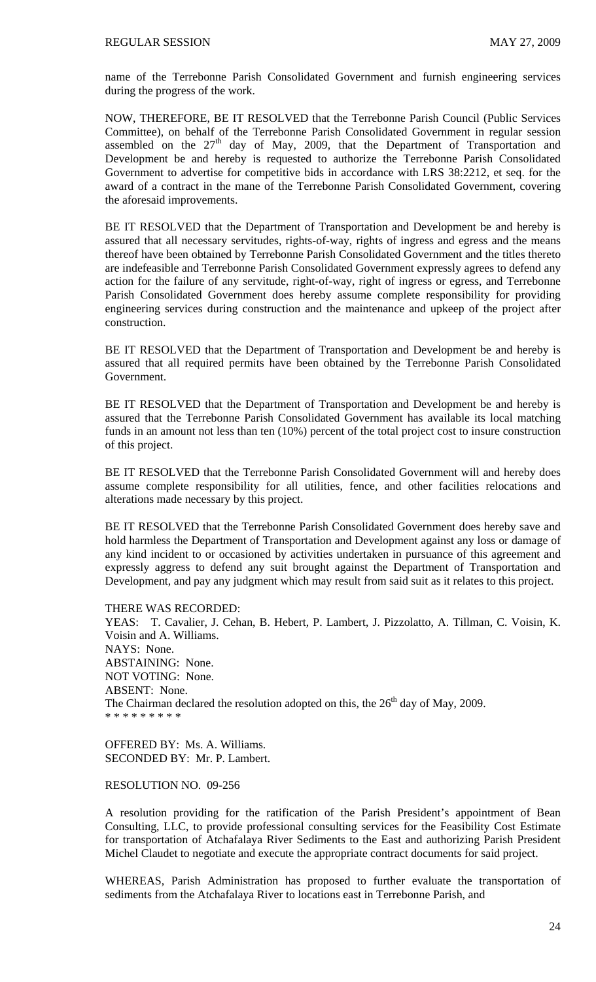name of the Terrebonne Parish Consolidated Government and furnish engineering services during the progress of the work.

NOW, THEREFORE, BE IT RESOLVED that the Terrebonne Parish Council (Public Services Committee), on behalf of the Terrebonne Parish Consolidated Government in regular session assembled on the  $27<sup>th</sup>$  day of May, 2009, that the Department of Transportation and Development be and hereby is requested to authorize the Terrebonne Parish Consolidated Government to advertise for competitive bids in accordance with LRS 38:2212, et seq. for the award of a contract in the mane of the Terrebonne Parish Consolidated Government, covering the aforesaid improvements.

BE IT RESOLVED that the Department of Transportation and Development be and hereby is assured that all necessary servitudes, rights-of-way, rights of ingress and egress and the means thereof have been obtained by Terrebonne Parish Consolidated Government and the titles thereto are indefeasible and Terrebonne Parish Consolidated Government expressly agrees to defend any action for the failure of any servitude, right-of-way, right of ingress or egress, and Terrebonne Parish Consolidated Government does hereby assume complete responsibility for providing engineering services during construction and the maintenance and upkeep of the project after construction.

BE IT RESOLVED that the Department of Transportation and Development be and hereby is assured that all required permits have been obtained by the Terrebonne Parish Consolidated Government.

BE IT RESOLVED that the Department of Transportation and Development be and hereby is assured that the Terrebonne Parish Consolidated Government has available its local matching funds in an amount not less than ten (10%) percent of the total project cost to insure construction of this project.

BE IT RESOLVED that the Terrebonne Parish Consolidated Government will and hereby does assume complete responsibility for all utilities, fence, and other facilities relocations and alterations made necessary by this project.

BE IT RESOLVED that the Terrebonne Parish Consolidated Government does hereby save and hold harmless the Department of Transportation and Development against any loss or damage of any kind incident to or occasioned by activities undertaken in pursuance of this agreement and expressly aggress to defend any suit brought against the Department of Transportation and Development, and pay any judgment which may result from said suit as it relates to this project.

THERE WAS RECORDED:

YEAS: T. Cavalier, J. Cehan, B. Hebert, P. Lambert, J. Pizzolatto, A. Tillman, C. Voisin, K. Voisin and A. Williams. NAYS: None. ABSTAINING: None. NOT VOTING: None. ABSENT: None. The Chairman declared the resolution adopted on this, the  $26<sup>th</sup>$  day of May, 2009. \* \* \* \* \* \* \* \* \*

OFFERED BY: Ms. A. Williams. SECONDED BY: Mr. P. Lambert.

#### RESOLUTION NO. 09-256

A resolution providing for the ratification of the Parish President's appointment of Bean Consulting, LLC, to provide professional consulting services for the Feasibility Cost Estimate for transportation of Atchafalaya River Sediments to the East and authorizing Parish President Michel Claudet to negotiate and execute the appropriate contract documents for said project.

WHEREAS, Parish Administration has proposed to further evaluate the transportation of sediments from the Atchafalaya River to locations east in Terrebonne Parish, and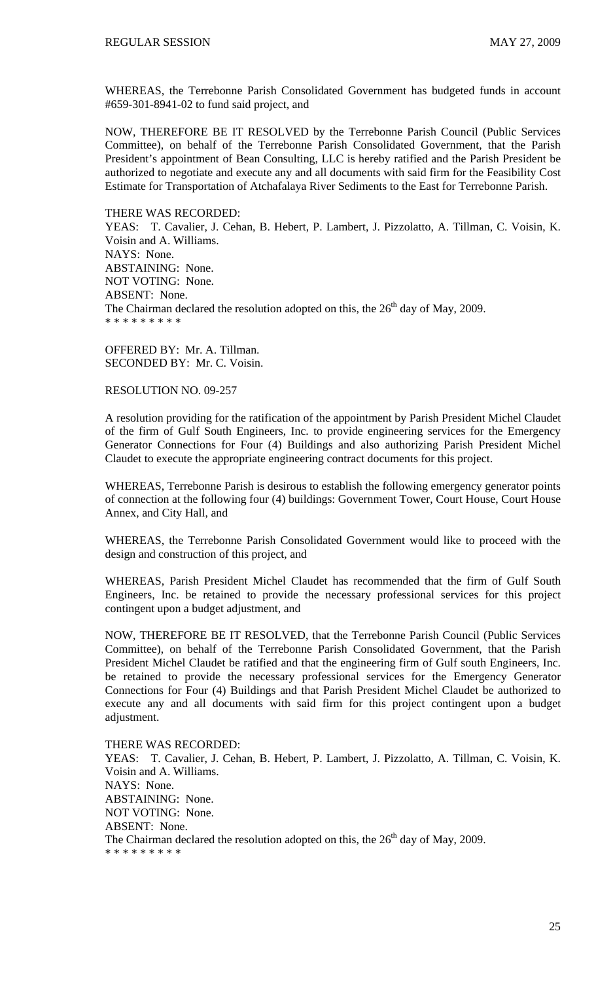WHEREAS, the Terrebonne Parish Consolidated Government has budgeted funds in account #659-301-8941-02 to fund said project, and

NOW, THEREFORE BE IT RESOLVED by the Terrebonne Parish Council (Public Services Committee), on behalf of the Terrebonne Parish Consolidated Government, that the Parish President's appointment of Bean Consulting, LLC is hereby ratified and the Parish President be authorized to negotiate and execute any and all documents with said firm for the Feasibility Cost Estimate for Transportation of Atchafalaya River Sediments to the East for Terrebonne Parish.

#### THERE WAS RECORDED:

YEAS: T. Cavalier, J. Cehan, B. Hebert, P. Lambert, J. Pizzolatto, A. Tillman, C. Voisin, K. Voisin and A. Williams. NAYS: None. ABSTAINING: None. NOT VOTING: None. ABSENT: None. The Chairman declared the resolution adopted on this, the  $26<sup>th</sup>$  day of May, 2009. \* \* \* \* \* \* \* \* \*

OFFERED BY: Mr. A. Tillman. SECONDED BY: Mr. C. Voisin.

### RESOLUTION NO. 09-257

A resolution providing for the ratification of the appointment by Parish President Michel Claudet of the firm of Gulf South Engineers, Inc. to provide engineering services for the Emergency Generator Connections for Four (4) Buildings and also authorizing Parish President Michel Claudet to execute the appropriate engineering contract documents for this project.

WHEREAS, Terrebonne Parish is desirous to establish the following emergency generator points of connection at the following four (4) buildings: Government Tower, Court House, Court House Annex, and City Hall, and

WHEREAS, the Terrebonne Parish Consolidated Government would like to proceed with the design and construction of this project, and

WHEREAS, Parish President Michel Claudet has recommended that the firm of Gulf South Engineers, Inc. be retained to provide the necessary professional services for this project contingent upon a budget adjustment, and

NOW, THEREFORE BE IT RESOLVED, that the Terrebonne Parish Council (Public Services Committee), on behalf of the Terrebonne Parish Consolidated Government, that the Parish President Michel Claudet be ratified and that the engineering firm of Gulf south Engineers, Inc. be retained to provide the necessary professional services for the Emergency Generator Connections for Four (4) Buildings and that Parish President Michel Claudet be authorized to execute any and all documents with said firm for this project contingent upon a budget adjustment.

THERE WAS RECORDED:

YEAS: T. Cavalier, J. Cehan, B. Hebert, P. Lambert, J. Pizzolatto, A. Tillman, C. Voisin, K. Voisin and A. Williams. NAYS: None. ABSTAINING: None. NOT VOTING: None. ABSENT: None. The Chairman declared the resolution adopted on this, the  $26<sup>th</sup>$  day of May, 2009. \* \* \* \* \* \* \* \* \*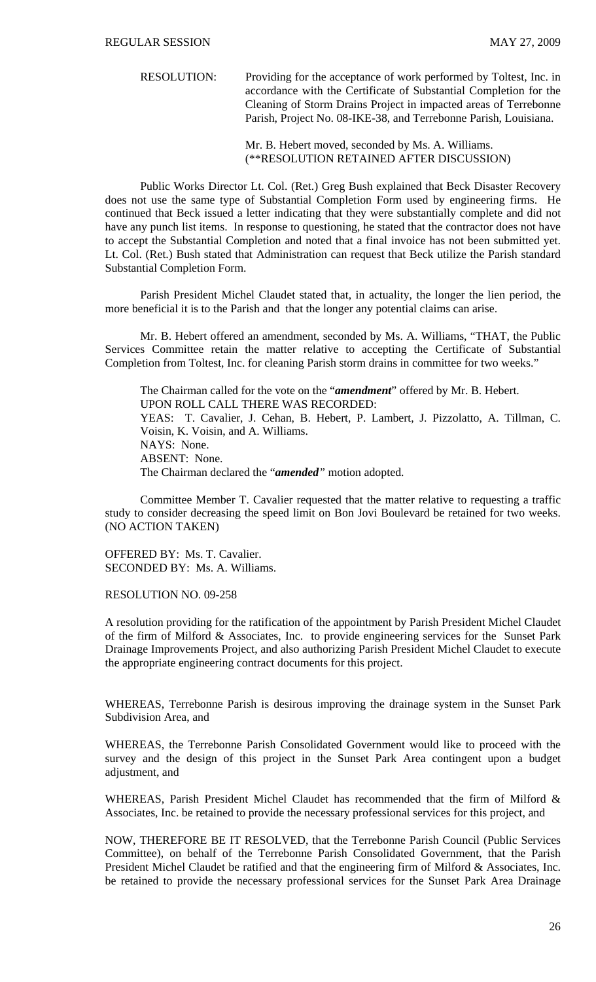RESOLUTION: Providing for the acceptance of work performed by Toltest, Inc. in accordance with the Certificate of Substantial Completion for the Cleaning of Storm Drains Project in impacted areas of Terrebonne Parish, Project No. 08-IKE-38, and Terrebonne Parish, Louisiana.

> Mr. B. Hebert moved, seconded by Ms. A. Williams. (\*\*RESOLUTION RETAINED AFTER DISCUSSION)

 Public Works Director Lt. Col. (Ret.) Greg Bush explained that Beck Disaster Recovery does not use the same type of Substantial Completion Form used by engineering firms. He continued that Beck issued a letter indicating that they were substantially complete and did not have any punch list items. In response to questioning, he stated that the contractor does not have to accept the Substantial Completion and noted that a final invoice has not been submitted yet. Lt. Col. (Ret.) Bush stated that Administration can request that Beck utilize the Parish standard Substantial Completion Form.

 Parish President Michel Claudet stated that, in actuality, the longer the lien period, the more beneficial it is to the Parish and that the longer any potential claims can arise.

 Mr. B. Hebert offered an amendment, seconded by Ms. A. Williams, "THAT, the Public Services Committee retain the matter relative to accepting the Certificate of Substantial Completion from Toltest, Inc. for cleaning Parish storm drains in committee for two weeks."

The Chairman called for the vote on the "*amendment*" offered by Mr. B. Hebert. UPON ROLL CALL THERE WAS RECORDED: YEAS: T. Cavalier, J. Cehan, B. Hebert, P. Lambert, J. Pizzolatto, A. Tillman, C. Voisin, K. Voisin, and A. Williams. NAYS: None. ABSENT: None. The Chairman declared the "*amended"* motion adopted.

 Committee Member T. Cavalier requested that the matter relative to requesting a traffic study to consider decreasing the speed limit on Bon Jovi Boulevard be retained for two weeks. (NO ACTION TAKEN)

OFFERED BY: Ms. T. Cavalier. SECONDED BY: Ms. A. Williams.

RESOLUTION NO. 09-258

A resolution providing for the ratification of the appointment by Parish President Michel Claudet of the firm of Milford & Associates, Inc. to provide engineering services for the Sunset Park Drainage Improvements Project, and also authorizing Parish President Michel Claudet to execute the appropriate engineering contract documents for this project.

WHEREAS, Terrebonne Parish is desirous improving the drainage system in the Sunset Park Subdivision Area, and

WHEREAS, the Terrebonne Parish Consolidated Government would like to proceed with the survey and the design of this project in the Sunset Park Area contingent upon a budget adjustment, and

WHEREAS, Parish President Michel Claudet has recommended that the firm of Milford & Associates, Inc. be retained to provide the necessary professional services for this project, and

NOW, THEREFORE BE IT RESOLVED, that the Terrebonne Parish Council (Public Services Committee), on behalf of the Terrebonne Parish Consolidated Government, that the Parish President Michel Claudet be ratified and that the engineering firm of Milford & Associates, Inc. be retained to provide the necessary professional services for the Sunset Park Area Drainage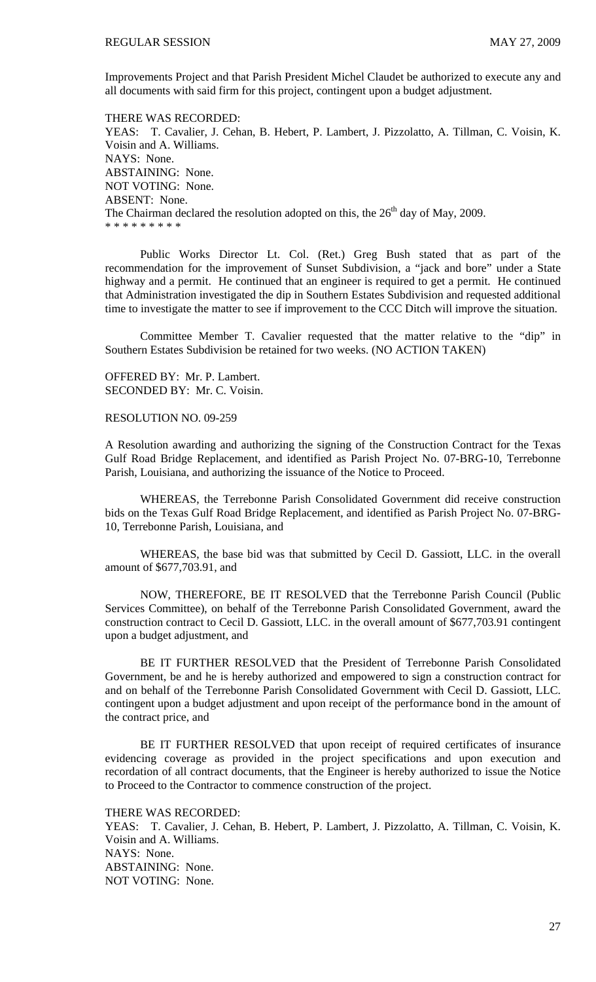Improvements Project and that Parish President Michel Claudet be authorized to execute any and all documents with said firm for this project, contingent upon a budget adjustment.

THERE WAS RECORDED: YEAS: T. Cavalier, J. Cehan, B. Hebert, P. Lambert, J. Pizzolatto, A. Tillman, C. Voisin, K. Voisin and A. Williams. NAYS: None. ABSTAINING: None. NOT VOTING: None. ABSENT: None. The Chairman declared the resolution adopted on this, the  $26<sup>th</sup>$  day of May, 2009. \* \* \* \* \* \* \* \* \*

 Public Works Director Lt. Col. (Ret.) Greg Bush stated that as part of the recommendation for the improvement of Sunset Subdivision, a "jack and bore" under a State highway and a permit. He continued that an engineer is required to get a permit. He continued that Administration investigated the dip in Southern Estates Subdivision and requested additional time to investigate the matter to see if improvement to the CCC Ditch will improve the situation.

 Committee Member T. Cavalier requested that the matter relative to the "dip" in Southern Estates Subdivision be retained for two weeks. (NO ACTION TAKEN)

OFFERED BY: Mr. P. Lambert. SECONDED BY: Mr. C. Voisin.

RESOLUTION NO. 09-259

A Resolution awarding and authorizing the signing of the Construction Contract for the Texas Gulf Road Bridge Replacement, and identified as Parish Project No. 07-BRG-10, Terrebonne Parish, Louisiana, and authorizing the issuance of the Notice to Proceed.

 WHEREAS, the Terrebonne Parish Consolidated Government did receive construction bids on the Texas Gulf Road Bridge Replacement, and identified as Parish Project No. 07-BRG-10, Terrebonne Parish, Louisiana, and

 WHEREAS, the base bid was that submitted by Cecil D. Gassiott, LLC. in the overall amount of \$677,703.91, and

 NOW, THEREFORE, BE IT RESOLVED that the Terrebonne Parish Council (Public Services Committee), on behalf of the Terrebonne Parish Consolidated Government, award the construction contract to Cecil D. Gassiott, LLC. in the overall amount of \$677,703.91 contingent upon a budget adjustment, and

 BE IT FURTHER RESOLVED that the President of Terrebonne Parish Consolidated Government, be and he is hereby authorized and empowered to sign a construction contract for and on behalf of the Terrebonne Parish Consolidated Government with Cecil D. Gassiott, LLC. contingent upon a budget adjustment and upon receipt of the performance bond in the amount of the contract price, and

 BE IT FURTHER RESOLVED that upon receipt of required certificates of insurance evidencing coverage as provided in the project specifications and upon execution and recordation of all contract documents, that the Engineer is hereby authorized to issue the Notice to Proceed to the Contractor to commence construction of the project.

THERE WAS RECORDED:

YEAS: T. Cavalier, J. Cehan, B. Hebert, P. Lambert, J. Pizzolatto, A. Tillman, C. Voisin, K. Voisin and A. Williams. NAYS: None. ABSTAINING: None. NOT VOTING: None.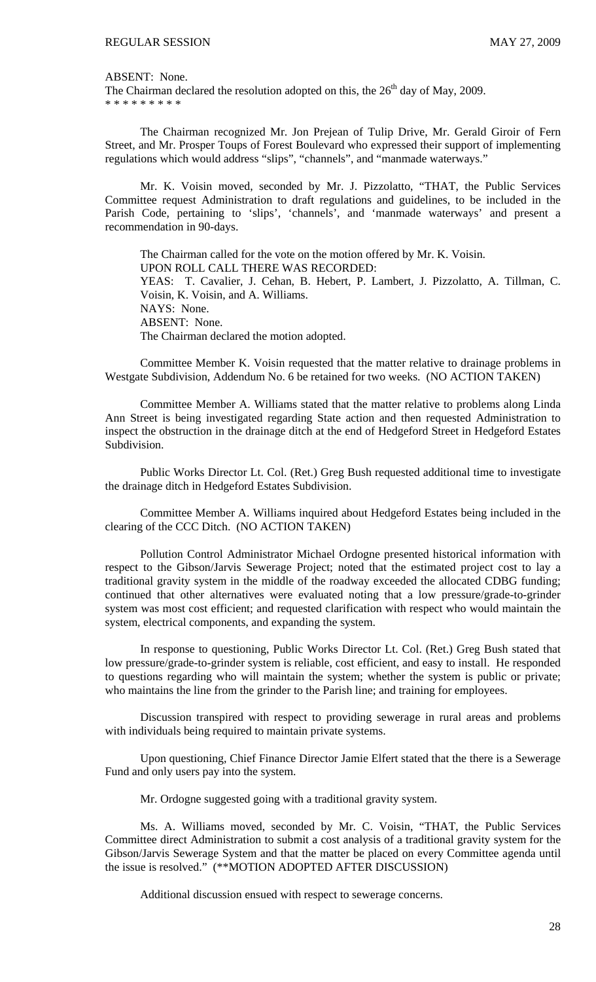ABSENT: None.

The Chairman declared the resolution adopted on this, the  $26<sup>th</sup>$  day of May, 2009. \* \* \* \* \* \* \* \* \*

 The Chairman recognized Mr. Jon Prejean of Tulip Drive, Mr. Gerald Giroir of Fern Street, and Mr. Prosper Toups of Forest Boulevard who expressed their support of implementing regulations which would address "slips", "channels", and "manmade waterways."

 Mr. K. Voisin moved, seconded by Mr. J. Pizzolatto, "THAT, the Public Services Committee request Administration to draft regulations and guidelines, to be included in the Parish Code, pertaining to 'slips', 'channels', and 'manmade waterways' and present a recommendation in 90-days.

The Chairman called for the vote on the motion offered by Mr. K. Voisin. UPON ROLL CALL THERE WAS RECORDED: YEAS: T. Cavalier, J. Cehan, B. Hebert, P. Lambert, J. Pizzolatto, A. Tillman, C. Voisin, K. Voisin, and A. Williams. NAYS: None. ABSENT: None. The Chairman declared the motion adopted.

 Committee Member K. Voisin requested that the matter relative to drainage problems in Westgate Subdivision, Addendum No. 6 be retained for two weeks. (NO ACTION TAKEN)

 Committee Member A. Williams stated that the matter relative to problems along Linda Ann Street is being investigated regarding State action and then requested Administration to inspect the obstruction in the drainage ditch at the end of Hedgeford Street in Hedgeford Estates Subdivision.

 Public Works Director Lt. Col. (Ret.) Greg Bush requested additional time to investigate the drainage ditch in Hedgeford Estates Subdivision.

 Committee Member A. Williams inquired about Hedgeford Estates being included in the clearing of the CCC Ditch. (NO ACTION TAKEN)

 Pollution Control Administrator Michael Ordogne presented historical information with respect to the Gibson/Jarvis Sewerage Project; noted that the estimated project cost to lay a traditional gravity system in the middle of the roadway exceeded the allocated CDBG funding; continued that other alternatives were evaluated noting that a low pressure/grade-to-grinder system was most cost efficient; and requested clarification with respect who would maintain the system, electrical components, and expanding the system.

 In response to questioning, Public Works Director Lt. Col. (Ret.) Greg Bush stated that low pressure/grade-to-grinder system is reliable, cost efficient, and easy to install. He responded to questions regarding who will maintain the system; whether the system is public or private; who maintains the line from the grinder to the Parish line; and training for employees.

 Discussion transpired with respect to providing sewerage in rural areas and problems with individuals being required to maintain private systems.

 Upon questioning, Chief Finance Director Jamie Elfert stated that the there is a Sewerage Fund and only users pay into the system.

Mr. Ordogne suggested going with a traditional gravity system.

 Ms. A. Williams moved, seconded by Mr. C. Voisin, "THAT, the Public Services Committee direct Administration to submit a cost analysis of a traditional gravity system for the Gibson/Jarvis Sewerage System and that the matter be placed on every Committee agenda until the issue is resolved." (\*\*MOTION ADOPTED AFTER DISCUSSION)

Additional discussion ensued with respect to sewerage concerns.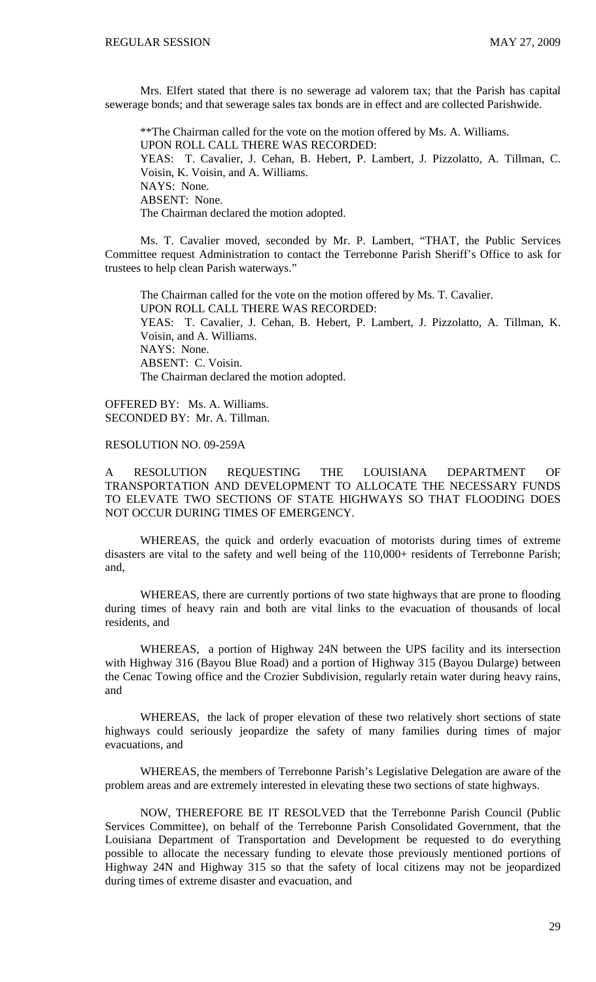Mrs. Elfert stated that there is no sewerage ad valorem tax; that the Parish has capital sewerage bonds; and that sewerage sales tax bonds are in effect and are collected Parishwide.

\*\*The Chairman called for the vote on the motion offered by Ms. A. Williams. UPON ROLL CALL THERE WAS RECORDED: YEAS: T. Cavalier, J. Cehan, B. Hebert, P. Lambert, J. Pizzolatto, A. Tillman, C. Voisin, K. Voisin, and A. Williams. NAYS: None. ABSENT: None. The Chairman declared the motion adopted.

 Ms. T. Cavalier moved, seconded by Mr. P. Lambert, "THAT, the Public Services Committee request Administration to contact the Terrebonne Parish Sheriff's Office to ask for trustees to help clean Parish waterways."

The Chairman called for the vote on the motion offered by Ms. T. Cavalier. UPON ROLL CALL THERE WAS RECORDED: YEAS: T. Cavalier, J. Cehan, B. Hebert, P. Lambert, J. Pizzolatto, A. Tillman, K. Voisin, and A. Williams. NAYS: None. ABSENT: C. Voisin. The Chairman declared the motion adopted.

OFFERED BY: Ms. A. Williams. SECONDED BY: Mr. A. Tillman.

### RESOLUTION NO. 09-259A

A RESOLUTION REQUESTING THE LOUISIANA DEPARTMENT OF TRANSPORTATION AND DEVELOPMENT TO ALLOCATE THE NECESSARY FUNDS TO ELEVATE TWO SECTIONS OF STATE HIGHWAYS SO THAT FLOODING DOES NOT OCCUR DURING TIMES OF EMERGENCY.

 WHEREAS, the quick and orderly evacuation of motorists during times of extreme disasters are vital to the safety and well being of the 110,000+ residents of Terrebonne Parish; and,

 WHEREAS, there are currently portions of two state highways that are prone to flooding during times of heavy rain and both are vital links to the evacuation of thousands of local residents, and

 WHEREAS, a portion of Highway 24N between the UPS facility and its intersection with Highway 316 (Bayou Blue Road) and a portion of Highway 315 (Bayou Dularge) between the Cenac Towing office and the Crozier Subdivision, regularly retain water during heavy rains, and

 WHEREAS, the lack of proper elevation of these two relatively short sections of state highways could seriously jeopardize the safety of many families during times of major evacuations, and

 WHEREAS, the members of Terrebonne Parish's Legislative Delegation are aware of the problem areas and are extremely interested in elevating these two sections of state highways.

 NOW, THEREFORE BE IT RESOLVED that the Terrebonne Parish Council (Public Services Committee), on behalf of the Terrebonne Parish Consolidated Government, that the Louisiana Department of Transportation and Development be requested to do everything possible to allocate the necessary funding to elevate those previously mentioned portions of Highway 24N and Highway 315 so that the safety of local citizens may not be jeopardized during times of extreme disaster and evacuation, and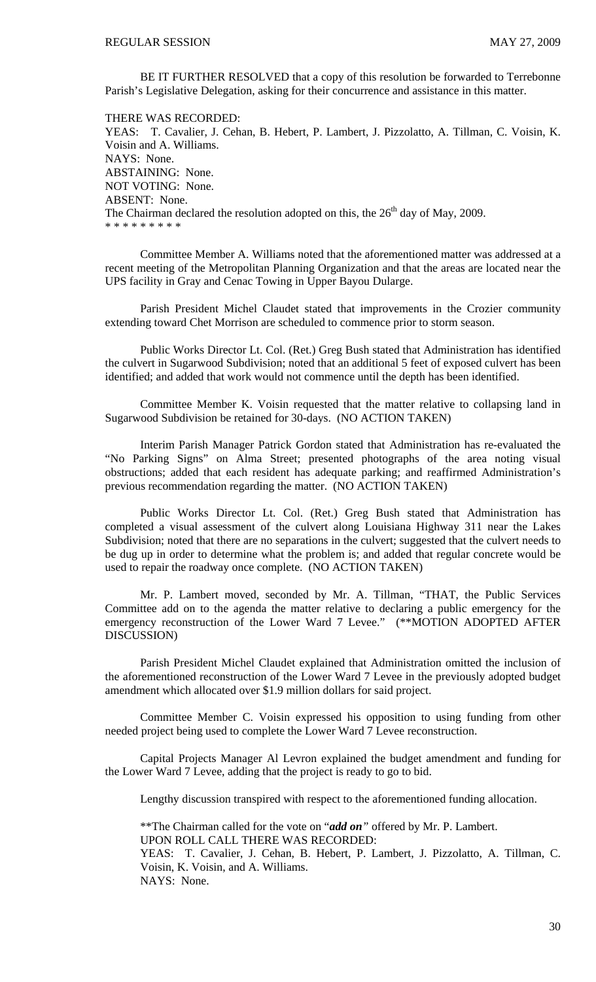BE IT FURTHER RESOLVED that a copy of this resolution be forwarded to Terrebonne Parish's Legislative Delegation, asking for their concurrence and assistance in this matter.

THERE WAS RECORDED: YEAS: T. Cavalier, J. Cehan, B. Hebert, P. Lambert, J. Pizzolatto, A. Tillman, C. Voisin, K. Voisin and A. Williams. NAYS: None. ABSTAINING: None. NOT VOTING: None. ABSENT: None. The Chairman declared the resolution adopted on this, the  $26<sup>th</sup>$  day of May, 2009. \* \* \* \* \* \* \* \* \*

 Committee Member A. Williams noted that the aforementioned matter was addressed at a recent meeting of the Metropolitan Planning Organization and that the areas are located near the UPS facility in Gray and Cenac Towing in Upper Bayou Dularge.

 Parish President Michel Claudet stated that improvements in the Crozier community extending toward Chet Morrison are scheduled to commence prior to storm season.

 Public Works Director Lt. Col. (Ret.) Greg Bush stated that Administration has identified the culvert in Sugarwood Subdivision; noted that an additional 5 feet of exposed culvert has been identified; and added that work would not commence until the depth has been identified.

 Committee Member K. Voisin requested that the matter relative to collapsing land in Sugarwood Subdivision be retained for 30-days. (NO ACTION TAKEN)

 Interim Parish Manager Patrick Gordon stated that Administration has re-evaluated the "No Parking Signs" on Alma Street; presented photographs of the area noting visual obstructions; added that each resident has adequate parking; and reaffirmed Administration's previous recommendation regarding the matter. (NO ACTION TAKEN)

 Public Works Director Lt. Col. (Ret.) Greg Bush stated that Administration has completed a visual assessment of the culvert along Louisiana Highway 311 near the Lakes Subdivision; noted that there are no separations in the culvert; suggested that the culvert needs to be dug up in order to determine what the problem is; and added that regular concrete would be used to repair the roadway once complete. (NO ACTION TAKEN)

 Mr. P. Lambert moved, seconded by Mr. A. Tillman, "THAT, the Public Services Committee add on to the agenda the matter relative to declaring a public emergency for the emergency reconstruction of the Lower Ward 7 Levee." (\*\*MOTION ADOPTED AFTER DISCUSSION)

 Parish President Michel Claudet explained that Administration omitted the inclusion of the aforementioned reconstruction of the Lower Ward 7 Levee in the previously adopted budget amendment which allocated over \$1.9 million dollars for said project.

 Committee Member C. Voisin expressed his opposition to using funding from other needed project being used to complete the Lower Ward 7 Levee reconstruction.

 Capital Projects Manager Al Levron explained the budget amendment and funding for the Lower Ward 7 Levee, adding that the project is ready to go to bid.

Lengthy discussion transpired with respect to the aforementioned funding allocation.

\*\*The Chairman called for the vote on "*add on"* offered by Mr. P. Lambert. UPON ROLL CALL THERE WAS RECORDED: YEAS: T. Cavalier, J. Cehan, B. Hebert, P. Lambert, J. Pizzolatto, A. Tillman, C.

Voisin, K. Voisin, and A. Williams. NAYS: None.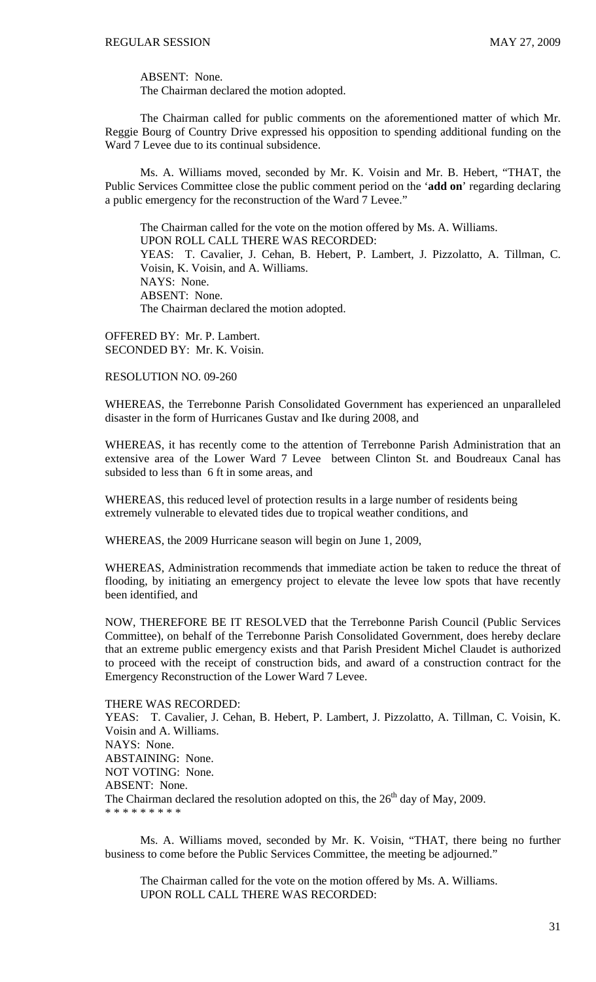ABSENT: None.

The Chairman declared the motion adopted.

 The Chairman called for public comments on the aforementioned matter of which Mr. Reggie Bourg of Country Drive expressed his opposition to spending additional funding on the Ward 7 Levee due to its continual subsidence.

 Ms. A. Williams moved, seconded by Mr. K. Voisin and Mr. B. Hebert, "THAT, the Public Services Committee close the public comment period on the '**add on**' regarding declaring a public emergency for the reconstruction of the Ward 7 Levee."

 The Chairman called for the vote on the motion offered by Ms. A. Williams. UPON ROLL CALL THERE WAS RECORDED: YEAS: T. Cavalier, J. Cehan, B. Hebert, P. Lambert, J. Pizzolatto, A. Tillman, C. Voisin, K. Voisin, and A. Williams. NAYS: None. ABSENT: None. The Chairman declared the motion adopted.

OFFERED BY: Mr. P. Lambert. SECONDED BY: Mr. K. Voisin.

### RESOLUTION NO. 09-260

WHEREAS, the Terrebonne Parish Consolidated Government has experienced an unparalleled disaster in the form of Hurricanes Gustav and Ike during 2008, and

WHEREAS, it has recently come to the attention of Terrebonne Parish Administration that an extensive area of the Lower Ward 7 Levee between Clinton St. and Boudreaux Canal has subsided to less than 6 ft in some areas, and

WHEREAS, this reduced level of protection results in a large number of residents being extremely vulnerable to elevated tides due to tropical weather conditions, and

WHEREAS, the 2009 Hurricane season will begin on June 1, 2009,

WHEREAS, Administration recommends that immediate action be taken to reduce the threat of flooding, by initiating an emergency project to elevate the levee low spots that have recently been identified, and

NOW, THEREFORE BE IT RESOLVED that the Terrebonne Parish Council (Public Services Committee), on behalf of the Terrebonne Parish Consolidated Government, does hereby declare that an extreme public emergency exists and that Parish President Michel Claudet is authorized to proceed with the receipt of construction bids, and award of a construction contract for the Emergency Reconstruction of the Lower Ward 7 Levee.

### THERE WAS RECORDED:

YEAS: T. Cavalier, J. Cehan, B. Hebert, P. Lambert, J. Pizzolatto, A. Tillman, C. Voisin, K. Voisin and A. Williams. NAYS: None. ABSTAINING: None. NOT VOTING: None. ABSENT: None. The Chairman declared the resolution adopted on this, the  $26<sup>th</sup>$  day of May, 2009. \* \* \* \* \* \* \* \* \*

 Ms. A. Williams moved, seconded by Mr. K. Voisin, "THAT, there being no further business to come before the Public Services Committee, the meeting be adjourned."

 The Chairman called for the vote on the motion offered by Ms. A. Williams. UPON ROLL CALL THERE WAS RECORDED: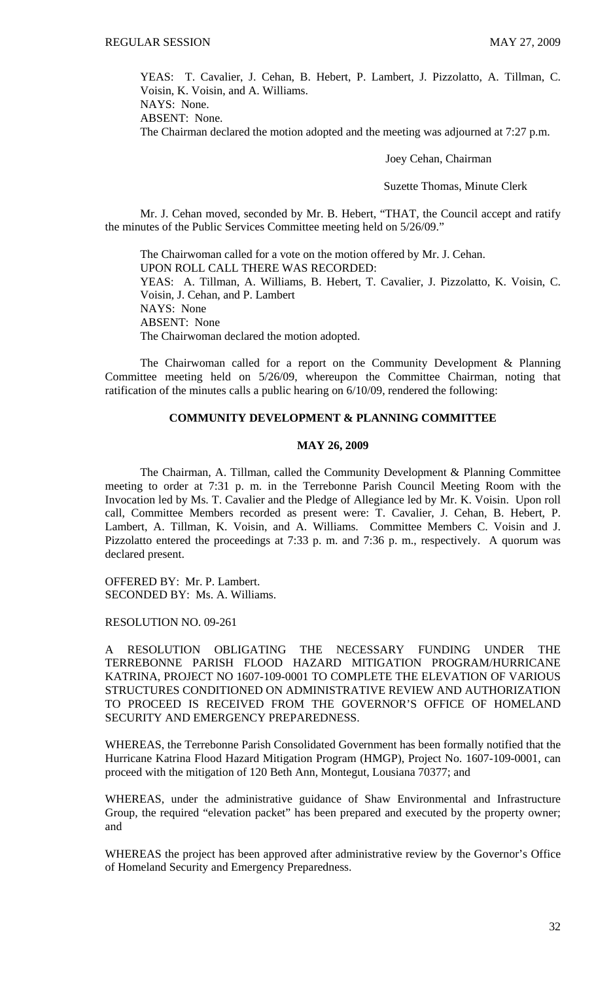YEAS: T. Cavalier, J. Cehan, B. Hebert, P. Lambert, J. Pizzolatto, A. Tillman, C. Voisin, K. Voisin, and A. Williams.

NAYS: None.

ABSENT: None.

The Chairman declared the motion adopted and the meeting was adjourned at 7:27 p.m.

Joey Cehan, Chairman

Suzette Thomas, Minute Clerk

Mr. J. Cehan moved, seconded by Mr. B. Hebert, "THAT, the Council accept and ratify the minutes of the Public Services Committee meeting held on 5/26/09."

 The Chairwoman called for a vote on the motion offered by Mr. J. Cehan. UPON ROLL CALL THERE WAS RECORDED: YEAS: A. Tillman, A. Williams, B. Hebert, T. Cavalier, J. Pizzolatto, K. Voisin, C. Voisin, J. Cehan, and P. Lambert NAYS: None ABSENT: None The Chairwoman declared the motion adopted.

 The Chairwoman called for a report on the Community Development & Planning Committee meeting held on 5/26/09, whereupon the Committee Chairman, noting that ratification of the minutes calls a public hearing on 6/10/09, rendered the following:

### **COMMUNITY DEVELOPMENT & PLANNING COMMITTEE**

### **MAY 26, 2009**

 The Chairman, A. Tillman, called the Community Development & Planning Committee meeting to order at 7:31 p. m. in the Terrebonne Parish Council Meeting Room with the Invocation led by Ms. T. Cavalier and the Pledge of Allegiance led by Mr. K. Voisin. Upon roll call, Committee Members recorded as present were: T. Cavalier, J. Cehan, B. Hebert, P. Lambert, A. Tillman, K. Voisin, and A. Williams. Committee Members C. Voisin and J. Pizzolatto entered the proceedings at 7:33 p. m. and 7:36 p. m., respectively. A quorum was declared present.

OFFERED BY: Mr. P. Lambert. SECONDED BY: Ms. A. Williams.

RESOLUTION NO. 09-261

A RESOLUTION OBLIGATING THE NECESSARY FUNDING UNDER THE TERREBONNE PARISH FLOOD HAZARD MITIGATION PROGRAM/HURRICANE KATRINA, PROJECT NO 1607-109-0001 TO COMPLETE THE ELEVATION OF VARIOUS STRUCTURES CONDITIONED ON ADMINISTRATIVE REVIEW AND AUTHORIZATION TO PROCEED IS RECEIVED FROM THE GOVERNOR'S OFFICE OF HOMELAND SECURITY AND EMERGENCY PREPAREDNESS.

WHEREAS, the Terrebonne Parish Consolidated Government has been formally notified that the Hurricane Katrina Flood Hazard Mitigation Program (HMGP), Project No. 1607-109-0001, can proceed with the mitigation of 120 Beth Ann, Montegut, Lousiana 70377; and

WHEREAS, under the administrative guidance of Shaw Environmental and Infrastructure Group, the required "elevation packet" has been prepared and executed by the property owner; and

WHEREAS the project has been approved after administrative review by the Governor's Office of Homeland Security and Emergency Preparedness.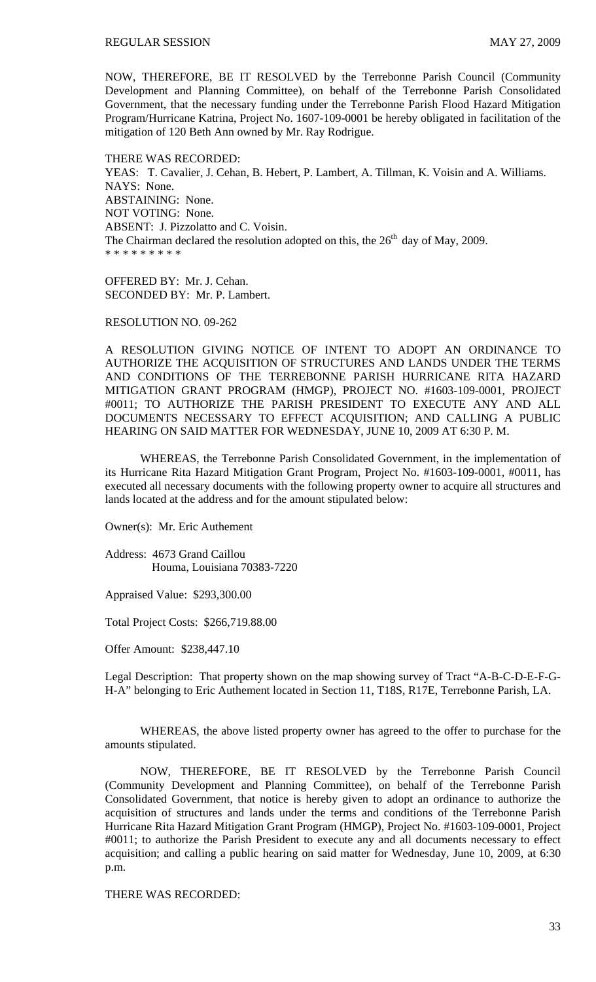NOW, THEREFORE, BE IT RESOLVED by the Terrebonne Parish Council (Community Development and Planning Committee), on behalf of the Terrebonne Parish Consolidated Government, that the necessary funding under the Terrebonne Parish Flood Hazard Mitigation Program/Hurricane Katrina, Project No. 1607-109-0001 be hereby obligated in facilitation of the mitigation of 120 Beth Ann owned by Mr. Ray Rodrigue.

THERE WAS RECORDED: YEAS: T. Cavalier, J. Cehan, B. Hebert, P. Lambert, A. Tillman, K. Voisin and A. Williams. NAYS: None. ABSTAINING: None. NOT VOTING: None. ABSENT: J. Pizzolatto and C. Voisin. The Chairman declared the resolution adopted on this, the  $26<sup>th</sup>$  day of May, 2009. \* \* \* \* \* \* \* \* \*

OFFERED BY: Mr. J. Cehan. SECONDED BY: Mr. P. Lambert.

RESOLUTION NO. 09-262

A RESOLUTION GIVING NOTICE OF INTENT TO ADOPT AN ORDINANCE TO AUTHORIZE THE ACQUISITION OF STRUCTURES AND LANDS UNDER THE TERMS AND CONDITIONS OF THE TERREBONNE PARISH HURRICANE RITA HAZARD MITIGATION GRANT PROGRAM (HMGP), PROJECT NO. #1603-109-0001, PROJECT #0011; TO AUTHORIZE THE PARISH PRESIDENT TO EXECUTE ANY AND ALL DOCUMENTS NECESSARY TO EFFECT ACQUISITION; AND CALLING A PUBLIC HEARING ON SAID MATTER FOR WEDNESDAY, JUNE 10, 2009 AT 6:30 P. M.

 WHEREAS, the Terrebonne Parish Consolidated Government, in the implementation of its Hurricane Rita Hazard Mitigation Grant Program, Project No. #1603-109-0001, #0011, has executed all necessary documents with the following property owner to acquire all structures and lands located at the address and for the amount stipulated below:

Owner(s): Mr. Eric Authement

Address: 4673 Grand Caillou Houma, Louisiana 70383-7220

Appraised Value: \$293,300.00

Total Project Costs: \$266,719.88.00

Offer Amount: \$238,447.10

Legal Description: That property shown on the map showing survey of Tract "A-B-C-D-E-F-G-H-A" belonging to Eric Authement located in Section 11, T18S, R17E, Terrebonne Parish, LA.

 WHEREAS, the above listed property owner has agreed to the offer to purchase for the amounts stipulated.

NOW, THEREFORE, BE IT RESOLVED by the Terrebonne Parish Council (Community Development and Planning Committee), on behalf of the Terrebonne Parish Consolidated Government, that notice is hereby given to adopt an ordinance to authorize the acquisition of structures and lands under the terms and conditions of the Terrebonne Parish Hurricane Rita Hazard Mitigation Grant Program (HMGP), Project No. #1603-109-0001, Project #0011; to authorize the Parish President to execute any and all documents necessary to effect acquisition; and calling a public hearing on said matter for Wednesday, June 10, 2009, at 6:30 p.m.

THERE WAS RECORDED: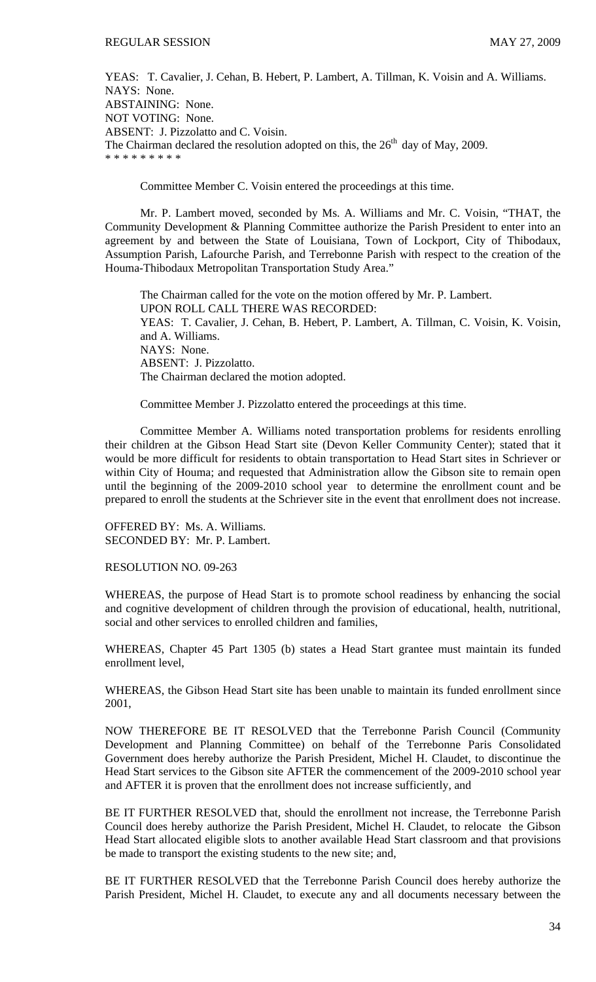YEAS: T. Cavalier, J. Cehan, B. Hebert, P. Lambert, A. Tillman, K. Voisin and A. Williams. NAYS: None. ABSTAINING: None. NOT VOTING: None. ABSENT: J. Pizzolatto and C. Voisin. The Chairman declared the resolution adopted on this, the  $26<sup>th</sup>$  day of May, 2009. \* \* \* \* \* \* \* \* \*

Committee Member C. Voisin entered the proceedings at this time.

 Mr. P. Lambert moved, seconded by Ms. A. Williams and Mr. C. Voisin, "THAT, the Community Development & Planning Committee authorize the Parish President to enter into an agreement by and between the State of Louisiana, Town of Lockport, City of Thibodaux, Assumption Parish, Lafourche Parish, and Terrebonne Parish with respect to the creation of the Houma-Thibodaux Metropolitan Transportation Study Area."

The Chairman called for the vote on the motion offered by Mr. P. Lambert. UPON ROLL CALL THERE WAS RECORDED: YEAS: T. Cavalier, J. Cehan, B. Hebert, P. Lambert, A. Tillman, C. Voisin, K. Voisin, and A. Williams. NAYS: None. ABSENT: J. Pizzolatto. The Chairman declared the motion adopted.

Committee Member J. Pizzolatto entered the proceedings at this time.

 Committee Member A. Williams noted transportation problems for residents enrolling their children at the Gibson Head Start site (Devon Keller Community Center); stated that it would be more difficult for residents to obtain transportation to Head Start sites in Schriever or within City of Houma; and requested that Administration allow the Gibson site to remain open until the beginning of the 2009-2010 school year to determine the enrollment count and be prepared to enroll the students at the Schriever site in the event that enrollment does not increase.

OFFERED BY: Ms. A. Williams. SECONDED BY: Mr. P. Lambert.

RESOLUTION NO. 09-263

WHEREAS, the purpose of Head Start is to promote school readiness by enhancing the social and cognitive development of children through the provision of educational, health, nutritional, social and other services to enrolled children and families,

WHEREAS, Chapter 45 Part 1305 (b) states a Head Start grantee must maintain its funded enrollment level,

WHEREAS, the Gibson Head Start site has been unable to maintain its funded enrollment since 2001,

NOW THEREFORE BE IT RESOLVED that the Terrebonne Parish Council (Community Development and Planning Committee) on behalf of the Terrebonne Paris Consolidated Government does hereby authorize the Parish President, Michel H. Claudet, to discontinue the Head Start services to the Gibson site AFTER the commencement of the 2009-2010 school year and AFTER it is proven that the enrollment does not increase sufficiently, and

BE IT FURTHER RESOLVED that, should the enrollment not increase, the Terrebonne Parish Council does hereby authorize the Parish President, Michel H. Claudet, to relocate the Gibson Head Start allocated eligible slots to another available Head Start classroom and that provisions be made to transport the existing students to the new site; and,

BE IT FURTHER RESOLVED that the Terrebonne Parish Council does hereby authorize the Parish President, Michel H. Claudet, to execute any and all documents necessary between the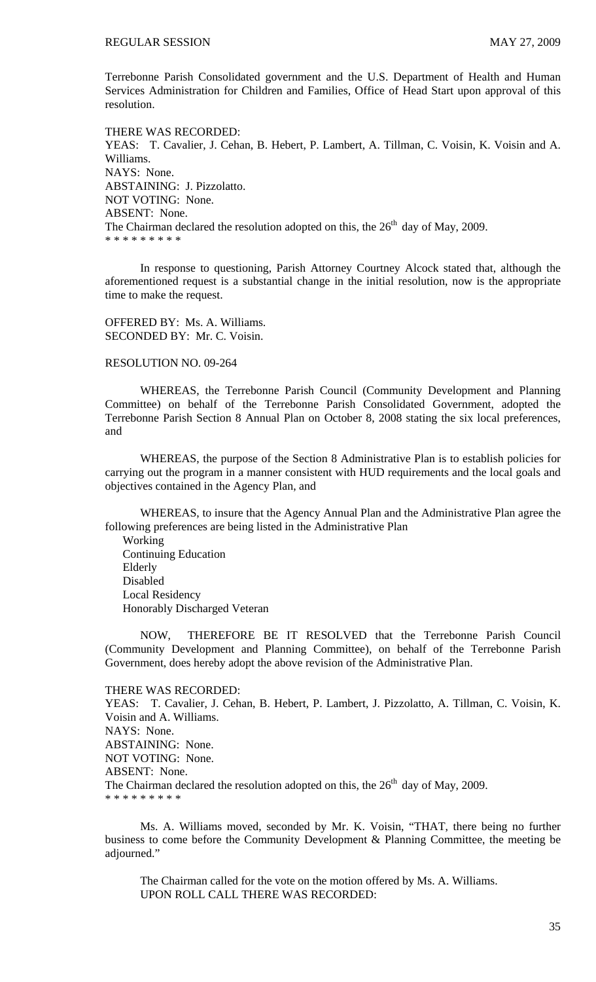Terrebonne Parish Consolidated government and the U.S. Department of Health and Human Services Administration for Children and Families, Office of Head Start upon approval of this resolution.

THERE WAS RECORDED: YEAS: T. Cavalier, J. Cehan, B. Hebert, P. Lambert, A. Tillman, C. Voisin, K. Voisin and A. Williams. NAYS: None. ABSTAINING: J. Pizzolatto. NOT VOTING: None. ABSENT: None. The Chairman declared the resolution adopted on this, the  $26<sup>th</sup>$  day of May, 2009. \* \* \* \* \* \* \* \* \*

 In response to questioning, Parish Attorney Courtney Alcock stated that, although the aforementioned request is a substantial change in the initial resolution, now is the appropriate time to make the request.

OFFERED BY: Ms. A. Williams. SECONDED BY: Mr. C. Voisin.

### RESOLUTION NO. 09-264

 WHEREAS, the Terrebonne Parish Council (Community Development and Planning Committee) on behalf of the Terrebonne Parish Consolidated Government, adopted the Terrebonne Parish Section 8 Annual Plan on October 8, 2008 stating the six local preferences, and

 WHEREAS, the purpose of the Section 8 Administrative Plan is to establish policies for carrying out the program in a manner consistent with HUD requirements and the local goals and objectives contained in the Agency Plan, and

 WHEREAS, to insure that the Agency Annual Plan and the Administrative Plan agree the following preferences are being listed in the Administrative Plan

 Working Continuing Education Elderly Disabled Local Residency Honorably Discharged Veteran

 NOW, THEREFORE BE IT RESOLVED that the Terrebonne Parish Council (Community Development and Planning Committee), on behalf of the Terrebonne Parish Government, does hereby adopt the above revision of the Administrative Plan.

#### THERE WAS RECORDED:

YEAS: T. Cavalier, J. Cehan, B. Hebert, P. Lambert, J. Pizzolatto, A. Tillman, C. Voisin, K. Voisin and A. Williams. NAYS: None. ABSTAINING: None. NOT VOTING: None. ABSENT: None. The Chairman declared the resolution adopted on this, the  $26<sup>th</sup>$  day of May, 2009. \* \* \* \* \* \* \* \* \*

 Ms. A. Williams moved, seconded by Mr. K. Voisin, "THAT, there being no further business to come before the Community Development & Planning Committee, the meeting be adjourned."

 The Chairman called for the vote on the motion offered by Ms. A. Williams. UPON ROLL CALL THERE WAS RECORDED: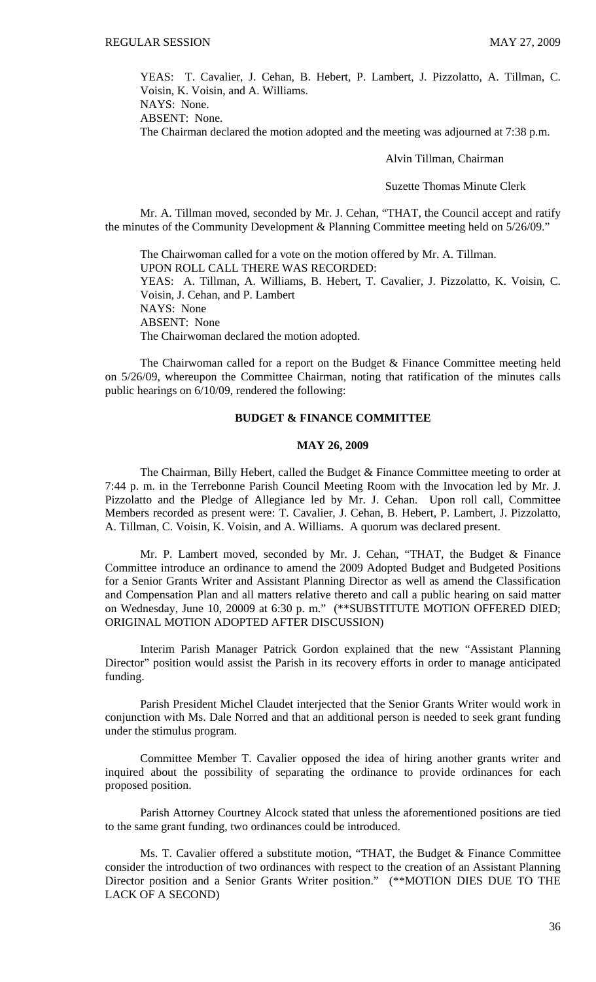YEAS: T. Cavalier, J. Cehan, B. Hebert, P. Lambert, J. Pizzolatto, A. Tillman, C. Voisin, K. Voisin, and A. Williams.

NAYS: None. ABSENT: None.

The Chairman declared the motion adopted and the meeting was adjourned at 7:38 p.m.

Alvin Tillman, Chairman

Suzette Thomas Minute Clerk

Mr. A. Tillman moved, seconded by Mr. J. Cehan, "THAT, the Council accept and ratify the minutes of the Community Development & Planning Committee meeting held on 5/26/09."

 The Chairwoman called for a vote on the motion offered by Mr. A. Tillman. UPON ROLL CALL THERE WAS RECORDED: YEAS: A. Tillman, A. Williams, B. Hebert, T. Cavalier, J. Pizzolatto, K. Voisin, C. Voisin, J. Cehan, and P. Lambert NAYS: None ABSENT: None The Chairwoman declared the motion adopted.

 The Chairwoman called for a report on the Budget & Finance Committee meeting held on 5/26/09, whereupon the Committee Chairman, noting that ratification of the minutes calls public hearings on 6/10/09, rendered the following:

### **BUDGET & FINANCE COMMITTEE**

#### **MAY 26, 2009**

 The Chairman, Billy Hebert, called the Budget & Finance Committee meeting to order at 7:44 p. m. in the Terrebonne Parish Council Meeting Room with the Invocation led by Mr. J. Pizzolatto and the Pledge of Allegiance led by Mr. J. Cehan. Upon roll call, Committee Members recorded as present were: T. Cavalier, J. Cehan, B. Hebert, P. Lambert, J. Pizzolatto, A. Tillman, C. Voisin, K. Voisin, and A. Williams. A quorum was declared present.

 Mr. P. Lambert moved, seconded by Mr. J. Cehan, "THAT, the Budget & Finance Committee introduce an ordinance to amend the 2009 Adopted Budget and Budgeted Positions for a Senior Grants Writer and Assistant Planning Director as well as amend the Classification and Compensation Plan and all matters relative thereto and call a public hearing on said matter on Wednesday, June 10, 20009 at 6:30 p. m." (\*\*SUBSTITUTE MOTION OFFERED DIED; ORIGINAL MOTION ADOPTED AFTER DISCUSSION)

 Interim Parish Manager Patrick Gordon explained that the new "Assistant Planning Director" position would assist the Parish in its recovery efforts in order to manage anticipated funding.

 Parish President Michel Claudet interjected that the Senior Grants Writer would work in conjunction with Ms. Dale Norred and that an additional person is needed to seek grant funding under the stimulus program.

 Committee Member T. Cavalier opposed the idea of hiring another grants writer and inquired about the possibility of separating the ordinance to provide ordinances for each proposed position.

 Parish Attorney Courtney Alcock stated that unless the aforementioned positions are tied to the same grant funding, two ordinances could be introduced.

 Ms. T. Cavalier offered a substitute motion, "THAT, the Budget & Finance Committee consider the introduction of two ordinances with respect to the creation of an Assistant Planning Director position and a Senior Grants Writer position." (\*\*MOTION DIES DUE TO THE LACK OF A SECOND)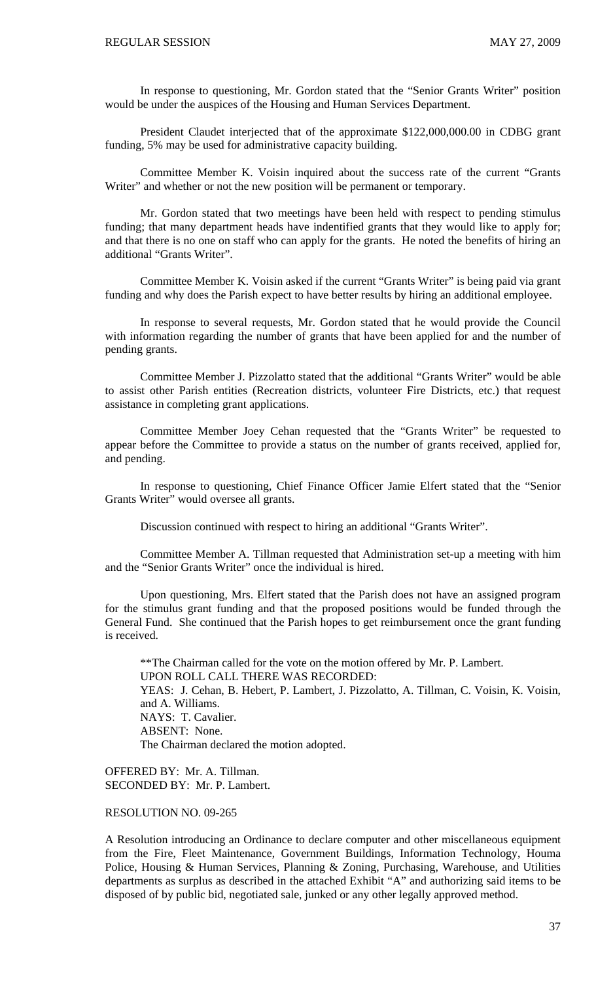In response to questioning, Mr. Gordon stated that the "Senior Grants Writer" position would be under the auspices of the Housing and Human Services Department.

 President Claudet interjected that of the approximate \$122,000,000.00 in CDBG grant funding, 5% may be used for administrative capacity building.

 Committee Member K. Voisin inquired about the success rate of the current "Grants Writer" and whether or not the new position will be permanent or temporary.

 Mr. Gordon stated that two meetings have been held with respect to pending stimulus funding; that many department heads have indentified grants that they would like to apply for; and that there is no one on staff who can apply for the grants. He noted the benefits of hiring an additional "Grants Writer".

 Committee Member K. Voisin asked if the current "Grants Writer" is being paid via grant funding and why does the Parish expect to have better results by hiring an additional employee.

 In response to several requests, Mr. Gordon stated that he would provide the Council with information regarding the number of grants that have been applied for and the number of pending grants.

 Committee Member J. Pizzolatto stated that the additional "Grants Writer" would be able to assist other Parish entities (Recreation districts, volunteer Fire Districts, etc.) that request assistance in completing grant applications.

 Committee Member Joey Cehan requested that the "Grants Writer" be requested to appear before the Committee to provide a status on the number of grants received, applied for, and pending.

 In response to questioning, Chief Finance Officer Jamie Elfert stated that the "Senior Grants Writer" would oversee all grants.

Discussion continued with respect to hiring an additional "Grants Writer".

 Committee Member A. Tillman requested that Administration set-up a meeting with him and the "Senior Grants Writer" once the individual is hired.

 Upon questioning, Mrs. Elfert stated that the Parish does not have an assigned program for the stimulus grant funding and that the proposed positions would be funded through the General Fund. She continued that the Parish hopes to get reimbursement once the grant funding is received.

\*\*The Chairman called for the vote on the motion offered by Mr. P. Lambert. UPON ROLL CALL THERE WAS RECORDED: YEAS: J. Cehan, B. Hebert, P. Lambert, J. Pizzolatto, A. Tillman, C. Voisin, K. Voisin, and A. Williams. NAYS: T. Cavalier. ABSENT: None. The Chairman declared the motion adopted.

OFFERED BY: Mr. A. Tillman. SECONDED BY: Mr. P. Lambert.

### RESOLUTION NO. 09-265

A Resolution introducing an Ordinance to declare computer and other miscellaneous equipment from the Fire, Fleet Maintenance, Government Buildings, Information Technology, Houma Police, Housing & Human Services, Planning & Zoning, Purchasing, Warehouse, and Utilities departments as surplus as described in the attached Exhibit "A" and authorizing said items to be disposed of by public bid, negotiated sale, junked or any other legally approved method.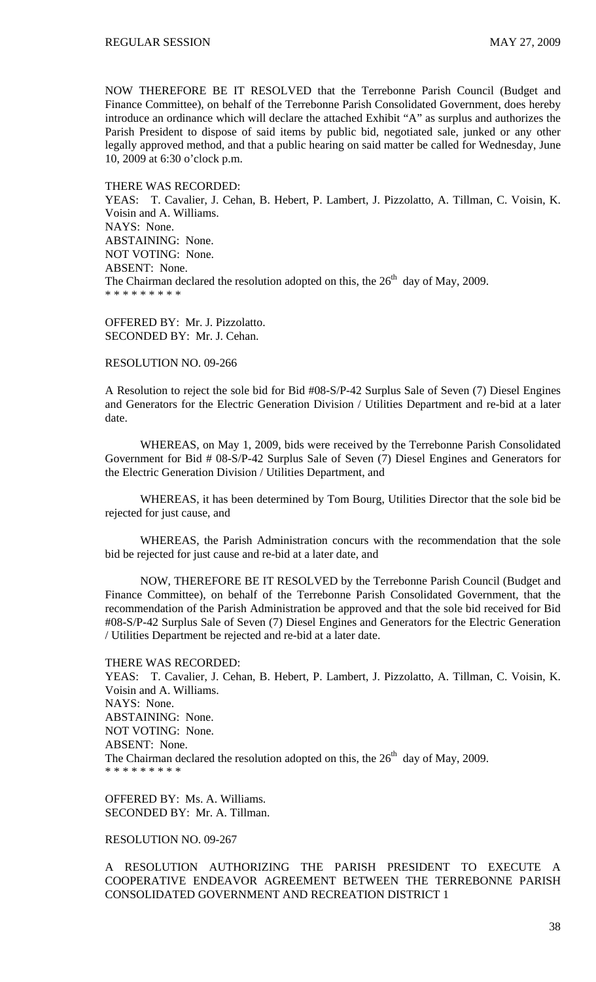NOW THEREFORE BE IT RESOLVED that the Terrebonne Parish Council (Budget and Finance Committee), on behalf of the Terrebonne Parish Consolidated Government, does hereby introduce an ordinance which will declare the attached Exhibit "A" as surplus and authorizes the Parish President to dispose of said items by public bid, negotiated sale, junked or any other legally approved method, and that a public hearing on said matter be called for Wednesday, June 10, 2009 at 6:30 o'clock p.m.

#### THERE WAS RECORDED:

YEAS: T. Cavalier, J. Cehan, B. Hebert, P. Lambert, J. Pizzolatto, A. Tillman, C. Voisin, K. Voisin and A. Williams. NAYS: None. ABSTAINING: None. NOT VOTING: None. ABSENT: None. The Chairman declared the resolution adopted on this, the  $26<sup>th</sup>$  day of May, 2009. \* \* \* \* \* \* \* \* \*

OFFERED BY: Mr. J. Pizzolatto. SECONDED BY: Mr. J. Cehan.

### RESOLUTION NO. 09-266

A Resolution to reject the sole bid for Bid #08-S/P-42 Surplus Sale of Seven (7) Diesel Engines and Generators for the Electric Generation Division / Utilities Department and re-bid at a later date.

WHEREAS, on May 1, 2009, bids were received by the Terrebonne Parish Consolidated Government for Bid # 08-S/P-42 Surplus Sale of Seven (7) Diesel Engines and Generators for the Electric Generation Division / Utilities Department, and

 WHEREAS, it has been determined by Tom Bourg, Utilities Director that the sole bid be rejected for just cause, and

 WHEREAS, the Parish Administration concurs with the recommendation that the sole bid be rejected for just cause and re-bid at a later date, and

 NOW, THEREFORE BE IT RESOLVED by the Terrebonne Parish Council (Budget and Finance Committee), on behalf of the Terrebonne Parish Consolidated Government, that the recommendation of the Parish Administration be approved and that the sole bid received for Bid #08-S/P-42 Surplus Sale of Seven (7) Diesel Engines and Generators for the Electric Generation / Utilities Department be rejected and re-bid at a later date.

THERE WAS RECORDED: YEAS: T. Cavalier, J. Cehan, B. Hebert, P. Lambert, J. Pizzolatto, A. Tillman, C. Voisin, K. Voisin and A. Williams. NAYS: None. ABSTAINING: None. NOT VOTING: None. ABSENT: None. The Chairman declared the resolution adopted on this, the  $26<sup>th</sup>$  day of May, 2009. \* \* \* \* \* \* \* \* \*

OFFERED BY: Ms. A. Williams. SECONDED BY: Mr. A. Tillman.

### RESOLUTION NO. 09-267

A RESOLUTION AUTHORIZING THE PARISH PRESIDENT TO EXECUTE A COOPERATIVE ENDEAVOR AGREEMENT BETWEEN THE TERREBONNE PARISH CONSOLIDATED GOVERNMENT AND RECREATION DISTRICT 1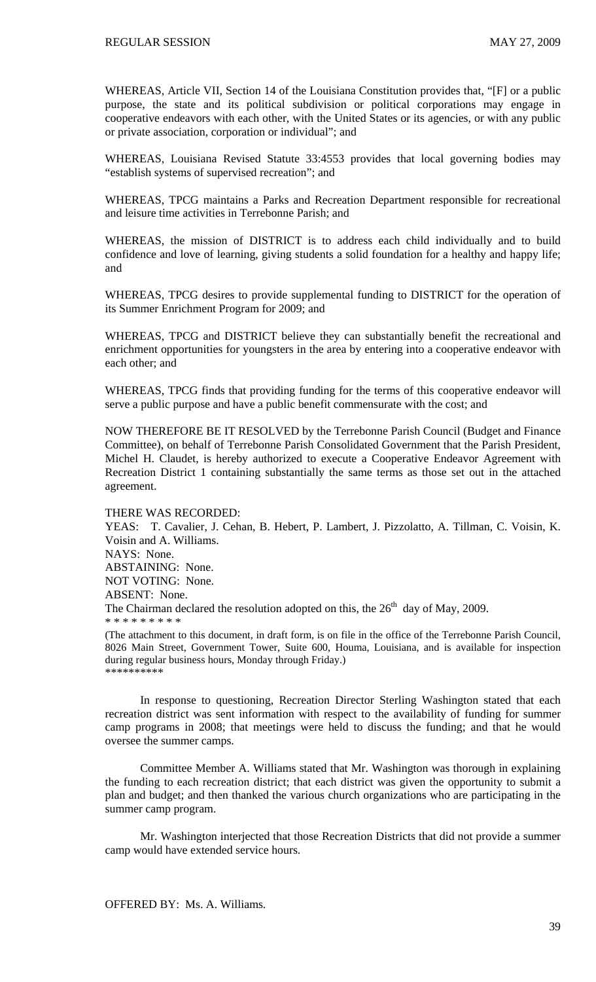WHEREAS, Article VII, Section 14 of the Louisiana Constitution provides that, "[F] or a public purpose, the state and its political subdivision or political corporations may engage in cooperative endeavors with each other, with the United States or its agencies, or with any public or private association, corporation or individual"; and

WHEREAS, Louisiana Revised Statute 33:4553 provides that local governing bodies may "establish systems of supervised recreation"; and

WHEREAS, TPCG maintains a Parks and Recreation Department responsible for recreational and leisure time activities in Terrebonne Parish; and

WHEREAS, the mission of DISTRICT is to address each child individually and to build confidence and love of learning, giving students a solid foundation for a healthy and happy life; and

WHEREAS, TPCG desires to provide supplemental funding to DISTRICT for the operation of its Summer Enrichment Program for 2009; and

WHEREAS, TPCG and DISTRICT believe they can substantially benefit the recreational and enrichment opportunities for youngsters in the area by entering into a cooperative endeavor with each other; and

WHEREAS, TPCG finds that providing funding for the terms of this cooperative endeavor will serve a public purpose and have a public benefit commensurate with the cost; and

NOW THEREFORE BE IT RESOLVED by the Terrebonne Parish Council (Budget and Finance Committee), on behalf of Terrebonne Parish Consolidated Government that the Parish President, Michel H. Claudet, is hereby authorized to execute a Cooperative Endeavor Agreement with Recreation District 1 containing substantially the same terms as those set out in the attached agreement.

#### THERE WAS RECORDED:

YEAS: T. Cavalier, J. Cehan, B. Hebert, P. Lambert, J. Pizzolatto, A. Tillman, C. Voisin, K. Voisin and A. Williams. NAYS: None. ABSTAINING: None. NOT VOTING: None. ABSENT: None. The Chairman declared the resolution adopted on this, the  $26<sup>th</sup>$  day of May, 2009. \* \* \* \* \* \* \* \* \* (The attachment to this document, in draft form, is on file in the office of the Terrebonne Parish Council,

8026 Main Street, Government Tower, Suite 600, Houma, Louisiana, and is available for inspection during regular business hours, Monday through Friday.) \*\*\*\*\*\*\*\*\*\*

 In response to questioning, Recreation Director Sterling Washington stated that each recreation district was sent information with respect to the availability of funding for summer camp programs in 2008; that meetings were held to discuss the funding; and that he would oversee the summer camps.

 Committee Member A. Williams stated that Mr. Washington was thorough in explaining the funding to each recreation district; that each district was given the opportunity to submit a plan and budget; and then thanked the various church organizations who are participating in the summer camp program.

 Mr. Washington interjected that those Recreation Districts that did not provide a summer camp would have extended service hours.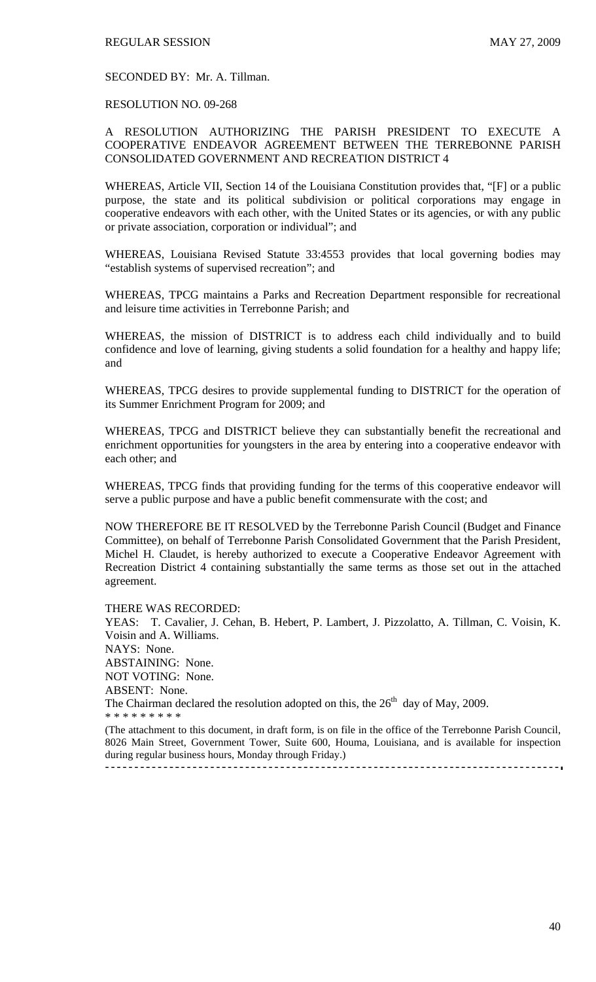#### SECONDED BY: Mr. A. Tillman.

#### RESOLUTION NO. 09-268

### A RESOLUTION AUTHORIZING THE PARISH PRESIDENT TO EXECUTE A COOPERATIVE ENDEAVOR AGREEMENT BETWEEN THE TERREBONNE PARISH CONSOLIDATED GOVERNMENT AND RECREATION DISTRICT 4

WHEREAS, Article VII, Section 14 of the Louisiana Constitution provides that, "[F] or a public purpose, the state and its political subdivision or political corporations may engage in cooperative endeavors with each other, with the United States or its agencies, or with any public or private association, corporation or individual"; and

WHEREAS, Louisiana Revised Statute 33:4553 provides that local governing bodies may "establish systems of supervised recreation"; and

WHEREAS, TPCG maintains a Parks and Recreation Department responsible for recreational and leisure time activities in Terrebonne Parish; and

WHEREAS, the mission of DISTRICT is to address each child individually and to build confidence and love of learning, giving students a solid foundation for a healthy and happy life; and

WHEREAS, TPCG desires to provide supplemental funding to DISTRICT for the operation of its Summer Enrichment Program for 2009; and

WHEREAS, TPCG and DISTRICT believe they can substantially benefit the recreational and enrichment opportunities for youngsters in the area by entering into a cooperative endeavor with each other; and

WHEREAS, TPCG finds that providing funding for the terms of this cooperative endeavor will serve a public purpose and have a public benefit commensurate with the cost; and

NOW THEREFORE BE IT RESOLVED by the Terrebonne Parish Council (Budget and Finance Committee), on behalf of Terrebonne Parish Consolidated Government that the Parish President, Michel H. Claudet, is hereby authorized to execute a Cooperative Endeavor Agreement with Recreation District 4 containing substantially the same terms as those set out in the attached agreement.

#### THERE WAS RECORDED:

YEAS: T. Cavalier, J. Cehan, B. Hebert, P. Lambert, J. Pizzolatto, A. Tillman, C. Voisin, K. Voisin and A. Williams. NAYS: None. ABSTAINING: None. NOT VOTING: None. ABSENT: None. The Chairman declared the resolution adopted on this, the  $26<sup>th</sup>$  day of May, 2009. \* \* \* \* \* \* \* \* \* (The attachment to this document, in draft form, is on file in the office of the Terrebonne Parish Council,

8026 Main Street, Government Tower, Suite 600, Houma, Louisiana, and is available for inspection during regular business hours, Monday through Friday.)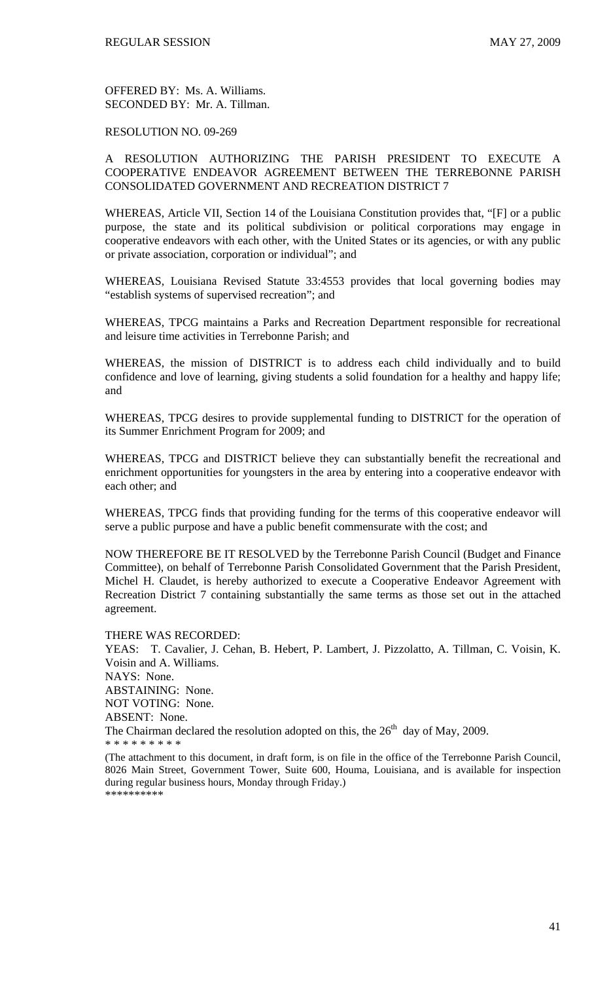### RESOLUTION NO. 09-269

### A RESOLUTION AUTHORIZING THE PARISH PRESIDENT TO EXECUTE A COOPERATIVE ENDEAVOR AGREEMENT BETWEEN THE TERREBONNE PARISH CONSOLIDATED GOVERNMENT AND RECREATION DISTRICT 7

WHEREAS, Article VII, Section 14 of the Louisiana Constitution provides that, "[F] or a public purpose, the state and its political subdivision or political corporations may engage in cooperative endeavors with each other, with the United States or its agencies, or with any public or private association, corporation or individual"; and

WHEREAS, Louisiana Revised Statute 33:4553 provides that local governing bodies may "establish systems of supervised recreation"; and

WHEREAS, TPCG maintains a Parks and Recreation Department responsible for recreational and leisure time activities in Terrebonne Parish; and

WHEREAS, the mission of DISTRICT is to address each child individually and to build confidence and love of learning, giving students a solid foundation for a healthy and happy life; and

WHEREAS, TPCG desires to provide supplemental funding to DISTRICT for the operation of its Summer Enrichment Program for 2009; and

WHEREAS, TPCG and DISTRICT believe they can substantially benefit the recreational and enrichment opportunities for youngsters in the area by entering into a cooperative endeavor with each other; and

WHEREAS, TPCG finds that providing funding for the terms of this cooperative endeavor will serve a public purpose and have a public benefit commensurate with the cost; and

NOW THEREFORE BE IT RESOLVED by the Terrebonne Parish Council (Budget and Finance Committee), on behalf of Terrebonne Parish Consolidated Government that the Parish President, Michel H. Claudet, is hereby authorized to execute a Cooperative Endeavor Agreement with Recreation District 7 containing substantially the same terms as those set out in the attached agreement.

THERE WAS RECORDED:

YEAS: T. Cavalier, J. Cehan, B. Hebert, P. Lambert, J. Pizzolatto, A. Tillman, C. Voisin, K. Voisin and A. Williams. NAYS: None.

ABSTAINING: None. NOT VOTING: None.

ABSENT: None.

The Chairman declared the resolution adopted on this, the  $26<sup>th</sup>$  day of May, 2009.

<sup>\* \* \* \* \* \* \* \* \*</sup>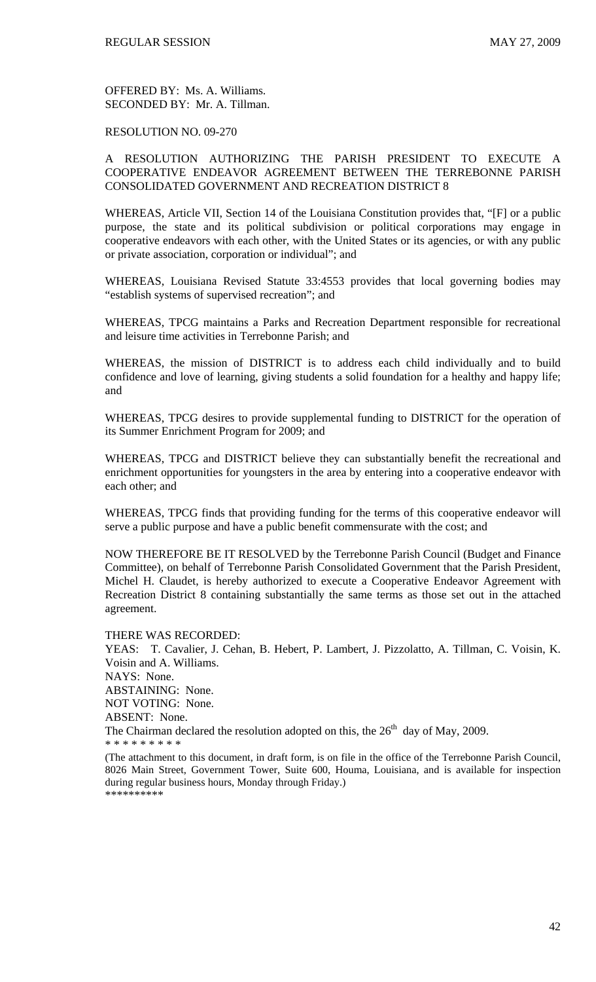### RESOLUTION NO. 09-270

### A RESOLUTION AUTHORIZING THE PARISH PRESIDENT TO EXECUTE A COOPERATIVE ENDEAVOR AGREEMENT BETWEEN THE TERREBONNE PARISH CONSOLIDATED GOVERNMENT AND RECREATION DISTRICT 8

WHEREAS, Article VII, Section 14 of the Louisiana Constitution provides that, "[F] or a public purpose, the state and its political subdivision or political corporations may engage in cooperative endeavors with each other, with the United States or its agencies, or with any public or private association, corporation or individual"; and

WHEREAS, Louisiana Revised Statute 33:4553 provides that local governing bodies may "establish systems of supervised recreation"; and

WHEREAS, TPCG maintains a Parks and Recreation Department responsible for recreational and leisure time activities in Terrebonne Parish; and

WHEREAS, the mission of DISTRICT is to address each child individually and to build confidence and love of learning, giving students a solid foundation for a healthy and happy life; and

WHEREAS, TPCG desires to provide supplemental funding to DISTRICT for the operation of its Summer Enrichment Program for 2009; and

WHEREAS, TPCG and DISTRICT believe they can substantially benefit the recreational and enrichment opportunities for youngsters in the area by entering into a cooperative endeavor with each other; and

WHEREAS, TPCG finds that providing funding for the terms of this cooperative endeavor will serve a public purpose and have a public benefit commensurate with the cost; and

NOW THEREFORE BE IT RESOLVED by the Terrebonne Parish Council (Budget and Finance Committee), on behalf of Terrebonne Parish Consolidated Government that the Parish President, Michel H. Claudet, is hereby authorized to execute a Cooperative Endeavor Agreement with Recreation District 8 containing substantially the same terms as those set out in the attached agreement.

THERE WAS RECORDED:

YEAS: T. Cavalier, J. Cehan, B. Hebert, P. Lambert, J. Pizzolatto, A. Tillman, C. Voisin, K. Voisin and A. Williams. NAYS: None. ABSTAINING: None. NOT VOTING: None.

ABSENT: None.

The Chairman declared the resolution adopted on this, the  $26<sup>th</sup>$  day of May, 2009.

<sup>\* \* \* \* \* \* \* \* \*</sup>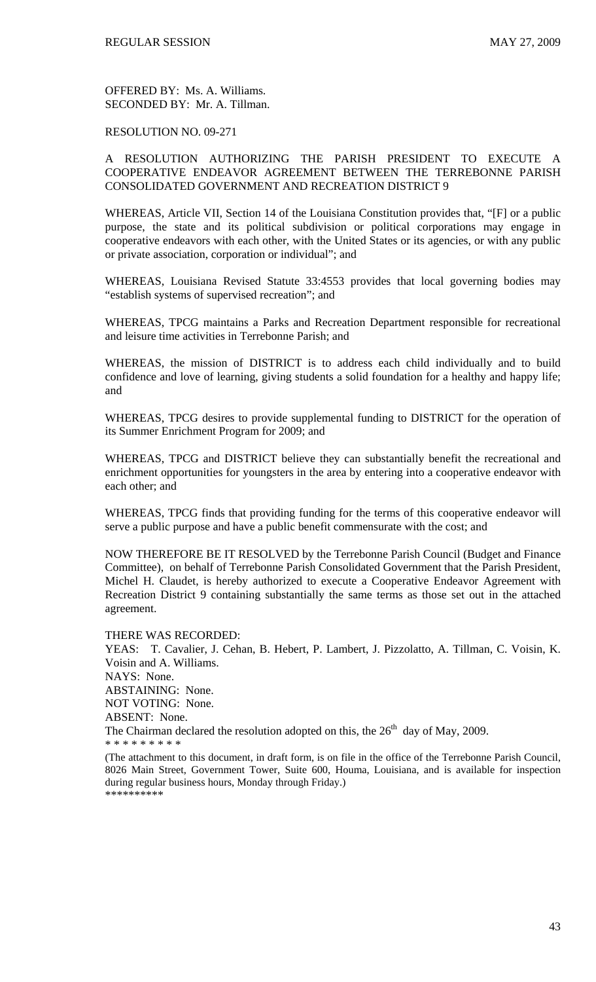RESOLUTION NO. 09-271

### A RESOLUTION AUTHORIZING THE PARISH PRESIDENT TO EXECUTE A COOPERATIVE ENDEAVOR AGREEMENT BETWEEN THE TERREBONNE PARISH CONSOLIDATED GOVERNMENT AND RECREATION DISTRICT 9

WHEREAS, Article VII, Section 14 of the Louisiana Constitution provides that, "[F] or a public purpose, the state and its political subdivision or political corporations may engage in cooperative endeavors with each other, with the United States or its agencies, or with any public or private association, corporation or individual"; and

WHEREAS, Louisiana Revised Statute 33:4553 provides that local governing bodies may "establish systems of supervised recreation"; and

WHEREAS, TPCG maintains a Parks and Recreation Department responsible for recreational and leisure time activities in Terrebonne Parish; and

WHEREAS, the mission of DISTRICT is to address each child individually and to build confidence and love of learning, giving students a solid foundation for a healthy and happy life; and

WHEREAS, TPCG desires to provide supplemental funding to DISTRICT for the operation of its Summer Enrichment Program for 2009; and

WHEREAS, TPCG and DISTRICT believe they can substantially benefit the recreational and enrichment opportunities for youngsters in the area by entering into a cooperative endeavor with each other; and

WHEREAS, TPCG finds that providing funding for the terms of this cooperative endeavor will serve a public purpose and have a public benefit commensurate with the cost; and

NOW THEREFORE BE IT RESOLVED by the Terrebonne Parish Council (Budget and Finance Committee), on behalf of Terrebonne Parish Consolidated Government that the Parish President, Michel H. Claudet, is hereby authorized to execute a Cooperative Endeavor Agreement with Recreation District 9 containing substantially the same terms as those set out in the attached agreement.

THERE WAS RECORDED:

YEAS: T. Cavalier, J. Cehan, B. Hebert, P. Lambert, J. Pizzolatto, A. Tillman, C. Voisin, K. Voisin and A. Williams. NAYS: None. ABSTAINING: None. NOT VOTING: None. ABSENT: None.

The Chairman declared the resolution adopted on this, the  $26<sup>th</sup>$  day of May, 2009.

\* \* \* \* \* \* \* \* \*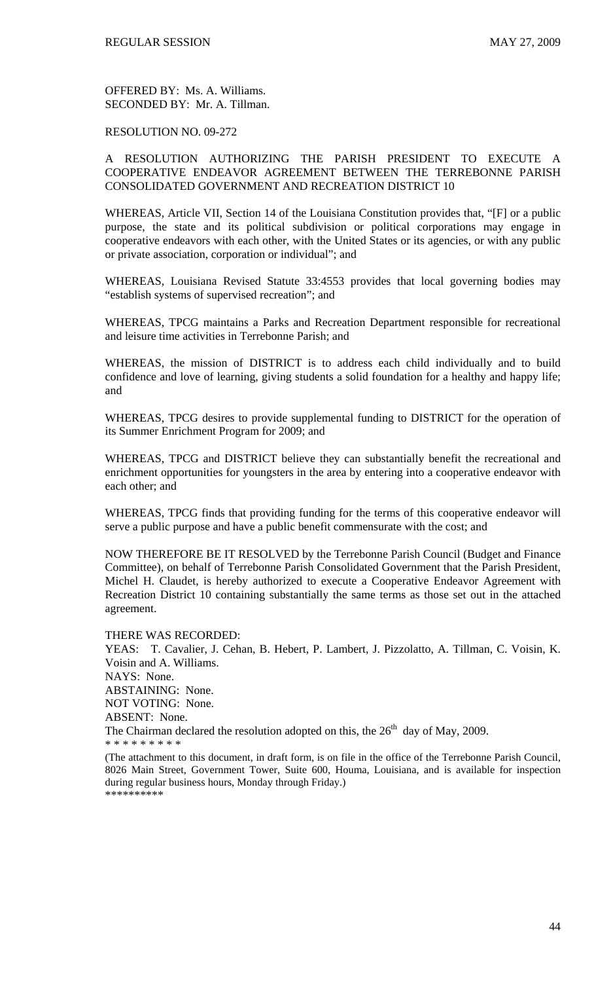### RESOLUTION NO. 09-272

### A RESOLUTION AUTHORIZING THE PARISH PRESIDENT TO EXECUTE A COOPERATIVE ENDEAVOR AGREEMENT BETWEEN THE TERREBONNE PARISH CONSOLIDATED GOVERNMENT AND RECREATION DISTRICT 10

WHEREAS, Article VII, Section 14 of the Louisiana Constitution provides that, "[F] or a public purpose, the state and its political subdivision or political corporations may engage in cooperative endeavors with each other, with the United States or its agencies, or with any public or private association, corporation or individual"; and

WHEREAS, Louisiana Revised Statute 33:4553 provides that local governing bodies may "establish systems of supervised recreation"; and

WHEREAS, TPCG maintains a Parks and Recreation Department responsible for recreational and leisure time activities in Terrebonne Parish; and

WHEREAS, the mission of DISTRICT is to address each child individually and to build confidence and love of learning, giving students a solid foundation for a healthy and happy life; and

WHEREAS, TPCG desires to provide supplemental funding to DISTRICT for the operation of its Summer Enrichment Program for 2009; and

WHEREAS, TPCG and DISTRICT believe they can substantially benefit the recreational and enrichment opportunities for youngsters in the area by entering into a cooperative endeavor with each other; and

WHEREAS, TPCG finds that providing funding for the terms of this cooperative endeavor will serve a public purpose and have a public benefit commensurate with the cost; and

NOW THEREFORE BE IT RESOLVED by the Terrebonne Parish Council (Budget and Finance Committee), on behalf of Terrebonne Parish Consolidated Government that the Parish President, Michel H. Claudet, is hereby authorized to execute a Cooperative Endeavor Agreement with Recreation District 10 containing substantially the same terms as those set out in the attached agreement.

THERE WAS RECORDED:

YEAS: T. Cavalier, J. Cehan, B. Hebert, P. Lambert, J. Pizzolatto, A. Tillman, C. Voisin, K. Voisin and A. Williams. NAYS: None. ABSTAINING: None. NOT VOTING: None.

ABSENT: None.

The Chairman declared the resolution adopted on this, the  $26<sup>th</sup>$  day of May, 2009.

<sup>\* \* \* \* \* \* \* \* \*</sup>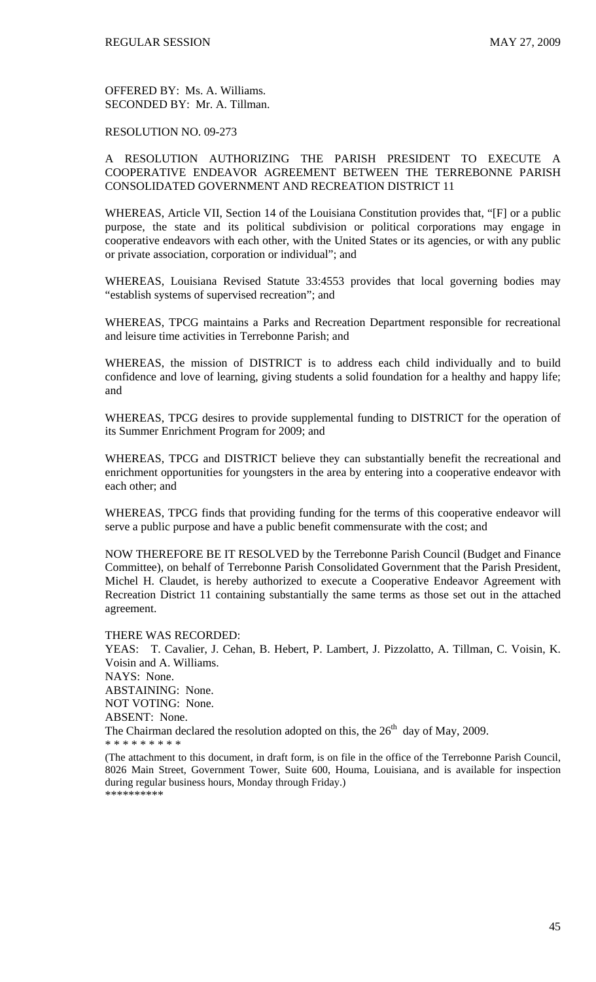### RESOLUTION NO. 09-273

### A RESOLUTION AUTHORIZING THE PARISH PRESIDENT TO EXECUTE A COOPERATIVE ENDEAVOR AGREEMENT BETWEEN THE TERREBONNE PARISH CONSOLIDATED GOVERNMENT AND RECREATION DISTRICT 11

WHEREAS, Article VII, Section 14 of the Louisiana Constitution provides that, "[F] or a public purpose, the state and its political subdivision or political corporations may engage in cooperative endeavors with each other, with the United States or its agencies, or with any public or private association, corporation or individual"; and

WHEREAS, Louisiana Revised Statute 33:4553 provides that local governing bodies may "establish systems of supervised recreation"; and

WHEREAS, TPCG maintains a Parks and Recreation Department responsible for recreational and leisure time activities in Terrebonne Parish; and

WHEREAS, the mission of DISTRICT is to address each child individually and to build confidence and love of learning, giving students a solid foundation for a healthy and happy life; and

WHEREAS, TPCG desires to provide supplemental funding to DISTRICT for the operation of its Summer Enrichment Program for 2009; and

WHEREAS, TPCG and DISTRICT believe they can substantially benefit the recreational and enrichment opportunities for youngsters in the area by entering into a cooperative endeavor with each other; and

WHEREAS, TPCG finds that providing funding for the terms of this cooperative endeavor will serve a public purpose and have a public benefit commensurate with the cost; and

NOW THEREFORE BE IT RESOLVED by the Terrebonne Parish Council (Budget and Finance Committee), on behalf of Terrebonne Parish Consolidated Government that the Parish President, Michel H. Claudet, is hereby authorized to execute a Cooperative Endeavor Agreement with Recreation District 11 containing substantially the same terms as those set out in the attached agreement.

THERE WAS RECORDED:

YEAS: T. Cavalier, J. Cehan, B. Hebert, P. Lambert, J. Pizzolatto, A. Tillman, C. Voisin, K. Voisin and A. Williams. NAYS: None. ABSTAINING: None. NOT VOTING: None.

ABSENT: None.

The Chairman declared the resolution adopted on this, the  $26<sup>th</sup>$  day of May, 2009.

<sup>\* \* \* \* \* \* \* \* \*</sup>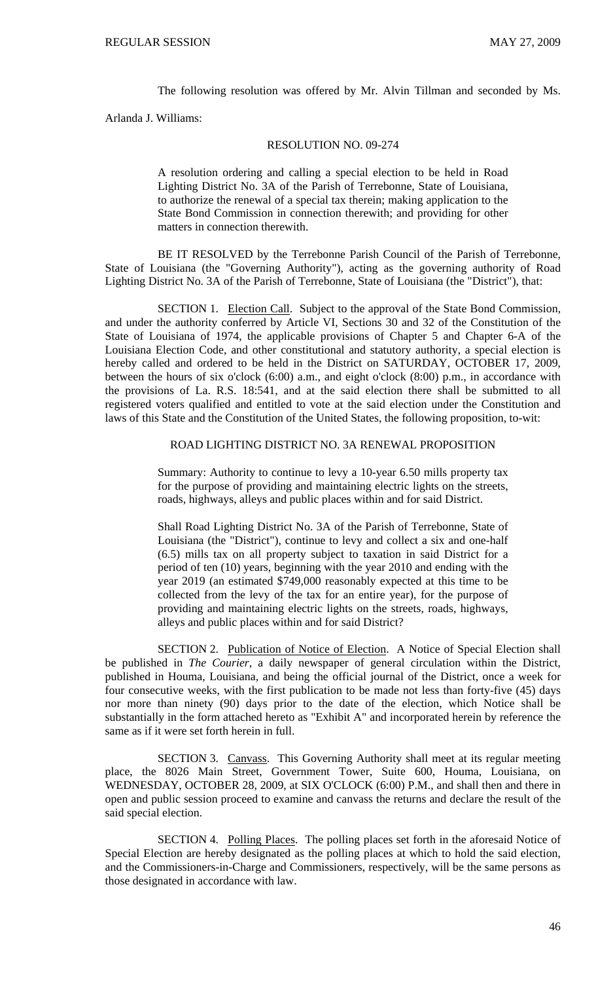The following resolution was offered by Mr. Alvin Tillman and seconded by Ms.

Arlanda J. Williams:

### RESOLUTION NO. 09-274

A resolution ordering and calling a special election to be held in Road Lighting District No. 3A of the Parish of Terrebonne, State of Louisiana, to authorize the renewal of a special tax therein; making application to the State Bond Commission in connection therewith; and providing for other matters in connection therewith.

BE IT RESOLVED by the Terrebonne Parish Council of the Parish of Terrebonne, State of Louisiana (the "Governing Authority"), acting as the governing authority of Road Lighting District No. 3A of the Parish of Terrebonne, State of Louisiana (the "District"), that:

SECTION 1. Election Call. Subject to the approval of the State Bond Commission, and under the authority conferred by Article VI, Sections 30 and 32 of the Constitution of the State of Louisiana of 1974, the applicable provisions of Chapter 5 and Chapter 6-A of the Louisiana Election Code, and other constitutional and statutory authority, a special election is hereby called and ordered to be held in the District on SATURDAY, OCTOBER 17, 2009, between the hours of six o'clock (6:00) a.m., and eight o'clock (8:00) p.m., in accordance with the provisions of La. R.S. 18:541, and at the said election there shall be submitted to all registered voters qualified and entitled to vote at the said election under the Constitution and laws of this State and the Constitution of the United States, the following proposition, to-wit:

### ROAD LIGHTING DISTRICT NO. 3A RENEWAL PROPOSITION

Summary: Authority to continue to levy a 10-year 6.50 mills property tax for the purpose of providing and maintaining electric lights on the streets, roads, highways, alleys and public places within and for said District.

Shall Road Lighting District No. 3A of the Parish of Terrebonne, State of Louisiana (the "District"), continue to levy and collect a six and one-half (6.5) mills tax on all property subject to taxation in said District for a period of ten (10) years, beginning with the year 2010 and ending with the year 2019 (an estimated \$749,000 reasonably expected at this time to be collected from the levy of the tax for an entire year), for the purpose of providing and maintaining electric lights on the streets, roads, highways, alleys and public places within and for said District?

SECTION 2. Publication of Notice of Election. A Notice of Special Election shall be published in *The Courier*, a daily newspaper of general circulation within the District, published in Houma, Louisiana, and being the official journal of the District, once a week for four consecutive weeks, with the first publication to be made not less than forty-five (45) days nor more than ninety (90) days prior to the date of the election, which Notice shall be substantially in the form attached hereto as "Exhibit A" and incorporated herein by reference the same as if it were set forth herein in full.

SECTION 3. Canvass. This Governing Authority shall meet at its regular meeting place, the 8026 Main Street, Government Tower, Suite 600, Houma, Louisiana, on WEDNESDAY, OCTOBER 28, 2009, at SIX O'CLOCK (6:00) P.M., and shall then and there in open and public session proceed to examine and canvass the returns and declare the result of the said special election.

SECTION 4. Polling Places. The polling places set forth in the aforesaid Notice of Special Election are hereby designated as the polling places at which to hold the said election, and the Commissioners-in-Charge and Commissioners, respectively, will be the same persons as those designated in accordance with law.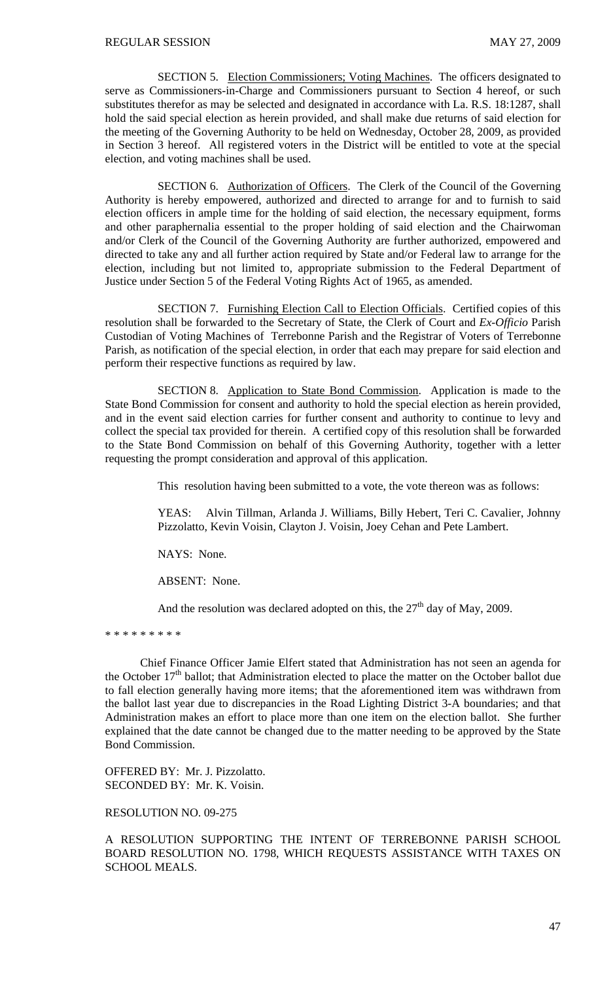SECTION 5. Election Commissioners; Voting Machines. The officers designated to serve as Commissioners-in-Charge and Commissioners pursuant to Section 4 hereof, or such substitutes therefor as may be selected and designated in accordance with La. R.S. 18:1287, shall hold the said special election as herein provided, and shall make due returns of said election for the meeting of the Governing Authority to be held on Wednesday, October 28, 2009, as provided in Section 3 hereof. All registered voters in the District will be entitled to vote at the special election, and voting machines shall be used.

SECTION 6. Authorization of Officers. The Clerk of the Council of the Governing Authority is hereby empowered, authorized and directed to arrange for and to furnish to said election officers in ample time for the holding of said election, the necessary equipment, forms and other paraphernalia essential to the proper holding of said election and the Chairwoman and/or Clerk of the Council of the Governing Authority are further authorized, empowered and directed to take any and all further action required by State and/or Federal law to arrange for the election, including but not limited to, appropriate submission to the Federal Department of Justice under Section 5 of the Federal Voting Rights Act of 1965, as amended.

SECTION 7. Furnishing Election Call to Election Officials. Certified copies of this resolution shall be forwarded to the Secretary of State, the Clerk of Court and *Ex-Officio* Parish Custodian of Voting Machines of Terrebonne Parish and the Registrar of Voters of Terrebonne Parish, as notification of the special election, in order that each may prepare for said election and perform their respective functions as required by law.

SECTION 8. Application to State Bond Commission. Application is made to the State Bond Commission for consent and authority to hold the special election as herein provided, and in the event said election carries for further consent and authority to continue to levy and collect the special tax provided for therein. A certified copy of this resolution shall be forwarded to the State Bond Commission on behalf of this Governing Authority, together with a letter requesting the prompt consideration and approval of this application.

This resolution having been submitted to a vote, the vote thereon was as follows:

YEAS: Alvin Tillman, Arlanda J. Williams, Billy Hebert, Teri C. Cavalier, Johnny Pizzolatto, Kevin Voisin, Clayton J. Voisin, Joey Cehan and Pete Lambert.

NAYS: None.

ABSENT: None.

And the resolution was declared adopted on this, the  $27<sup>th</sup>$  day of May, 2009.

\* \* \* \* \* \* \* \* \*

Chief Finance Officer Jamie Elfert stated that Administration has not seen an agenda for the October 17<sup>th</sup> ballot; that Administration elected to place the matter on the October ballot due to fall election generally having more items; that the aforementioned item was withdrawn from the ballot last year due to discrepancies in the Road Lighting District 3-A boundaries; and that Administration makes an effort to place more than one item on the election ballot. She further explained that the date cannot be changed due to the matter needing to be approved by the State Bond Commission.

OFFERED BY: Mr. J. Pizzolatto. SECONDED BY: Mr. K. Voisin.

### RESOLUTION NO. 09-275

A RESOLUTION SUPPORTING THE INTENT OF TERREBONNE PARISH SCHOOL BOARD RESOLUTION NO. 1798, WHICH REQUESTS ASSISTANCE WITH TAXES ON SCHOOL MEALS.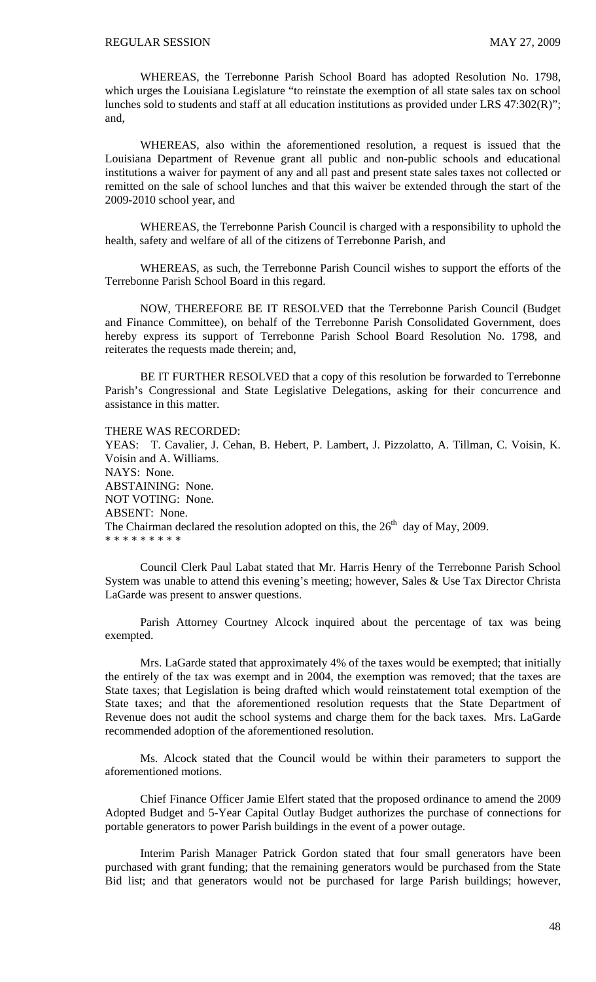WHEREAS, the Terrebonne Parish School Board has adopted Resolution No. 1798, which urges the Louisiana Legislature "to reinstate the exemption of all state sales tax on school lunches sold to students and staff at all education institutions as provided under LRS 47:302(R)"; and,

 WHEREAS, also within the aforementioned resolution, a request is issued that the Louisiana Department of Revenue grant all public and non-public schools and educational institutions a waiver for payment of any and all past and present state sales taxes not collected or remitted on the sale of school lunches and that this waiver be extended through the start of the 2009-2010 school year, and

 WHEREAS, the Terrebonne Parish Council is charged with a responsibility to uphold the health, safety and welfare of all of the citizens of Terrebonne Parish, and

 WHEREAS, as such, the Terrebonne Parish Council wishes to support the efforts of the Terrebonne Parish School Board in this regard.

 NOW, THEREFORE BE IT RESOLVED that the Terrebonne Parish Council (Budget and Finance Committee), on behalf of the Terrebonne Parish Consolidated Government, does hereby express its support of Terrebonne Parish School Board Resolution No. 1798, and reiterates the requests made therein; and,

 BE IT FURTHER RESOLVED that a copy of this resolution be forwarded to Terrebonne Parish's Congressional and State Legislative Delegations, asking for their concurrence and assistance in this matter.

#### THERE WAS RECORDED:

YEAS: T. Cavalier, J. Cehan, B. Hebert, P. Lambert, J. Pizzolatto, A. Tillman, C. Voisin, K. Voisin and A. Williams. NAYS: None. ABSTAINING: None. NOT VOTING: None. ABSENT: None. The Chairman declared the resolution adopted on this, the  $26<sup>th</sup>$  day of May, 2009. \* \* \* \* \* \* \* \* \*

 Council Clerk Paul Labat stated that Mr. Harris Henry of the Terrebonne Parish School System was unable to attend this evening's meeting; however, Sales & Use Tax Director Christa LaGarde was present to answer questions.

 Parish Attorney Courtney Alcock inquired about the percentage of tax was being exempted.

 Mrs. LaGarde stated that approximately 4% of the taxes would be exempted; that initially the entirely of the tax was exempt and in 2004, the exemption was removed; that the taxes are State taxes; that Legislation is being drafted which would reinstatement total exemption of the State taxes; and that the aforementioned resolution requests that the State Department of Revenue does not audit the school systems and charge them for the back taxes. Mrs. LaGarde recommended adoption of the aforementioned resolution.

 Ms. Alcock stated that the Council would be within their parameters to support the aforementioned motions.

 Chief Finance Officer Jamie Elfert stated that the proposed ordinance to amend the 2009 Adopted Budget and 5-Year Capital Outlay Budget authorizes the purchase of connections for portable generators to power Parish buildings in the event of a power outage.

 Interim Parish Manager Patrick Gordon stated that four small generators have been purchased with grant funding; that the remaining generators would be purchased from the State Bid list; and that generators would not be purchased for large Parish buildings; however,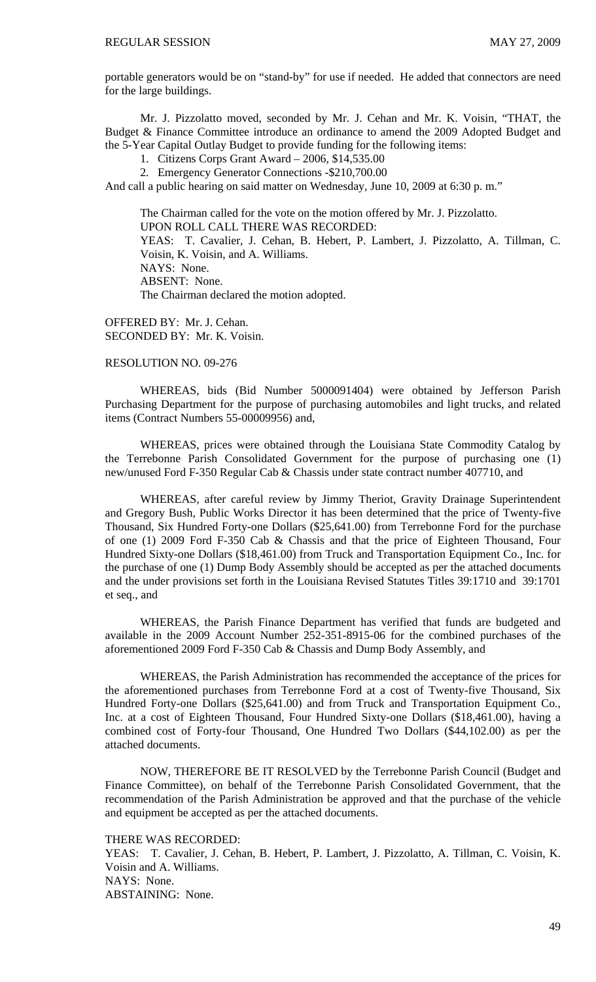portable generators would be on "stand-by" for use if needed. He added that connectors are need for the large buildings.

 Mr. J. Pizzolatto moved, seconded by Mr. J. Cehan and Mr. K. Voisin, "THAT, the Budget & Finance Committee introduce an ordinance to amend the 2009 Adopted Budget and the 5-Year Capital Outlay Budget to provide funding for the following items:

1. Citizens Corps Grant Award – 2006, \$14,535.00

2. Emergency Generator Connections -\$210,700.00

And call a public hearing on said matter on Wednesday, June 10, 2009 at 6:30 p. m."

The Chairman called for the vote on the motion offered by Mr. J. Pizzolatto. UPON ROLL CALL THERE WAS RECORDED: YEAS: T. Cavalier, J. Cehan, B. Hebert, P. Lambert, J. Pizzolatto, A. Tillman, C. Voisin, K. Voisin, and A. Williams. NAYS: None. ABSENT: None. The Chairman declared the motion adopted.

OFFERED BY: Mr. J. Cehan. SECONDED BY: Mr. K. Voisin.

### RESOLUTION NO. 09-276

 WHEREAS, bids (Bid Number 5000091404) were obtained by Jefferson Parish Purchasing Department for the purpose of purchasing automobiles and light trucks, and related items (Contract Numbers 55-00009956) and,

 WHEREAS, prices were obtained through the Louisiana State Commodity Catalog by the Terrebonne Parish Consolidated Government for the purpose of purchasing one (1) new/unused Ford F-350 Regular Cab & Chassis under state contract number 407710, and

 WHEREAS, after careful review by Jimmy Theriot, Gravity Drainage Superintendent and Gregory Bush, Public Works Director it has been determined that the price of Twenty-five Thousand, Six Hundred Forty-one Dollars (\$25,641.00) from Terrebonne Ford for the purchase of one (1) 2009 Ford F-350 Cab & Chassis and that the price of Eighteen Thousand, Four Hundred Sixty-one Dollars (\$18,461.00) from Truck and Transportation Equipment Co., Inc. for the purchase of one (1) Dump Body Assembly should be accepted as per the attached documents and the under provisions set forth in the Louisiana Revised Statutes Titles 39:1710 and 39:1701 et seq., and

 WHEREAS, the Parish Finance Department has verified that funds are budgeted and available in the 2009 Account Number 252-351-8915-06 for the combined purchases of the aforementioned 2009 Ford F-350 Cab & Chassis and Dump Body Assembly, and

 WHEREAS, the Parish Administration has recommended the acceptance of the prices for the aforementioned purchases from Terrebonne Ford at a cost of Twenty-five Thousand, Six Hundred Forty-one Dollars (\$25,641.00) and from Truck and Transportation Equipment Co., Inc. at a cost of Eighteen Thousand, Four Hundred Sixty-one Dollars (\$18,461.00), having a combined cost of Forty-four Thousand, One Hundred Two Dollars (\$44,102.00) as per the attached documents.

 NOW, THEREFORE BE IT RESOLVED by the Terrebonne Parish Council (Budget and Finance Committee), on behalf of the Terrebonne Parish Consolidated Government, that the recommendation of the Parish Administration be approved and that the purchase of the vehicle and equipment be accepted as per the attached documents.

THERE WAS RECORDED:

YEAS: T. Cavalier, J. Cehan, B. Hebert, P. Lambert, J. Pizzolatto, A. Tillman, C. Voisin, K. Voisin and A. Williams. NAYS: None. ABSTAINING: None.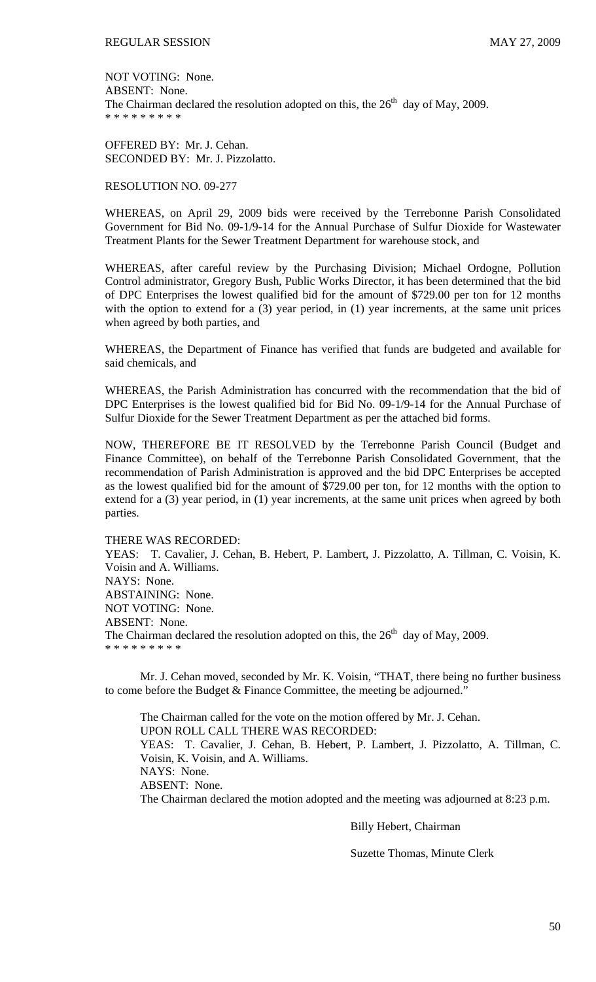NOT VOTING: None. ABSENT: None. The Chairman declared the resolution adopted on this, the  $26<sup>th</sup>$  day of May, 2009. \* \* \* \* \* \* \* \* \*

OFFERED BY: Mr. J. Cehan. SECONDED BY: Mr. J. Pizzolatto.

#### RESOLUTION NO. 09-277

WHEREAS, on April 29, 2009 bids were received by the Terrebonne Parish Consolidated Government for Bid No. 09-1/9-14 for the Annual Purchase of Sulfur Dioxide for Wastewater Treatment Plants for the Sewer Treatment Department for warehouse stock, and

WHEREAS, after careful review by the Purchasing Division; Michael Ordogne, Pollution Control administrator, Gregory Bush, Public Works Director, it has been determined that the bid of DPC Enterprises the lowest qualified bid for the amount of \$729.00 per ton for 12 months with the option to extend for a (3) year period, in (1) year increments, at the same unit prices when agreed by both parties, and

WHEREAS, the Department of Finance has verified that funds are budgeted and available for said chemicals, and

WHEREAS, the Parish Administration has concurred with the recommendation that the bid of DPC Enterprises is the lowest qualified bid for Bid No. 09-1/9-14 for the Annual Purchase of Sulfur Dioxide for the Sewer Treatment Department as per the attached bid forms.

NOW, THEREFORE BE IT RESOLVED by the Terrebonne Parish Council (Budget and Finance Committee), on behalf of the Terrebonne Parish Consolidated Government, that the recommendation of Parish Administration is approved and the bid DPC Enterprises be accepted as the lowest qualified bid for the amount of \$729.00 per ton, for 12 months with the option to extend for a (3) year period, in (1) year increments, at the same unit prices when agreed by both parties.

### THERE WAS RECORDED:

YEAS: T. Cavalier, J. Cehan, B. Hebert, P. Lambert, J. Pizzolatto, A. Tillman, C. Voisin, K. Voisin and A. Williams. NAYS: None. ABSTAINING: None. NOT VOTING: None. ABSENT: None. The Chairman declared the resolution adopted on this, the  $26<sup>th</sup>$  day of May, 2009. \* \* \* \* \* \* \* \* \*

 Mr. J. Cehan moved, seconded by Mr. K. Voisin, "THAT, there being no further business to come before the Budget & Finance Committee, the meeting be adjourned."

 The Chairman called for the vote on the motion offered by Mr. J. Cehan. UPON ROLL CALL THERE WAS RECORDED: YEAS: T. Cavalier, J. Cehan, B. Hebert, P. Lambert, J. Pizzolatto, A. Tillman, C. Voisin, K. Voisin, and A. Williams. NAYS: None. ABSENT: None. The Chairman declared the motion adopted and the meeting was adjourned at 8:23 p.m.

Billy Hebert, Chairman

Suzette Thomas, Minute Clerk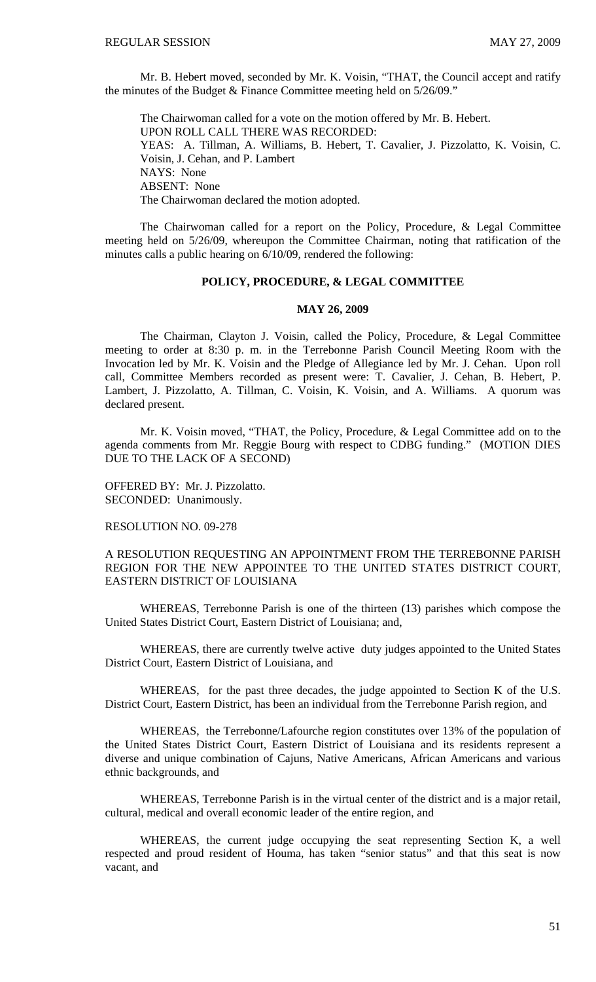Mr. B. Hebert moved, seconded by Mr. K. Voisin, "THAT, the Council accept and ratify the minutes of the Budget & Finance Committee meeting held on 5/26/09."

 The Chairwoman called for a vote on the motion offered by Mr. B. Hebert. UPON ROLL CALL THERE WAS RECORDED: YEAS: A. Tillman, A. Williams, B. Hebert, T. Cavalier, J. Pizzolatto, K. Voisin, C. Voisin, J. Cehan, and P. Lambert NAYS: None ABSENT: None The Chairwoman declared the motion adopted.

 The Chairwoman called for a report on the Policy, Procedure, & Legal Committee meeting held on 5/26/09, whereupon the Committee Chairman, noting that ratification of the minutes calls a public hearing on 6/10/09, rendered the following:

#### **POLICY, PROCEDURE, & LEGAL COMMITTEE**

### **MAY 26, 2009**

 The Chairman, Clayton J. Voisin, called the Policy, Procedure, & Legal Committee meeting to order at 8:30 p. m. in the Terrebonne Parish Council Meeting Room with the Invocation led by Mr. K. Voisin and the Pledge of Allegiance led by Mr. J. Cehan. Upon roll call, Committee Members recorded as present were: T. Cavalier, J. Cehan, B. Hebert, P. Lambert, J. Pizzolatto, A. Tillman, C. Voisin, K. Voisin, and A. Williams. A quorum was declared present.

 Mr. K. Voisin moved, "THAT, the Policy, Procedure, & Legal Committee add on to the agenda comments from Mr. Reggie Bourg with respect to CDBG funding." (MOTION DIES DUE TO THE LACK OF A SECOND)

OFFERED BY: Mr. J. Pizzolatto. SECONDED: Unanimously.

RESOLUTION NO. 09-278

A RESOLUTION REQUESTING AN APPOINTMENT FROM THE TERREBONNE PARISH REGION FOR THE NEW APPOINTEE TO THE UNITED STATES DISTRICT COURT, EASTERN DISTRICT OF LOUISIANA

 WHEREAS, Terrebonne Parish is one of the thirteen (13) parishes which compose the United States District Court, Eastern District of Louisiana; and,

 WHEREAS, there are currently twelve active duty judges appointed to the United States District Court, Eastern District of Louisiana, and

 WHEREAS, for the past three decades, the judge appointed to Section K of the U.S. District Court, Eastern District, has been an individual from the Terrebonne Parish region, and

 WHEREAS, the Terrebonne/Lafourche region constitutes over 13% of the population of the United States District Court, Eastern District of Louisiana and its residents represent a diverse and unique combination of Cajuns, Native Americans, African Americans and various ethnic backgrounds, and

 WHEREAS, Terrebonne Parish is in the virtual center of the district and is a major retail, cultural, medical and overall economic leader of the entire region, and

 WHEREAS, the current judge occupying the seat representing Section K, a well respected and proud resident of Houma, has taken "senior status" and that this seat is now vacant, and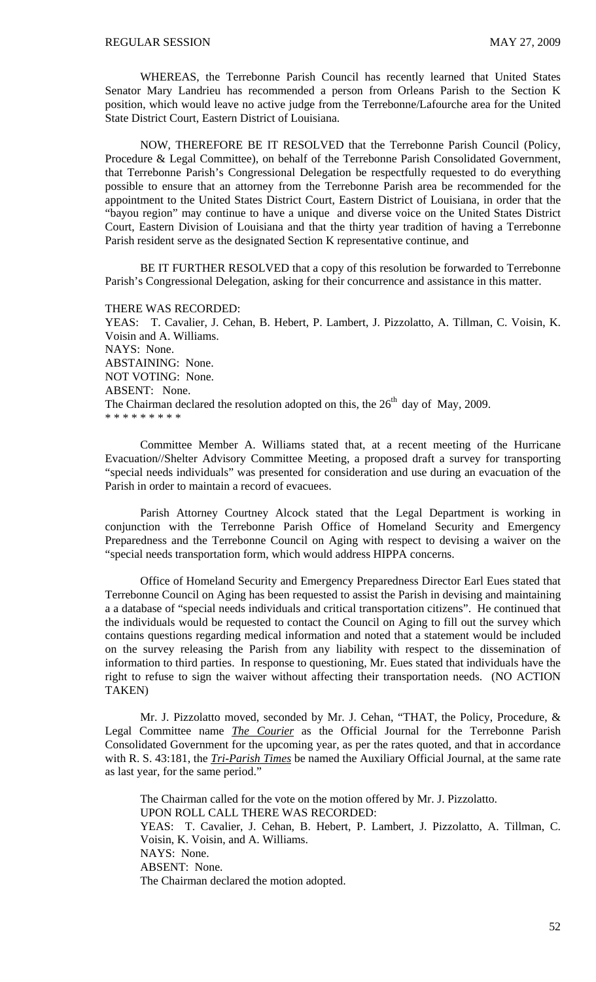WHEREAS, the Terrebonne Parish Council has recently learned that United States Senator Mary Landrieu has recommended a person from Orleans Parish to the Section K position, which would leave no active judge from the Terrebonne/Lafourche area for the United State District Court, Eastern District of Louisiana.

 NOW, THEREFORE BE IT RESOLVED that the Terrebonne Parish Council (Policy, Procedure & Legal Committee), on behalf of the Terrebonne Parish Consolidated Government, that Terrebonne Parish's Congressional Delegation be respectfully requested to do everything possible to ensure that an attorney from the Terrebonne Parish area be recommended for the appointment to the United States District Court, Eastern District of Louisiana, in order that the "bayou region" may continue to have a unique and diverse voice on the United States District Court, Eastern Division of Louisiana and that the thirty year tradition of having a Terrebonne Parish resident serve as the designated Section K representative continue, and

 BE IT FURTHER RESOLVED that a copy of this resolution be forwarded to Terrebonne Parish's Congressional Delegation, asking for their concurrence and assistance in this matter.

THERE WAS RECORDED:

YEAS: T. Cavalier, J. Cehan, B. Hebert, P. Lambert, J. Pizzolatto, A. Tillman, C. Voisin, K. Voisin and A. Williams. NAYS: None. ABSTAINING: None. NOT VOTING: None. ABSENT: None. The Chairman declared the resolution adopted on this, the  $26<sup>th</sup>$  day of May, 2009. \* \* \* \* \* \* \* \* \*

Committee Member A. Williams stated that, at a recent meeting of the Hurricane Evacuation//Shelter Advisory Committee Meeting, a proposed draft a survey for transporting "special needs individuals" was presented for consideration and use during an evacuation of the Parish in order to maintain a record of evacuees.

Parish Attorney Courtney Alcock stated that the Legal Department is working in conjunction with the Terrebonne Parish Office of Homeland Security and Emergency Preparedness and the Terrebonne Council on Aging with respect to devising a waiver on the "special needs transportation form, which would address HIPPA concerns.

Office of Homeland Security and Emergency Preparedness Director Earl Eues stated that Terrebonne Council on Aging has been requested to assist the Parish in devising and maintaining a a database of "special needs individuals and critical transportation citizens". He continued that the individuals would be requested to contact the Council on Aging to fill out the survey which contains questions regarding medical information and noted that a statement would be included on the survey releasing the Parish from any liability with respect to the dissemination of information to third parties. In response to questioning, Mr. Eues stated that individuals have the right to refuse to sign the waiver without affecting their transportation needs. (NO ACTION TAKEN)

Mr. J. Pizzolatto moved, seconded by Mr. J. Cehan, "THAT, the Policy, Procedure, & Legal Committee name *The Courier* as the Official Journal for the Terrebonne Parish Consolidated Government for the upcoming year, as per the rates quoted, and that in accordance with R. S. 43:181, the *Tri-Parish Times* be named the Auxiliary Official Journal, at the same rate as last year, for the same period."

 The Chairman called for the vote on the motion offered by Mr. J. Pizzolatto. UPON ROLL CALL THERE WAS RECORDED: YEAS: T. Cavalier, J. Cehan, B. Hebert, P. Lambert, J. Pizzolatto, A. Tillman, C. Voisin, K. Voisin, and A. Williams. NAYS: None. ABSENT: None. The Chairman declared the motion adopted.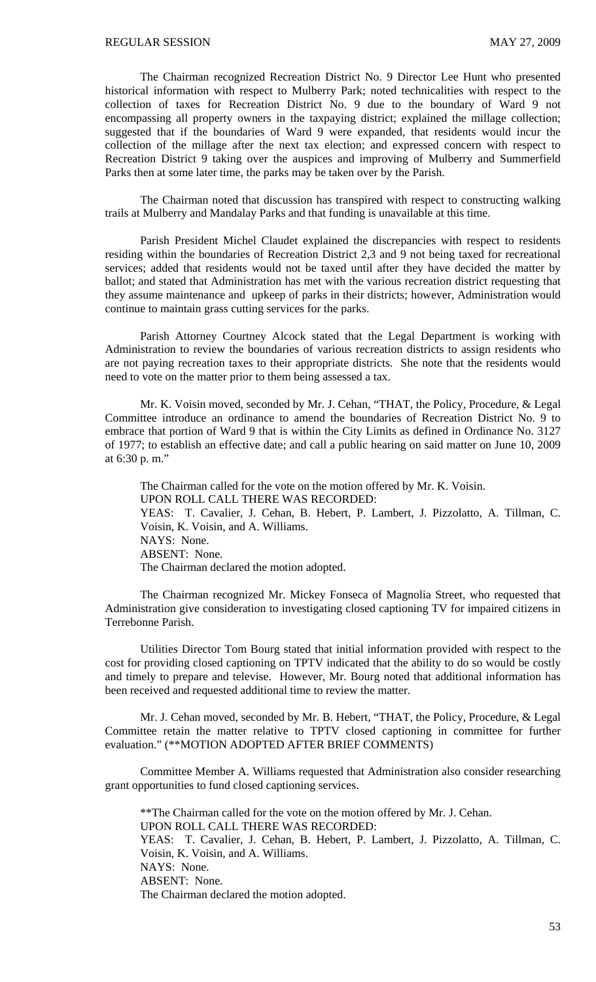The Chairman recognized Recreation District No. 9 Director Lee Hunt who presented historical information with respect to Mulberry Park; noted technicalities with respect to the collection of taxes for Recreation District No. 9 due to the boundary of Ward 9 not encompassing all property owners in the taxpaying district; explained the millage collection; suggested that if the boundaries of Ward 9 were expanded, that residents would incur the collection of the millage after the next tax election; and expressed concern with respect to Recreation District 9 taking over the auspices and improving of Mulberry and Summerfield Parks then at some later time, the parks may be taken over by the Parish.

 The Chairman noted that discussion has transpired with respect to constructing walking trails at Mulberry and Mandalay Parks and that funding is unavailable at this time.

 Parish President Michel Claudet explained the discrepancies with respect to residents residing within the boundaries of Recreation District 2,3 and 9 not being taxed for recreational services; added that residents would not be taxed until after they have decided the matter by ballot; and stated that Administration has met with the various recreation district requesting that they assume maintenance and upkeep of parks in their districts; however, Administration would continue to maintain grass cutting services for the parks.

 Parish Attorney Courtney Alcock stated that the Legal Department is working with Administration to review the boundaries of various recreation districts to assign residents who are not paying recreation taxes to their appropriate districts. She note that the residents would need to vote on the matter prior to them being assessed a tax.

 Mr. K. Voisin moved, seconded by Mr. J. Cehan, "THAT, the Policy, Procedure, & Legal Committee introduce an ordinance to amend the boundaries of Recreation District No. 9 to embrace that portion of Ward 9 that is within the City Limits as defined in Ordinance No. 3127 of 1977; to establish an effective date; and call a public hearing on said matter on June 10, 2009 at 6:30 p. m."

 The Chairman called for the vote on the motion offered by Mr. K. Voisin. UPON ROLL CALL THERE WAS RECORDED: YEAS: T. Cavalier, J. Cehan, B. Hebert, P. Lambert, J. Pizzolatto, A. Tillman, C. Voisin, K. Voisin, and A. Williams. NAYS: None. ABSENT: None. The Chairman declared the motion adopted.

 The Chairman recognized Mr. Mickey Fonseca of Magnolia Street, who requested that Administration give consideration to investigating closed captioning TV for impaired citizens in Terrebonne Parish.

 Utilities Director Tom Bourg stated that initial information provided with respect to the cost for providing closed captioning on TPTV indicated that the ability to do so would be costly and timely to prepare and televise. However, Mr. Bourg noted that additional information has been received and requested additional time to review the matter.

Mr. J. Cehan moved, seconded by Mr. B. Hebert, "THAT, the Policy, Procedure, & Legal Committee retain the matter relative to TPTV closed captioning in committee for further evaluation." (\*\*MOTION ADOPTED AFTER BRIEF COMMENTS)

Committee Member A. Williams requested that Administration also consider researching grant opportunities to fund closed captioning services.

\*\*The Chairman called for the vote on the motion offered by Mr. J. Cehan. UPON ROLL CALL THERE WAS RECORDED: YEAS: T. Cavalier, J. Cehan, B. Hebert, P. Lambert, J. Pizzolatto, A. Tillman, C. Voisin, K. Voisin, and A. Williams. NAYS: None. ABSENT: None. The Chairman declared the motion adopted.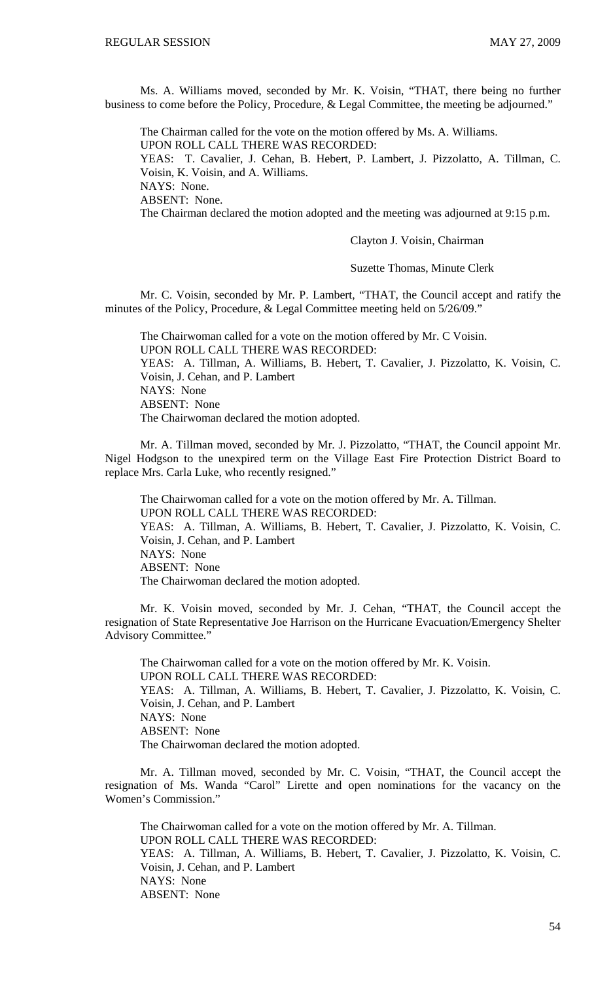Ms. A. Williams moved, seconded by Mr. K. Voisin, "THAT, there being no further business to come before the Policy, Procedure, & Legal Committee, the meeting be adjourned."

 The Chairman called for the vote on the motion offered by Ms. A. Williams. UPON ROLL CALL THERE WAS RECORDED: YEAS: T. Cavalier, J. Cehan, B. Hebert, P. Lambert, J. Pizzolatto, A. Tillman, C. Voisin, K. Voisin, and A. Williams. NAYS: None. ABSENT: None. The Chairman declared the motion adopted and the meeting was adjourned at 9:15 p.m.

Clayton J. Voisin, Chairman

Suzette Thomas, Minute Clerk

Mr. C. Voisin, seconded by Mr. P. Lambert, "THAT, the Council accept and ratify the minutes of the Policy, Procedure, & Legal Committee meeting held on 5/26/09."

 The Chairwoman called for a vote on the motion offered by Mr. C Voisin. UPON ROLL CALL THERE WAS RECORDED: YEAS: A. Tillman, A. Williams, B. Hebert, T. Cavalier, J. Pizzolatto, K. Voisin, C. Voisin, J. Cehan, and P. Lambert NAYS: None ABSENT: None The Chairwoman declared the motion adopted.

 Mr. A. Tillman moved, seconded by Mr. J. Pizzolatto, "THAT, the Council appoint Mr. Nigel Hodgson to the unexpired term on the Village East Fire Protection District Board to replace Mrs. Carla Luke, who recently resigned."

 The Chairwoman called for a vote on the motion offered by Mr. A. Tillman. UPON ROLL CALL THERE WAS RECORDED: YEAS: A. Tillman, A. Williams, B. Hebert, T. Cavalier, J. Pizzolatto, K. Voisin, C. Voisin, J. Cehan, and P. Lambert NAYS: None ABSENT: None The Chairwoman declared the motion adopted.

 Mr. K. Voisin moved, seconded by Mr. J. Cehan, "THAT, the Council accept the resignation of State Representative Joe Harrison on the Hurricane Evacuation/Emergency Shelter Advisory Committee."

 The Chairwoman called for a vote on the motion offered by Mr. K. Voisin. UPON ROLL CALL THERE WAS RECORDED: YEAS: A. Tillman, A. Williams, B. Hebert, T. Cavalier, J. Pizzolatto, K. Voisin, C. Voisin, J. Cehan, and P. Lambert NAYS: None ABSENT: None The Chairwoman declared the motion adopted.

Mr. A. Tillman moved, seconded by Mr. C. Voisin, "THAT, the Council accept the resignation of Ms. Wanda "Carol" Lirette and open nominations for the vacancy on the Women's Commission."

 The Chairwoman called for a vote on the motion offered by Mr. A. Tillman. UPON ROLL CALL THERE WAS RECORDED: YEAS: A. Tillman, A. Williams, B. Hebert, T. Cavalier, J. Pizzolatto, K. Voisin, C. Voisin, J. Cehan, and P. Lambert NAYS: None ABSENT: None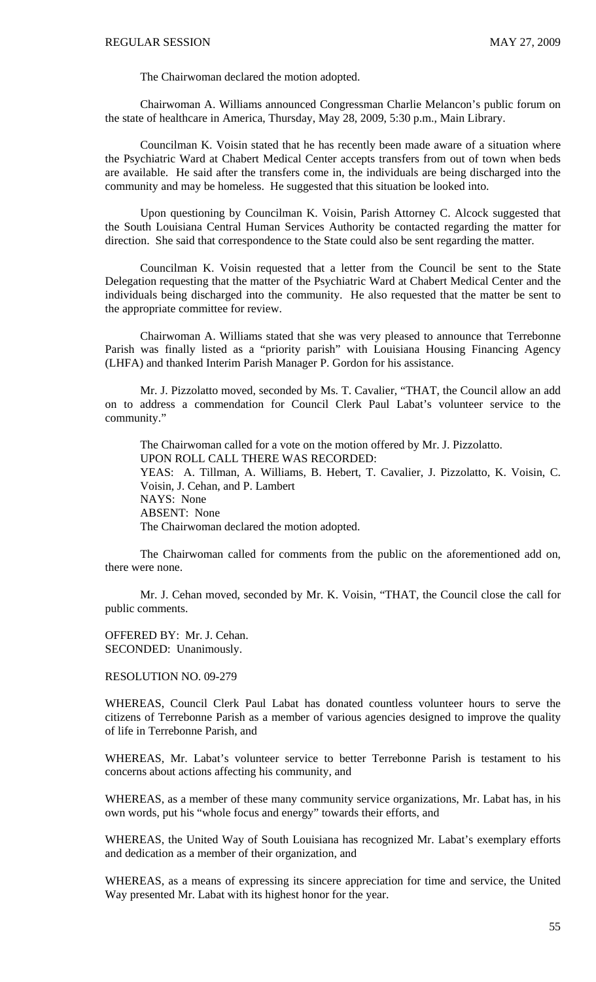The Chairwoman declared the motion adopted.

 Chairwoman A. Williams announced Congressman Charlie Melancon's public forum on the state of healthcare in America, Thursday, May 28, 2009, 5:30 p.m., Main Library.

 Councilman K. Voisin stated that he has recently been made aware of a situation where the Psychiatric Ward at Chabert Medical Center accepts transfers from out of town when beds are available. He said after the transfers come in, the individuals are being discharged into the community and may be homeless. He suggested that this situation be looked into.

 Upon questioning by Councilman K. Voisin, Parish Attorney C. Alcock suggested that the South Louisiana Central Human Services Authority be contacted regarding the matter for direction. She said that correspondence to the State could also be sent regarding the matter.

 Councilman K. Voisin requested that a letter from the Council be sent to the State Delegation requesting that the matter of the Psychiatric Ward at Chabert Medical Center and the individuals being discharged into the community. He also requested that the matter be sent to the appropriate committee for review.

 Chairwoman A. Williams stated that she was very pleased to announce that Terrebonne Parish was finally listed as a "priority parish" with Louisiana Housing Financing Agency (LHFA) and thanked Interim Parish Manager P. Gordon for his assistance.

 Mr. J. Pizzolatto moved, seconded by Ms. T. Cavalier, "THAT, the Council allow an add on to address a commendation for Council Clerk Paul Labat's volunteer service to the community."

 The Chairwoman called for a vote on the motion offered by Mr. J. Pizzolatto. UPON ROLL CALL THERE WAS RECORDED: YEAS: A. Tillman, A. Williams, B. Hebert, T. Cavalier, J. Pizzolatto, K. Voisin, C. Voisin, J. Cehan, and P. Lambert NAYS: None ABSENT: None The Chairwoman declared the motion adopted.

 The Chairwoman called for comments from the public on the aforementioned add on, there were none.

 Mr. J. Cehan moved, seconded by Mr. K. Voisin, "THAT, the Council close the call for public comments.

OFFERED BY: Mr. J. Cehan. SECONDED: Unanimously.

#### RESOLUTION NO. 09-279

WHEREAS, Council Clerk Paul Labat has donated countless volunteer hours to serve the citizens of Terrebonne Parish as a member of various agencies designed to improve the quality of life in Terrebonne Parish, and

WHEREAS, Mr. Labat's volunteer service to better Terrebonne Parish is testament to his concerns about actions affecting his community, and

WHEREAS, as a member of these many community service organizations, Mr. Labat has, in his own words, put his "whole focus and energy" towards their efforts, and

WHEREAS, the United Way of South Louisiana has recognized Mr. Labat's exemplary efforts and dedication as a member of their organization, and

WHEREAS, as a means of expressing its sincere appreciation for time and service, the United Way presented Mr. Labat with its highest honor for the year.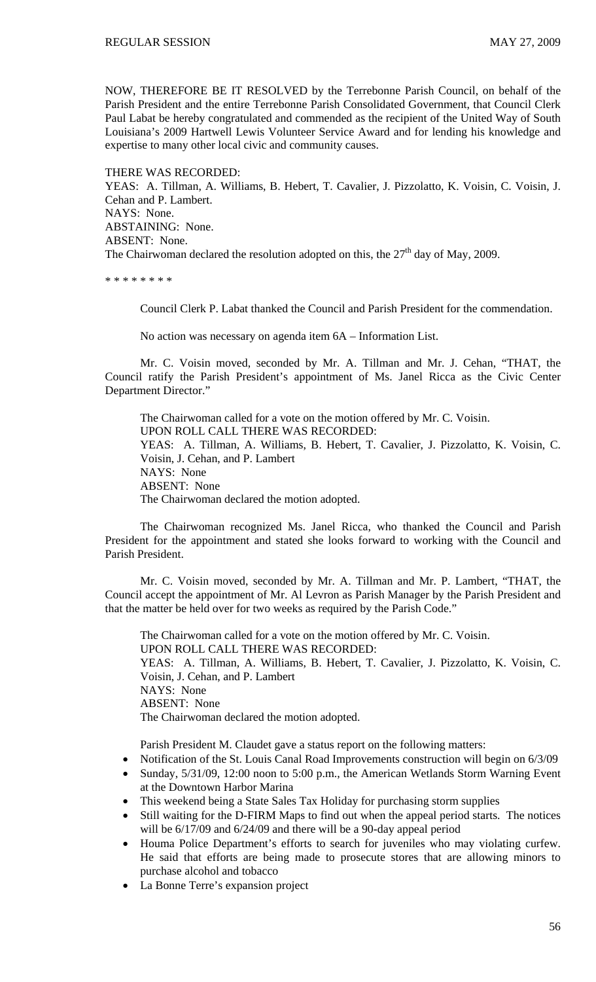NOW, THEREFORE BE IT RESOLVED by the Terrebonne Parish Council, on behalf of the Parish President and the entire Terrebonne Parish Consolidated Government, that Council Clerk Paul Labat be hereby congratulated and commended as the recipient of the United Way of South Louisiana's 2009 Hartwell Lewis Volunteer Service Award and for lending his knowledge and expertise to many other local civic and community causes.

THERE WAS RECORDED: YEAS: A. Tillman, A. Williams, B. Hebert, T. Cavalier, J. Pizzolatto, K. Voisin, C. Voisin, J. Cehan and P. Lambert. NAYS: None. ABSTAINING: None. ABSENT: None. The Chairwoman declared the resolution adopted on this, the  $27<sup>th</sup>$  day of May, 2009.

\* \* \* \* \* \* \* \*

Council Clerk P. Labat thanked the Council and Parish President for the commendation.

No action was necessary on agenda item 6A – Information List.

Mr. C. Voisin moved, seconded by Mr. A. Tillman and Mr. J. Cehan, "THAT, the Council ratify the Parish President's appointment of Ms. Janel Ricca as the Civic Center Department Director."

The Chairwoman called for a vote on the motion offered by Mr. C. Voisin. UPON ROLL CALL THERE WAS RECORDED: YEAS: A. Tillman, A. Williams, B. Hebert, T. Cavalier, J. Pizzolatto, K. Voisin, C. Voisin, J. Cehan, and P. Lambert NAYS: None ABSENT: None The Chairwoman declared the motion adopted.

The Chairwoman recognized Ms. Janel Ricca, who thanked the Council and Parish President for the appointment and stated she looks forward to working with the Council and Parish President.

 Mr. C. Voisin moved, seconded by Mr. A. Tillman and Mr. P. Lambert, "THAT, the Council accept the appointment of Mr. Al Levron as Parish Manager by the Parish President and that the matter be held over for two weeks as required by the Parish Code."

 The Chairwoman called for a vote on the motion offered by Mr. C. Voisin. UPON ROLL CALL THERE WAS RECORDED: YEAS: A. Tillman, A. Williams, B. Hebert, T. Cavalier, J. Pizzolatto, K. Voisin, C. Voisin, J. Cehan, and P. Lambert NAYS: None ABSENT: None The Chairwoman declared the motion adopted.

Parish President M. Claudet gave a status report on the following matters:

- Notification of the St. Louis Canal Road Improvements construction will begin on 6/3/09
- Sunday, 5/31/09, 12:00 noon to 5:00 p.m., the American Wetlands Storm Warning Event at the Downtown Harbor Marina
- This weekend being a State Sales Tax Holiday for purchasing storm supplies
- Still waiting for the D-FIRM Maps to find out when the appeal period starts. The notices will be 6/17/09 and 6/24/09 and there will be a 90-day appeal period
- Houma Police Department's efforts to search for juveniles who may violating curfew. He said that efforts are being made to prosecute stores that are allowing minors to purchase alcohol and tobacco
- La Bonne Terre's expansion project